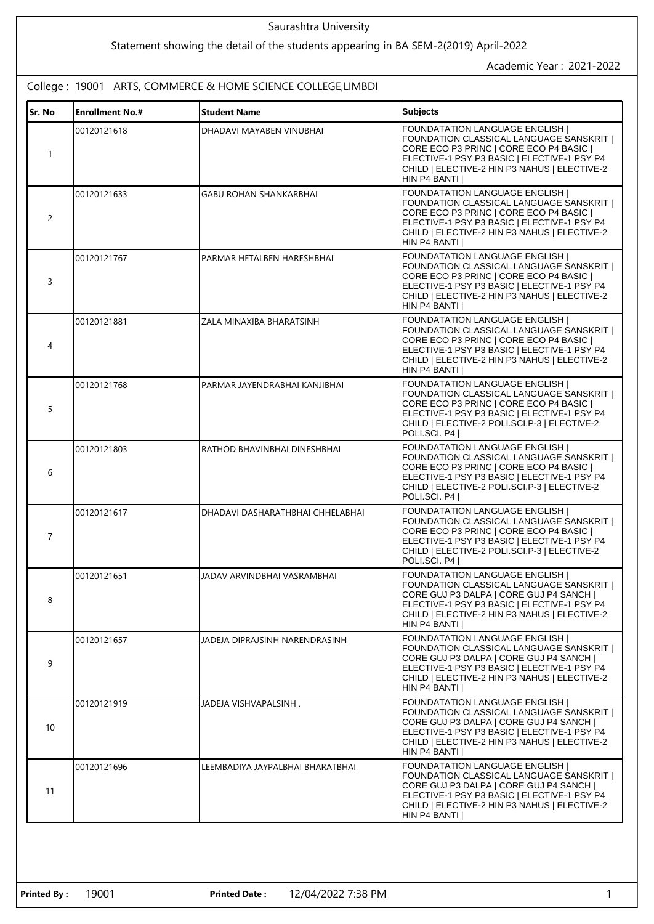## **Sr. No Enrollment No.# Student Name Subjects** 1 00120121618 **DHADAVI MAYABEN VINUBHAI FOUNDATATION LANGUAGE ENGLISH** FOUNDATION CLASSICAL LANGUAGE SANSKRIT | CORE ECO P3 PRINC | CORE ECO P4 BASIC | ELECTIVE-1 PSY P3 BASIC | ELECTIVE-1 PSY P4 CHILD | ELECTIVE-2 HIN P3 NAHUS | ELECTIVE-2 HIN P4 BANTI I 2 00120121633 GABU ROHAN SHANKARBHAI **FOUNDATATION LANGUAGE ENGLISH** FOUNDATION CLASSICAL LANGUAGE SANSKRIT | CORE ECO P3 PRINC | CORE ECO P4 BASIC | ELECTIVE-1 PSY P3 BASIC | ELECTIVE-1 PSY P4 CHILD | ELECTIVE-2 HIN P3 NAHUS | ELECTIVE-2 HIN P4 BANTI | 3 00120121767 PARMAR HETALBEN HARESHBHAI FOUNDATATION LANGUAGE ENGLISH | FOUNDATION CLASSICAL LANGUAGE SANSKRIT | CORE ECO P3 PRINC | CORE ECO P4 BASIC | ELECTIVE-1 PSY P3 BASIC | ELECTIVE-1 PSY P4 CHILD | ELECTIVE-2 HIN P3 NAHUS | ELECTIVE-2 HIN P4 BANTI | 4 00120121881 **ZALA MINAXIBA BHARATSINH FOUNDATATION LANGUAGE ENGLISH** FOUNDATION CLASSICAL LANGUAGE SANSKRIT | CORE ECO P3 PRINC | CORE ECO P4 BASIC | ELECTIVE-1 PSY P3 BASIC | ELECTIVE-1 PSY P4 CHILD | ELECTIVE-2 HIN P3 NAHUS | ELECTIVE-2 HIN P4 BANTI | 5 00120121768 **PARMAR JAYENDRABHAI KANJIBHAI FOUNDATATION LANGUAGE ENGLISH** FOUNDATION CLASSICAL LANGUAGE SANSKRIT | CORE ECO P3 PRINC | CORE ECO P4 BASIC | ELECTIVE-1 PSY P3 BASIC | ELECTIVE-1 PSY P4 CHILD | ELECTIVE-2 POLI.SCI.P-3 | ELECTIVE-2 POLI.SCI. P4 | 6 00120121803 **RATHOD BHAVINBHAI DINESHBHAI FOUNDATATION LANGUAGE ENGLISH** FOUNDATION CLASSICAL LANGUAGE SANSKRIT | CORE ECO P3 PRINC | CORE ECO P4 BASIC | ELECTIVE-1 PSY P3 BASIC | ELECTIVE-1 PSY P4 CHILD | ELECTIVE-2 POLI.SCI.P-3 | ELECTIVE-2 POLI.SCI. P4 | 7 00120121617 DHADAVI DASHARATHBHAI CHHELABHAI FOUNDATATION LANGUAGE ENGLISH | FOUNDATION CLASSICAL LANGUAGE SANSKRIT | CORE ECO P3 PRINC | CORE ECO P4 BASIC | ELECTIVE-1 PSY P3 BASIC | ELECTIVE-1 PSY P4 CHILD | ELECTIVE-2 POLI.SCI.P-3 | ELECTIVE-2 POLI.SCI. P4 | 8 00120121651 JADAV ARVINDBHAI VASRAMBHAI FOUNDATATION LANGUAGE ENGLISH | FOUNDATION CLASSICAL LANGUAGE SANSKRIT | CORE GUJ P3 DALPA | CORE GUJ P4 SANCH | ELECTIVE-1 PSY P3 BASIC | ELECTIVE-1 PSY P4 CHILD | ELECTIVE-2 HIN P3 NAHUS | ELECTIVE-2 HIN P4 BANTI | 9 00120121657 JADEJA DIPRAJSINH NARENDRASINH FOUNDATATION LANGUAGE ENGLISH | FOUNDATION CLASSICAL LANGUAGE SANSKRIT | CORE GUJ P3 DALPA | CORE GUJ P4 SANCH | ELECTIVE-1 PSY P3 BASIC | ELECTIVE-1 PSY P4 CHILD | ELECTIVE-2 HIN P3 NAHUS | ELECTIVE-2 HIN P4 BANTI | 10 00120121919 JADEJA VISHVAPALSINH . FOUNDATATION LANGUAGE ENGLISH | FOUNDATION CLASSICAL LANGUAGE SANSKRIT | CORE GUJ P3 DALPA | CORE GUJ P4 SANCH | ELECTIVE-1 PSY P3 BASIC | ELECTIVE-1 PSY P4 CHILD | ELECTIVE-2 HIN P3 NAHUS | ELECTIVE-2 HIN P4 BANTI | 11 00120121696 LEEMBADIYA JAYPALBHAI BHARATBHAI FOUNDATATION LANGUAGE ENGLISH FOUNDATION CLASSICAL LANGUAGE SANSKRIT | CORE GUJ P3 DALPA | CORE GUJ P4 SANCH | ELECTIVE-1 PSY P3 BASIC | ELECTIVE-1 PSY P4 CHILD | ELECTIVE-2 HIN P3 NAHUS | ELECTIVE-2 College : 19001 ARTS, COMMERCE & HOME SCIENCE COLLEGE,LIMBDI Saurashtra University Statement showing the detail of the students appearing in BA SEM-2(2019) April-2022 Academic Year : 2021-2022

HIN P4 BANTI |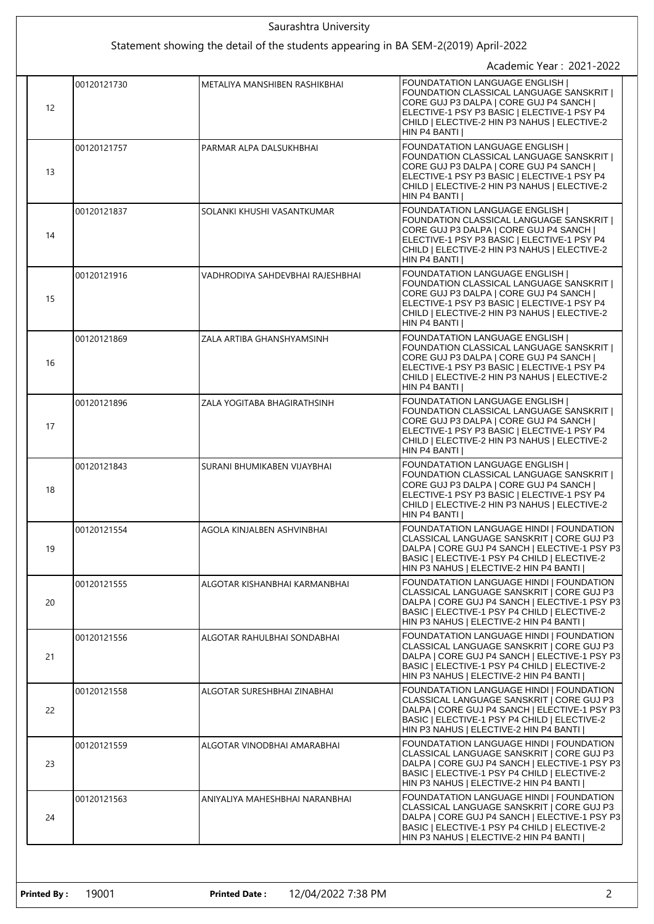|                   | Saurashtra University                                                               |                                                                                                                                                                                                                                              |
|-------------------|-------------------------------------------------------------------------------------|----------------------------------------------------------------------------------------------------------------------------------------------------------------------------------------------------------------------------------------------|
|                   | Statement showing the detail of the students appearing in BA SEM-2(2019) April-2022 |                                                                                                                                                                                                                                              |
|                   |                                                                                     | Academic Year: 2021-2022<br><b>FOUNDATATION LANGUAGE ENGLISH</b>                                                                                                                                                                             |
| 00120121730<br>12 | METALIYA MANSHIBEN RASHIKBHAI                                                       | FOUNDATION CLASSICAL LANGUAGE SANSKRIT  <br>CORE GUJ P3 DALPA   CORE GUJ P4 SANCH  <br>ELECTIVE-1 PSY P3 BASIC   ELECTIVE-1 PSY P4<br>CHILD   ELECTIVE-2 HIN P3 NAHUS   ELECTIVE-2<br>HIN P4 BANTI                                           |
| 00120121757<br>13 | PARMAR ALPA DALSUKHBHAI                                                             | <b>FOUNDATATION LANGUAGE ENGLISH  </b><br>FOUNDATION CLASSICAL LANGUAGE SANSKRIT  <br>CORE GUJ P3 DALPA   CORE GUJ P4 SANCH  <br>ELECTIVE-1 PSY P3 BASIC   ELECTIVE-1 PSY P4<br>CHILD   ELECTIVE-2 HIN P3 NAHUS   ELECTIVE-2<br>HIN P4 BANTI |
| 00120121837<br>14 | SOLANKI KHUSHI VASANTKUMAR                                                          | <b>FOUNDATATION LANGUAGE ENGLISH</b><br>FOUNDATION CLASSICAL LANGUAGE SANSKRIT  <br>CORE GUJ P3 DALPA   CORE GUJ P4 SANCH  <br>ELECTIVE-1 PSY P3 BASIC   ELECTIVE-1 PSY P4<br>CHILD   ELECTIVE-2 HIN P3 NAHUS   ELECTIVE-2<br>HIN P4 BANTI I |
| 00120121916<br>15 | VADHRODIYA SAHDEVBHAI RAJESHBHAI                                                    | <b>FOUNDATATION LANGUAGE ENGLISH</b><br>FOUNDATION CLASSICAL LANGUAGE SANSKRIT  <br>CORE GUJ P3 DALPA   CORE GUJ P4 SANCH  <br>ELECTIVE-1 PSY P3 BASIC   ELECTIVE-1 PSY P4<br>CHILD   ELECTIVE-2 HIN P3 NAHUS   ELECTIVE-2<br>HIN P4 BANTI   |
| 00120121869<br>16 | ZALA ARTIBA GHANSHYAMSINH                                                           | <b>FOUNDATATION LANGUAGE ENGLISH  </b><br>FOUNDATION CLASSICAL LANGUAGE SANSKRIT  <br>CORE GUJ P3 DALPA   CORE GUJ P4 SANCH  <br>ELECTIVE-1 PSY P3 BASIC   ELECTIVE-1 PSY P4<br>CHILD   ELECTIVE-2 HIN P3 NAHUS   ELECTIVE-2<br>HIN P4 BANTI |
| 00120121896<br>17 | ZALA YOGITABA BHAGIRATHSINH                                                         | <b>FOUNDATATION LANGUAGE ENGLISH</b><br>FOUNDATION CLASSICAL LANGUAGE SANSKRIT  <br>CORE GUJ P3 DALPA   CORE GUJ P4 SANCH  <br>ELECTIVE-1 PSY P3 BASIC   ELECTIVE-1 PSY P4<br>CHILD   ELECTIVE-2 HIN P3 NAHUS   ELECTIVE-2<br>HIN P4 BANTI I |
| 00120121843<br>18 | SURANI BHUMIKABEN VIJAYBHAI                                                         | <b>FOUNDATATION LANGUAGE ENGLISH  </b><br>FOUNDATION CLASSICAL LANGUAGE SANSKRIT  <br>CORE GUJ P3 DALPA   CORE GUJ P4 SANCH  <br>ELECTIVE-1 PSY P3 BASIC   ELECTIVE-1 PSY P4<br>CHILD   ELECTIVE-2 HIN P3 NAHUS   ELECTIVE-2<br>HIN P4 BANTI |
| 00120121554<br>19 | AGOLA KINJALBEN ASHVINBHAI                                                          | FOUNDATATION LANGUAGE HINDI   FOUNDATION<br>CLASSICAL LANGUAGE SANSKRIT   CORE GUJ P3<br>DALPA   CORE GUJ P4 SANCH   ELECTIVE-1 PSY P3<br>BASIC   ELECTIVE-1 PSY P4 CHILD   ELECTIVE-2<br>HIN P3 NAHUS   ELECTIVE-2 HIN P4 BANTI             |
| 00120121555<br>20 | ALGOTAR KISHANBHAI KARMANBHAI                                                       | FOUNDATATION LANGUAGE HINDI   FOUNDATION<br>CLASSICAL LANGUAGE SANSKRIT   CORE GUJ P3<br>DALPA   CORE GUJ P4 SANCH   ELECTIVE-1 PSY P3<br>BASIC   ELECTIVE-1 PSY P4 CHILD   ELECTIVE-2<br>HIN P3 NAHUS   ELECTIVE-2 HIN P4 BANTI             |
| 00120121556<br>21 | ALGOTAR RAHULBHAI SONDABHAI                                                         | FOUNDATATION LANGUAGE HINDI   FOUNDATION<br>CLASSICAL LANGUAGE SANSKRIT   CORE GUJ P3<br>DALPA   CORE GUJ P4 SANCH   ELECTIVE-1 PSY P3<br>BASIC   ELECTIVE-1 PSY P4 CHILD   ELECTIVE-2<br>HIN P3 NAHUS   ELECTIVE-2 HIN P4 BANTI             |
| 00120121558<br>22 | ALGOTAR SURESHBHAI ZINABHAI                                                         | FOUNDATATION LANGUAGE HINDI   FOUNDATION<br>CLASSICAL LANGUAGE SANSKRIT   CORE GUJ P3<br>DALPA   CORE GUJ P4 SANCH   ELECTIVE-1 PSY P3<br>BASIC   ELECTIVE-1 PSY P4 CHILD   ELECTIVE-2<br>HIN P3 NAHUS   ELECTIVE-2 HIN P4 BANTI             |
| 00120121559<br>23 | ALGOTAR VINODBHAI AMARABHAI                                                         | FOUNDATATION LANGUAGE HINDI   FOUNDATION<br>CLASSICAL LANGUAGE SANSKRIT   CORE GUJ P3<br>DALPA   CORE GUJ P4 SANCH   ELECTIVE-1 PSY P3<br>BASIC   ELECTIVE-1 PSY P4 CHILD   ELECTIVE-2<br>HIN P3 NAHUS   ELECTIVE-2 HIN P4 BANTI             |
| 00120121563<br>24 | ANIYALIYA MAHESHBHAI NARANBHAI                                                      | FOUNDATATION LANGUAGE HINDI   FOUNDATION<br>CLASSICAL LANGUAGE SANSKRIT   CORE GUJ P3<br>DALPA   CORE GUJ P4 SANCH   ELECTIVE-1 PSY P3<br>BASIC   ELECTIVE-1 PSY P4 CHILD   ELECTIVE-2<br>HIN P3 NAHUS   ELECTIVE-2 HIN P4 BANTI             |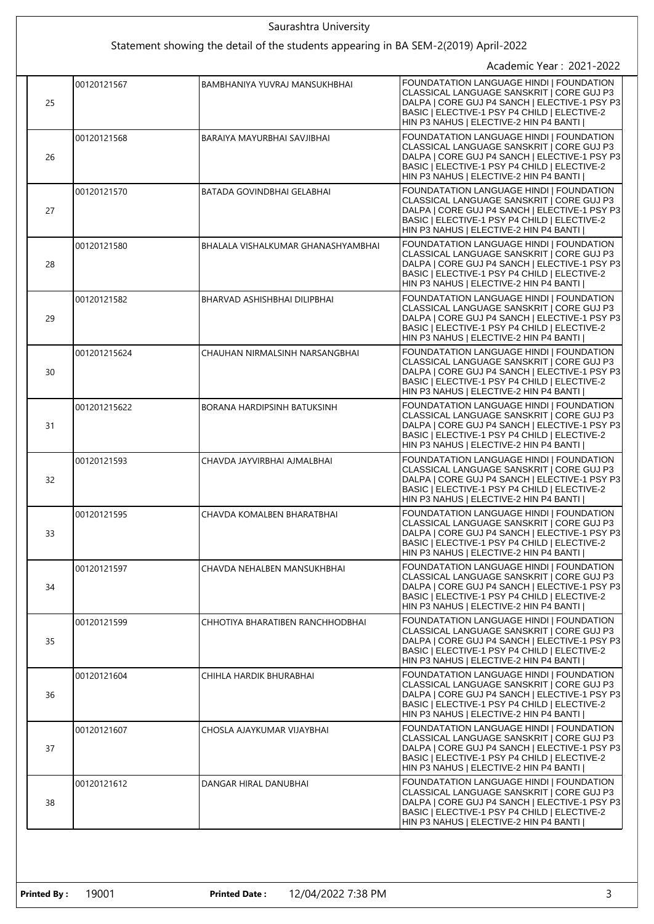| 25 | 00120121567  | Statement showing the detail of the students appearing in BA SEM-2(2019) April-2022 | Academic Year: 2021-2022                                                                                                                                                                                                                |
|----|--------------|-------------------------------------------------------------------------------------|-----------------------------------------------------------------------------------------------------------------------------------------------------------------------------------------------------------------------------------------|
|    |              |                                                                                     |                                                                                                                                                                                                                                         |
|    |              |                                                                                     |                                                                                                                                                                                                                                         |
|    |              | <b>BAMBHANIYA YUVRAJ MANSUKHBHAI</b>                                                | <b>FOUNDATATION LANGUAGE HINDI I FOUNDATION</b><br>CLASSICAL LANGUAGE SANSKRIT   CORE GUJ P3<br>DALPA   CORE GUJ P4 SANCH   ELECTIVE-1 PSY P3<br>BASIC   ELECTIVE-1 PSY P4 CHILD   ELECTIVE-2<br>HIN P3 NAHUS   ELECTIVE-2 HIN P4 BANTI |
| 26 | 00120121568  | BARAIYA MAYURBHAI SAVJIBHAI                                                         | FOUNDATATION LANGUAGE HINDI   FOUNDATION<br>CLASSICAL LANGUAGE SANSKRIT   CORE GUJ P3<br>DALPA   CORE GUJ P4 SANCH   ELECTIVE-1 PSY P3<br>BASIC   ELECTIVE-1 PSY P4 CHILD   ELECTIVE-2<br>HIN P3 NAHUS   ELECTIVE-2 HIN P4 BANTI        |
| 27 | 00120121570  | BATADA GOVINDBHAI GELABHAI                                                          | FOUNDATATION LANGUAGE HINDI   FOUNDATION<br>CLASSICAL LANGUAGE SANSKRIT   CORE GUJ P3<br>DALPA   CORE GUJ P4 SANCH   ELECTIVE-1 PSY P3<br>BASIC   ELECTIVE-1 PSY P4 CHILD   ELECTIVE-2<br>HIN P3 NAHUS   ELECTIVE-2 HIN P4 BANTI        |
| 28 | 00120121580  | BHALALA VISHALKUMAR GHANASHYAMBHAI                                                  | FOUNDATATION LANGUAGE HINDI   FOUNDATION<br>CLASSICAL LANGUAGE SANSKRIT   CORE GUJ P3<br>DALPA   CORE GUJ P4 SANCH   ELECTIVE-1 PSY P3<br>BASIC   ELECTIVE-1 PSY P4 CHILD   ELECTIVE-2<br>HIN P3 NAHUS   ELECTIVE-2 HIN P4 BANTI        |
| 29 | 00120121582  | BHARVAD ASHISHBHAI DILIPBHAI                                                        | FOUNDATATION LANGUAGE HINDI   FOUNDATION<br>CLASSICAL LANGUAGE SANSKRIT   CORE GUJ P3<br>DALPA   CORE GUJ P4 SANCH   ELECTIVE-1 PSY P3<br>BASIC   ELECTIVE-1 PSY P4 CHILD   ELECTIVE-2<br>HIN P3 NAHUS   ELECTIVE-2 HIN P4 BANTI        |
| 30 | 001201215624 | CHAUHAN NIRMALSINH NARSANGBHAI                                                      | FOUNDATATION LANGUAGE HINDI   FOUNDATION<br>CLASSICAL LANGUAGE SANSKRIT   CORE GUJ P3<br>DALPA   CORE GUJ P4 SANCH   ELECTIVE-1 PSY P3<br>BASIC   ELECTIVE-1 PSY P4 CHILD   ELECTIVE-2<br>HIN P3 NAHUS   ELECTIVE-2 HIN P4 BANTI        |
| 31 | 001201215622 | BORANA HARDIPSINH BATUKSINH                                                         | FOUNDATATION LANGUAGE HINDI   FOUNDATION<br>CLASSICAL LANGUAGE SANSKRIT   CORE GUJ P3<br>DALPA   CORE GUJ P4 SANCH   ELECTIVE-1 PSY P3<br>BASIC   ELECTIVE-1 PSY P4 CHILD   ELECTIVE-2<br>HIN P3 NAHUS   ELECTIVE-2 HIN P4 BANTI        |
| 32 | 00120121593  | CHAVDA JAYVIRBHAI AJMALBHAI                                                         | FOUNDATATION LANGUAGE HINDI   FOUNDATION<br>CLASSICAL LANGUAGE SANSKRIT   CORE GUJ P3<br>DALPA   CORE GUJ P4 SANCH   ELECTIVE-1 PSY P3<br>BASIC   ELECTIVE-1 PSY P4 CHILD   ELECTIVE-2<br>HIN P3 NAHUS   ELECTIVE-2 HIN P4 BANTI        |
| 33 | 00120121595  | CHAVDA KOMALBEN BHARATBHAI                                                          | FOUNDATATION LANGUAGE HINDI   FOUNDATION<br>CLASSICAL LANGUAGE SANSKRIT   CORE GUJ P3<br>DALPA   CORE GUJ P4 SANCH   ELECTIVE-1 PSY P3<br>BASIC   ELECTIVE-1 PSY P4 CHILD   ELECTIVE-2<br>HIN P3 NAHUS   ELECTIVE-2 HIN P4 BANTI        |
| 34 | 00120121597  | CHAVDA NEHALBEN MANSUKHBHAI                                                         | FOUNDATATION LANGUAGE HINDI   FOUNDATION<br>CLASSICAL LANGUAGE SANSKRIT   CORE GUJ P3<br>DALPA   CORE GUJ P4 SANCH   ELECTIVE-1 PSY P3<br>BASIC   ELECTIVE-1 PSY P4 CHILD   ELECTIVE-2<br>HIN P3 NAHUS   ELECTIVE-2 HIN P4 BANTI        |
| 35 | 00120121599  | CHHOTIYA BHARATIBEN RANCHHODBHAI                                                    | FOUNDATATION LANGUAGE HINDI   FOUNDATION<br>CLASSICAL LANGUAGE SANSKRIT   CORE GUJ P3<br>DALPA   CORE GUJ P4 SANCH   ELECTIVE-1 PSY P3<br>BASIC   ELECTIVE-1 PSY P4 CHILD   ELECTIVE-2<br>HIN P3 NAHUS   ELECTIVE-2 HIN P4 BANTI        |
| 36 | 00120121604  | CHIHLA HARDIK BHURABHAI                                                             | FOUNDATATION LANGUAGE HINDI   FOUNDATION<br>CLASSICAL LANGUAGE SANSKRIT   CORE GUJ P3<br>DALPA   CORE GUJ P4 SANCH   ELECTIVE-1 PSY P3<br>BASIC   ELECTIVE-1 PSY P4 CHILD   ELECTIVE-2<br>HIN P3 NAHUS   ELECTIVE-2 HIN P4 BANTI        |
| 37 | 00120121607  | CHOSLA AJAYKUMAR VIJAYBHAI                                                          | FOUNDATATION LANGUAGE HINDI   FOUNDATION<br>CLASSICAL LANGUAGE SANSKRIT   CORE GUJ P3<br>DALPA   CORE GUJ P4 SANCH   ELECTIVE-1 PSY P3<br>BASIC   ELECTIVE-1 PSY P4 CHILD   ELECTIVE-2<br>HIN P3 NAHUS   ELECTIVE-2 HIN P4 BANTI        |
| 38 | 00120121612  | DANGAR HIRAL DANUBHAI                                                               | FOUNDATATION LANGUAGE HINDI   FOUNDATION<br>CLASSICAL LANGUAGE SANSKRIT   CORE GUJ P3<br>DALPA   CORE GUJ P4 SANCH   ELECTIVE-1 PSY P3<br>BASIC   ELECTIVE-1 PSY P4 CHILD   ELECTIVE-2<br>HIN P3 NAHUS   ELECTIVE-2 HIN P4 BANTI        |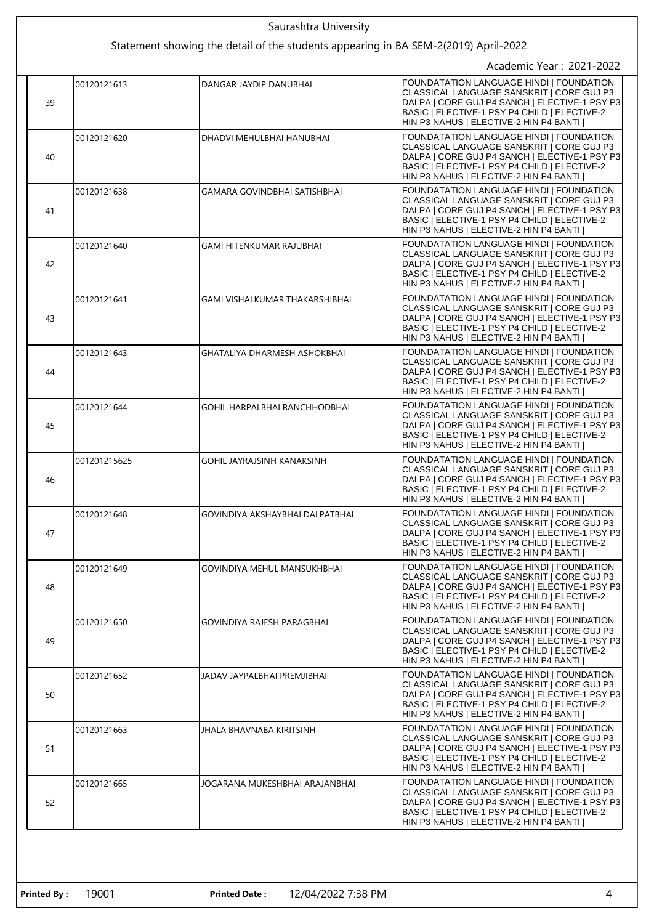| Saurashtra University |              |                                                                                     |                                                                                                                                                                                                                                  |
|-----------------------|--------------|-------------------------------------------------------------------------------------|----------------------------------------------------------------------------------------------------------------------------------------------------------------------------------------------------------------------------------|
|                       |              | Statement showing the detail of the students appearing in BA SEM-2(2019) April-2022 |                                                                                                                                                                                                                                  |
|                       |              |                                                                                     | Academic Year: 2021-2022                                                                                                                                                                                                         |
| 39                    | 00120121613  | DANGAR JAYDIP DANUBHAI                                                              | FOUNDATATION LANGUAGE HINDI   FOUNDATION<br>CLASSICAL LANGUAGE SANSKRIT   CORE GUJ P3<br>DALPA   CORE GUJ P4 SANCH   ELECTIVE-1 PSY P3<br>BASIC   ELECTIVE-1 PSY P4 CHILD   ELECTIVE-2<br>HIN P3 NAHUS   ELECTIVE-2 HIN P4 BANTI |
| 40                    | 00120121620  | DHADVI MEHULBHAI HANUBHAI                                                           | FOUNDATATION LANGUAGE HINDI I FOUNDATION<br>CLASSICAL LANGUAGE SANSKRIT   CORE GUJ P3<br>DALPA   CORE GUJ P4 SANCH   ELECTIVE-1 PSY P3<br>BASIC   ELECTIVE-1 PSY P4 CHILD   ELECTIVE-2<br>HIN P3 NAHUS   ELECTIVE-2 HIN P4 BANTI |
| 41                    | 00120121638  | <b>GAMARA GOVINDBHAI SATISHBHAI</b>                                                 | FOUNDATATION LANGUAGE HINDI   FOUNDATION<br>CLASSICAL LANGUAGE SANSKRIT   CORE GUJ P3<br>DALPA   CORE GUJ P4 SANCH   ELECTIVE-1 PSY P3<br>BASIC   ELECTIVE-1 PSY P4 CHILD   ELECTIVE-2<br>HIN P3 NAHUS   ELECTIVE-2 HIN P4 BANTI |
| 42                    | 00120121640  | GAMI HITENKUMAR RAJUBHAI                                                            | FOUNDATATION LANGUAGE HINDI   FOUNDATION<br>CLASSICAL LANGUAGE SANSKRIT   CORE GUJ P3<br>DALPA   CORE GUJ P4 SANCH   ELECTIVE-1 PSY P3<br>BASIC   ELECTIVE-1 PSY P4 CHILD   ELECTIVE-2<br>HIN P3 NAHUS   ELECTIVE-2 HIN P4 BANTI |
| 43                    | 00120121641  | GAMI VISHALKUMAR THAKARSHIBHAI                                                      | FOUNDATATION LANGUAGE HINDI I FOUNDATION<br>CLASSICAL LANGUAGE SANSKRIT   CORE GUJ P3<br>DALPA   CORE GUJ P4 SANCH   ELECTIVE-1 PSY P3<br>BASIC   ELECTIVE-1 PSY P4 CHILD   ELECTIVE-2<br>HIN P3 NAHUS   ELECTIVE-2 HIN P4 BANTI |
| 44                    | 00120121643  | GHATALIYA DHARMESH ASHOKBHAI                                                        | FOUNDATATION LANGUAGE HINDI   FOUNDATION<br>CLASSICAL LANGUAGE SANSKRIT   CORE GUJ P3<br>DALPA   CORE GUJ P4 SANCH   ELECTIVE-1 PSY P3<br>BASIC   ELECTIVE-1 PSY P4 CHILD   ELECTIVE-2<br>HIN P3 NAHUS   ELECTIVE-2 HIN P4 BANTI |
| 45                    | 00120121644  | GOHIL HARPALBHAI RANCHHODBHAI                                                       | FOUNDATATION LANGUAGE HINDI   FOUNDATION<br>CLASSICAL LANGUAGE SANSKRIT   CORE GUJ P3<br>DALPA   CORE GUJ P4 SANCH   ELECTIVE-1 PSY P3<br>BASIC   ELECTIVE-1 PSY P4 CHILD   ELECTIVE-2<br>HIN P3 NAHUS   ELECTIVE-2 HIN P4 BANTI |
| 46                    | 001201215625 | GOHIL JAYRAJSINH KANAKSINH                                                          | FOUNDATATION LANGUAGE HINDI   FOUNDATION<br>CLASSICAL LANGUAGE SANSKRIT   CORE GUJ P3<br>DALPA   CORE GUJ P4 SANCH   ELECTIVE-1 PSY P3<br>BASIC   ELECTIVE-1 PSY P4 CHILD   ELECTIVE-2<br>HIN P3 NAHUS   ELECTIVE-2 HIN P4 BANTI |
| 47                    | 00120121648  | GOVINDIYA AKSHAYBHAI DALPATBHAI                                                     | FOUNDATATION LANGUAGE HINDI   FOUNDATION<br>CLASSICAL LANGUAGE SANSKRIT   CORE GUJ P3<br>DALPA   CORE GUJ P4 SANCH   ELECTIVE-1 PSY P3<br>BASIC   ELECTIVE-1 PSY P4 CHILD   ELECTIVE-2<br>HIN P3 NAHUS   ELECTIVE-2 HIN P4 BANTI |
| 48                    | 00120121649  | GOVINDIYA MEHUL MANSUKHBHAI                                                         | FOUNDATATION LANGUAGE HINDI   FOUNDATION<br>CLASSICAL LANGUAGE SANSKRIT   CORE GUJ P3<br>DALPA   CORE GUJ P4 SANCH   ELECTIVE-1 PSY P3<br>BASIC   ELECTIVE-1 PSY P4 CHILD   ELECTIVE-2<br>HIN P3 NAHUS   ELECTIVE-2 HIN P4 BANTI |
| 49                    | 00120121650  | GOVINDIYA RAJESH PARAGBHAI                                                          | FOUNDATATION LANGUAGE HINDI   FOUNDATION<br>CLASSICAL LANGUAGE SANSKRIT   CORE GUJ P3<br>DALPA   CORE GUJ P4 SANCH   ELECTIVE-1 PSY P3<br>BASIC   ELECTIVE-1 PSY P4 CHILD   ELECTIVE-2<br>HIN P3 NAHUS   ELECTIVE-2 HIN P4 BANTI |
| 50                    | 00120121652  | JADAV JAYPALBHAI PREMJIBHAI                                                         | FOUNDATATION LANGUAGE HINDI   FOUNDATION<br>CLASSICAL LANGUAGE SANSKRIT   CORE GUJ P3<br>DALPA   CORE GUJ P4 SANCH   ELECTIVE-1 PSY P3<br>BASIC   ELECTIVE-1 PSY P4 CHILD   ELECTIVE-2<br>HIN P3 NAHUS   ELECTIVE-2 HIN P4 BANTI |
| 51                    | 00120121663  | JHALA BHAVNABA KIRITSINH                                                            | FOUNDATATION LANGUAGE HINDI   FOUNDATION<br>CLASSICAL LANGUAGE SANSKRIT   CORE GUJ P3<br>DALPA   CORE GUJ P4 SANCH   ELECTIVE-1 PSY P3<br>BASIC   ELECTIVE-1 PSY P4 CHILD   ELECTIVE-2<br>HIN P3 NAHUS   ELECTIVE-2 HIN P4 BANTI |
| 52                    | 00120121665  | JOGARANA MUKESHBHAI ARAJANBHAI                                                      | FOUNDATATION LANGUAGE HINDI   FOUNDATION<br>CLASSICAL LANGUAGE SANSKRIT   CORE GUJ P3<br>DALPA   CORE GUJ P4 SANCH   ELECTIVE-1 PSY P3<br>BASIC   ELECTIVE-1 PSY P4 CHILD   ELECTIVE-2<br>HIN P3 NAHUS   ELECTIVE-2 HIN P4 BANTI |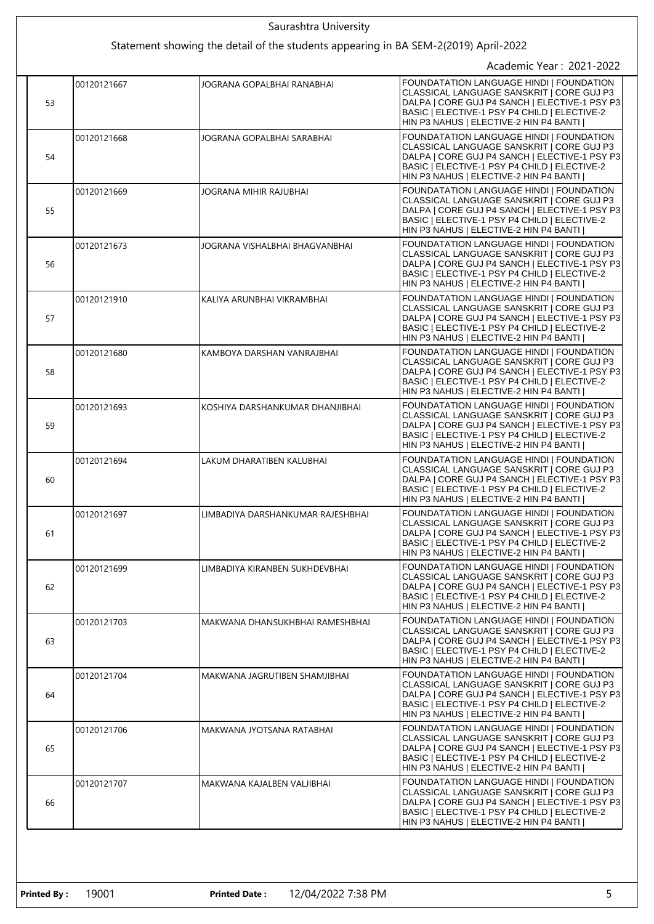| Saurashtra University |             |                                                                                     |                                                                                                                                                                                                                                         |
|-----------------------|-------------|-------------------------------------------------------------------------------------|-----------------------------------------------------------------------------------------------------------------------------------------------------------------------------------------------------------------------------------------|
|                       |             | Statement showing the detail of the students appearing in BA SEM-2(2019) April-2022 |                                                                                                                                                                                                                                         |
|                       |             |                                                                                     | Academic Year: 2021-2022                                                                                                                                                                                                                |
| 53                    | 00120121667 | JOGRANA GOPALBHAI RANABHAI                                                          | <b>FOUNDATATION LANGUAGE HINDI I FOUNDATION</b><br>CLASSICAL LANGUAGE SANSKRIT   CORE GUJ P3<br>DALPA   CORE GUJ P4 SANCH   ELECTIVE-1 PSY P3<br>BASIC   ELECTIVE-1 PSY P4 CHILD   ELECTIVE-2<br>HIN P3 NAHUS   ELECTIVE-2 HIN P4 BANTI |
| 54                    | 00120121668 | JOGRANA GOPALBHAI SARABHAI                                                          | FOUNDATATION LANGUAGE HINDI   FOUNDATION<br>CLASSICAL LANGUAGE SANSKRIT I CORE GUJ P3<br>DALPA   CORE GUJ P4 SANCH   ELECTIVE-1 PSY P3<br>BASIC   ELECTIVE-1 PSY P4 CHILD   ELECTIVE-2<br>HIN P3 NAHUS   ELECTIVE-2 HIN P4 BANTI        |
| 55                    | 00120121669 | JOGRANA MIHIR RAJUBHAI                                                              | FOUNDATATION LANGUAGE HINDI   FOUNDATION<br>CLASSICAL LANGUAGE SANSKRIT   CORE GUJ P3<br>DALPA   CORE GUJ P4 SANCH   ELECTIVE-1 PSY P3<br>BASIC   ELECTIVE-1 PSY P4 CHILD   ELECTIVE-2<br>HIN P3 NAHUS   ELECTIVE-2 HIN P4 BANTI        |
| 56                    | 00120121673 | JOGRANA VISHALBHAI BHAGVANBHAI                                                      | FOUNDATATION LANGUAGE HINDI   FOUNDATION<br>CLASSICAL LANGUAGE SANSKRIT   CORE GUJ P3<br>DALPA   CORE GUJ P4 SANCH   ELECTIVE-1 PSY P3<br>BASIC   ELECTIVE-1 PSY P4 CHILD   ELECTIVE-2<br>HIN P3 NAHUS   ELECTIVE-2 HIN P4 BANTI        |
| 57                    | 00120121910 | KALIYA ARUNBHAI VIKRAMBHAI                                                          | FOUNDATATION LANGUAGE HINDI   FOUNDATION<br>CLASSICAL LANGUAGE SANSKRIT   CORE GUJ P3<br>DALPA   CORE GUJ P4 SANCH   ELECTIVE-1 PSY P3<br>BASIC   ELECTIVE-1 PSY P4 CHILD   ELECTIVE-2<br>HIN P3 NAHUS   ELECTIVE-2 HIN P4 BANTI        |
| 58                    | 00120121680 | KAMBOYA DARSHAN VANRAJBHAI                                                          | FOUNDATATION LANGUAGE HINDI   FOUNDATION<br>CLASSICAL LANGUAGE SANSKRIT   CORE GUJ P3<br>DALPA   CORE GUJ P4 SANCH   ELECTIVE-1 PSY P3<br>BASIC   ELECTIVE-1 PSY P4 CHILD   ELECTIVE-2<br>HIN P3 NAHUS   ELECTIVE-2 HIN P4 BANTI        |
| 59                    | 00120121693 | KOSHIYA DARSHANKUMAR DHANJIBHAI                                                     | FOUNDATATION LANGUAGE HINDI   FOUNDATION<br>CLASSICAL LANGUAGE SANSKRIT   CORE GUJ P3<br>DALPA   CORE GUJ P4 SANCH   ELECTIVE-1 PSY P3<br>BASIC   ELECTIVE-1 PSY P4 CHILD   ELECTIVE-2<br>HIN P3 NAHUS   ELECTIVE-2 HIN P4 BANTI        |
| 60                    | 00120121694 | LAKUM DHARATIBEN KALUBHAI                                                           | FOUNDATATION LANGUAGE HINDI   FOUNDATION<br>CLASSICAL LANGUAGE SANSKRIT   CORE GUJ P3<br>DALPA   CORE GUJ P4 SANCH   ELECTIVE-1 PSY P3<br>BASIC   ELECTIVE-1 PSY P4 CHILD   ELECTIVE-2<br>HIN P3 NAHUS   ELECTIVE-2 HIN P4 BANTI        |
| 61                    | 00120121697 | LIMBADIYA DARSHANKUMAR RAJESHBHAI                                                   | FOUNDATATION LANGUAGE HINDI   FOUNDATION<br>CLASSICAL LANGUAGE SANSKRIT   CORE GUJ P3<br>DALPA   CORE GUJ P4 SANCH   ELECTIVE-1 PSY P3<br>BASIC   ELECTIVE-1 PSY P4 CHILD   ELECTIVE-2<br>HIN P3 NAHUS   ELECTIVE-2 HIN P4 BANTI        |
| 62                    | 00120121699 | LIMBADIYA KIRANBEN SUKHDEVBHAI                                                      | FOUNDATATION LANGUAGE HINDI   FOUNDATION<br>CLASSICAL LANGUAGE SANSKRIT   CORE GUJ P3<br>DALPA   CORE GUJ P4 SANCH   ELECTIVE-1 PSY P3<br>BASIC   ELECTIVE-1 PSY P4 CHILD   ELECTIVE-2<br>HIN P3 NAHUS   ELECTIVE-2 HIN P4 BANTI        |
| 63                    | 00120121703 | MAKWANA DHANSUKHBHAI RAMESHBHAI                                                     | FOUNDATATION LANGUAGE HINDI   FOUNDATION<br>CLASSICAL LANGUAGE SANSKRIT   CORE GUJ P3<br>DALPA   CORE GUJ P4 SANCH   ELECTIVE-1 PSY P3<br>BASIC   ELECTIVE-1 PSY P4 CHILD   ELECTIVE-2<br>HIN P3 NAHUS   ELECTIVE-2 HIN P4 BANTI        |
| 64                    | 00120121704 | MAKWANA JAGRUTIBEN SHAMJIBHAI                                                       | FOUNDATATION LANGUAGE HINDI   FOUNDATION<br>CLASSICAL LANGUAGE SANSKRIT   CORE GUJ P3<br>DALPA   CORE GUJ P4 SANCH   ELECTIVE-1 PSY P3<br>BASIC   ELECTIVE-1 PSY P4 CHILD   ELECTIVE-2<br>HIN P3 NAHUS   ELECTIVE-2 HIN P4 BANTI        |
| 65                    | 00120121706 | MAKWANA JYOTSANA RATABHAI                                                           | FOUNDATATION LANGUAGE HINDI   FOUNDATION<br>CLASSICAL LANGUAGE SANSKRIT   CORE GUJ P3<br>DALPA   CORE GUJ P4 SANCH   ELECTIVE-1 PSY P3<br>BASIC   ELECTIVE-1 PSY P4 CHILD   ELECTIVE-2<br>HIN P3 NAHUS   ELECTIVE-2 HIN P4 BANTI        |
| 66                    | 00120121707 | MAKWANA KAJALBEN VALJIBHAI                                                          | FOUNDATATION LANGUAGE HINDI   FOUNDATION<br>CLASSICAL LANGUAGE SANSKRIT   CORE GUJ P3<br>DALPA   CORE GUJ P4 SANCH   ELECTIVE-1 PSY P3<br>BASIC   ELECTIVE-1 PSY P4 CHILD   ELECTIVE-2<br>HIN P3 NAHUS   ELECTIVE-2 HIN P4 BANTI        |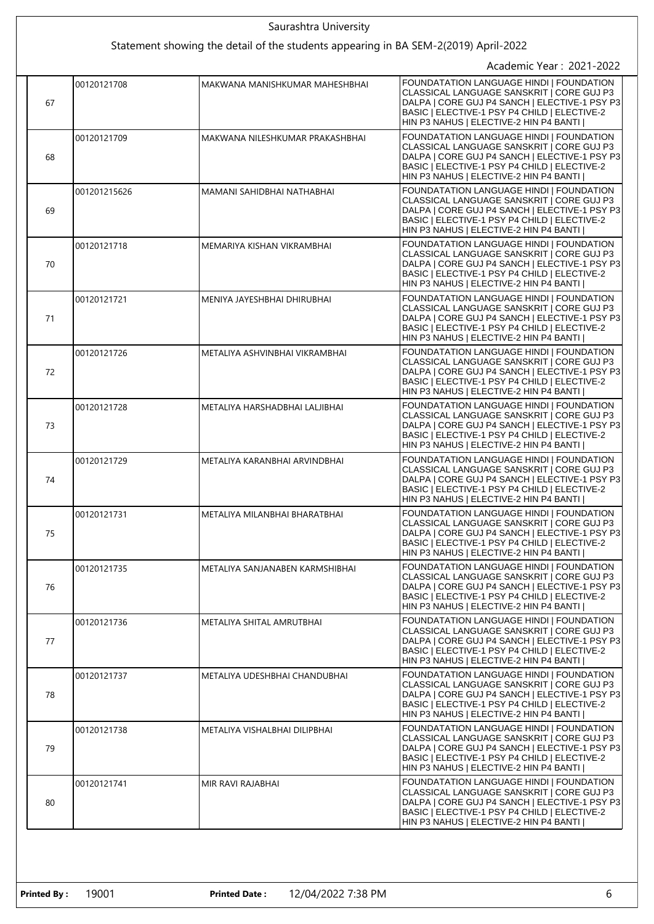|  | Saurashtra University                                                               |              |                                 |                                                                                                                                                                                                                                  |
|--|-------------------------------------------------------------------------------------|--------------|---------------------------------|----------------------------------------------------------------------------------------------------------------------------------------------------------------------------------------------------------------------------------|
|  | Statement showing the detail of the students appearing in BA SEM-2(2019) April-2022 |              |                                 |                                                                                                                                                                                                                                  |
|  |                                                                                     |              |                                 | Academic Year: 2021-2022                                                                                                                                                                                                         |
|  | 67                                                                                  | 00120121708  | MAKWANA MANISHKUMAR MAHESHBHAI  | FOUNDATATION LANGUAGE HINDI I FOUNDATION<br>CLASSICAL LANGUAGE SANSKRIT   CORE GUJ P3<br>DALPA   CORE GUJ P4 SANCH   ELECTIVE-1 PSY P3<br>BASIC   ELECTIVE-1 PSY P4 CHILD   ELECTIVE-2<br>HIN P3 NAHUS   ELECTIVE-2 HIN P4 BANTI |
|  | 68                                                                                  | 00120121709  | MAKWANA NILESHKUMAR PRAKASHBHAI | FOUNDATATION LANGUAGE HINDI   FOUNDATION<br>CLASSICAL LANGUAGE SANSKRIT   CORE GUJ P3<br>DALPA   CORE GUJ P4 SANCH   ELECTIVE-1 PSY P3<br>BASIC   ELECTIVE-1 PSY P4 CHILD   ELECTIVE-2<br>HIN P3 NAHUS   ELECTIVE-2 HIN P4 BANTI |
|  | 69                                                                                  | 001201215626 | MAMANI SAHIDBHAI NATHABHAI      | FOUNDATATION LANGUAGE HINDI   FOUNDATION<br>CLASSICAL LANGUAGE SANSKRIT   CORE GUJ P3<br>DALPA   CORE GUJ P4 SANCH   ELECTIVE-1 PSY P3<br>BASIC   ELECTIVE-1 PSY P4 CHILD   ELECTIVE-2<br>HIN P3 NAHUS   ELECTIVE-2 HIN P4 BANTI |
|  | 70                                                                                  | 00120121718  | MEMARIYA KISHAN VIKRAMBHAI      | FOUNDATATION LANGUAGE HINDI   FOUNDATION<br>CLASSICAL LANGUAGE SANSKRIT   CORE GUJ P3<br>DALPA   CORE GUJ P4 SANCH   ELECTIVE-1 PSY P3<br>BASIC   ELECTIVE-1 PSY P4 CHILD   ELECTIVE-2<br>HIN P3 NAHUS   ELECTIVE-2 HIN P4 BANTI |
|  | 71                                                                                  | 00120121721  | MENIYA JAYESHBHAI DHIRUBHAI     | FOUNDATATION LANGUAGE HINDI   FOUNDATION<br>CLASSICAL LANGUAGE SANSKRIT   CORE GUJ P3<br>DALPA   CORE GUJ P4 SANCH   ELECTIVE-1 PSY P3<br>BASIC   ELECTIVE-1 PSY P4 CHILD   ELECTIVE-2<br>HIN P3 NAHUS   ELECTIVE-2 HIN P4 BANTI |
|  | 72                                                                                  | 00120121726  | METALIYA ASHVINBHAI VIKRAMBHAI  | FOUNDATATION LANGUAGE HINDI   FOUNDATION<br>CLASSICAL LANGUAGE SANSKRIT   CORE GUJ P3<br>DALPA   CORE GUJ P4 SANCH   ELECTIVE-1 PSY P3<br>BASIC   ELECTIVE-1 PSY P4 CHILD   ELECTIVE-2<br>HIN P3 NAHUS   ELECTIVE-2 HIN P4 BANTI |
|  | 73                                                                                  | 00120121728  | METALIYA HARSHADBHAI LALJIBHAI  | FOUNDATATION LANGUAGE HINDI   FOUNDATION<br>CLASSICAL LANGUAGE SANSKRIT   CORE GUJ P3<br>DALPA   CORE GUJ P4 SANCH   ELECTIVE-1 PSY P3<br>BASIC   ELECTIVE-1 PSY P4 CHILD   ELECTIVE-2<br>HIN P3 NAHUS   ELECTIVE-2 HIN P4 BANTI |
|  | 74                                                                                  | 00120121729  | METALIYA KARANBHAI ARVINDBHAI   | FOUNDATATION LANGUAGE HINDI   FOUNDATION<br>CLASSICAL LANGUAGE SANSKRIT   CORE GUJ P3<br>DALPA   CORE GUJ P4 SANCH   ELECTIVE-1 PSY P3<br>BASIC   ELECTIVE-1 PSY P4 CHILD   ELECTIVE-2<br>HIN P3 NAHUS   ELECTIVE-2 HIN P4 BANTI |
|  | 75                                                                                  | 00120121731  | METALIYA MILANBHAI BHARATBHAI   | FOUNDATATION LANGUAGE HINDI   FOUNDATION<br>CLASSICAL LANGUAGE SANSKRIT   CORE GUJ P3<br>DALPA   CORE GUJ P4 SANCH   ELECTIVE-1 PSY P3<br>BASIC   ELECTIVE-1 PSY P4 CHILD   ELECTIVE-2<br>HIN P3 NAHUS   ELECTIVE-2 HIN P4 BANTI |
|  | 76                                                                                  | 00120121735  | METALIYA SANJANABEN KARMSHIBHAI | FOUNDATATION LANGUAGE HINDI   FOUNDATION<br>CLASSICAL LANGUAGE SANSKRIT   CORE GUJ P3<br>DALPA   CORE GUJ P4 SANCH   ELECTIVE-1 PSY P3<br>BASIC   ELECTIVE-1 PSY P4 CHILD   ELECTIVE-2<br>HIN P3 NAHUS   ELECTIVE-2 HIN P4 BANTI |
|  | 77                                                                                  | 00120121736  | METALIYA SHITAL AMRUTBHAI       | FOUNDATATION LANGUAGE HINDI   FOUNDATION<br>CLASSICAL LANGUAGE SANSKRIT   CORE GUJ P3<br>DALPA   CORE GUJ P4 SANCH   ELECTIVE-1 PSY P3<br>BASIC   ELECTIVE-1 PSY P4 CHILD   ELECTIVE-2<br>HIN P3 NAHUS   ELECTIVE-2 HIN P4 BANTI |
|  | 78                                                                                  | 00120121737  | METALIYA UDESHBHAI CHANDUBHAI   | FOUNDATATION LANGUAGE HINDI   FOUNDATION<br>CLASSICAL LANGUAGE SANSKRIT   CORE GUJ P3<br>DALPA   CORE GUJ P4 SANCH   ELECTIVE-1 PSY P3<br>BASIC   ELECTIVE-1 PSY P4 CHILD   ELECTIVE-2<br>HIN P3 NAHUS   ELECTIVE-2 HIN P4 BANTI |
|  | 79                                                                                  | 00120121738  | METALIYA VISHALBHAI DILIPBHAI   | FOUNDATATION LANGUAGE HINDI   FOUNDATION<br>CLASSICAL LANGUAGE SANSKRIT   CORE GUJ P3<br>DALPA   CORE GUJ P4 SANCH   ELECTIVE-1 PSY P3<br>BASIC   ELECTIVE-1 PSY P4 CHILD   ELECTIVE-2<br>HIN P3 NAHUS   ELECTIVE-2 HIN P4 BANTI |
|  | 80                                                                                  | 00120121741  | MIR RAVI RAJABHAI               | FOUNDATATION LANGUAGE HINDI   FOUNDATION<br>CLASSICAL LANGUAGE SANSKRIT   CORE GUJ P3<br>DALPA   CORE GUJ P4 SANCH   ELECTIVE-1 PSY P3<br>BASIC   ELECTIVE-1 PSY P4 CHILD   ELECTIVE-2<br>HIN P3 NAHUS   ELECTIVE-2 HIN P4 BANTI |
|  |                                                                                     |              |                                 |                                                                                                                                                                                                                                  |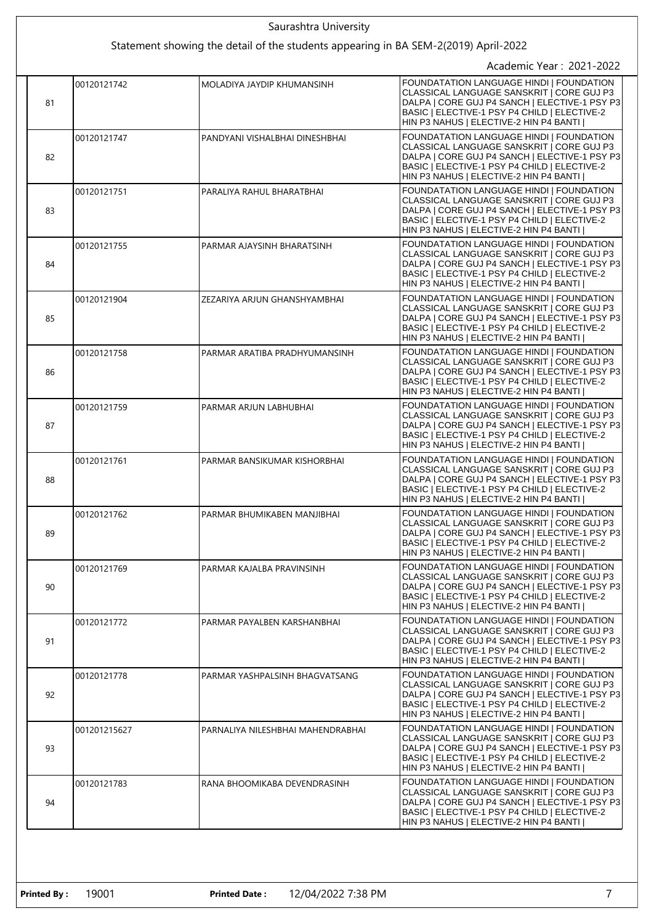| Saurashtra University |              |                                                                                     |                                                                                                                                                                                                                                  |
|-----------------------|--------------|-------------------------------------------------------------------------------------|----------------------------------------------------------------------------------------------------------------------------------------------------------------------------------------------------------------------------------|
|                       |              | Statement showing the detail of the students appearing in BA SEM-2(2019) April-2022 |                                                                                                                                                                                                                                  |
|                       |              |                                                                                     | Academic Year: 2021-2022                                                                                                                                                                                                         |
| 81                    | 00120121742  | MOLADIYA JAYDIP KHUMANSINH                                                          | FOUNDATATION LANGUAGE HINDI   FOUNDATION<br>CLASSICAL LANGUAGE SANSKRIT   CORE GUJ P3<br>DALPA   CORE GUJ P4 SANCH   ELECTIVE-1 PSY P3<br>BASIC   ELECTIVE-1 PSY P4 CHILD   ELECTIVE-2<br>HIN P3 NAHUS   ELECTIVE-2 HIN P4 BANTI |
| 82                    | 00120121747  | PANDYANI VISHALBHAI DINESHBHAI                                                      | FOUNDATATION LANGUAGE HINDI   FOUNDATION<br>CLASSICAL LANGUAGE SANSKRIT   CORE GUJ P3<br>DALPA   CORE GUJ P4 SANCH   ELECTIVE-1 PSY P3<br>BASIC   ELECTIVE-1 PSY P4 CHILD   ELECTIVE-2<br>HIN P3 NAHUS   ELECTIVE-2 HIN P4 BANTI |
| 83                    | 00120121751  | PARALIYA RAHUL BHARATBHAI                                                           | FOUNDATATION LANGUAGE HINDI   FOUNDATION<br>CLASSICAL LANGUAGE SANSKRIT   CORE GUJ P3<br>DALPA   CORE GUJ P4 SANCH   ELECTIVE-1 PSY P3<br>BASIC   ELECTIVE-1 PSY P4 CHILD   ELECTIVE-2<br>HIN P3 NAHUS   ELECTIVE-2 HIN P4 BANTI |
| 84                    | 00120121755  | PARMAR AJAYSINH BHARATSINH                                                          | FOUNDATATION LANGUAGE HINDI   FOUNDATION<br>CLASSICAL LANGUAGE SANSKRIT I CORE GUJ P3<br>DALPA   CORE GUJ P4 SANCH   ELECTIVE-1 PSY P3<br>BASIC   ELECTIVE-1 PSY P4 CHILD   ELECTIVE-2<br>HIN P3 NAHUS   ELECTIVE-2 HIN P4 BANTI |
| 85                    | 00120121904  | ZEZARIYA ARJUN GHANSHYAMBHAI                                                        | FOUNDATATION LANGUAGE HINDI   FOUNDATION<br>CLASSICAL LANGUAGE SANSKRIT   CORE GUJ P3<br>DALPA   CORE GUJ P4 SANCH   ELECTIVE-1 PSY P3<br>BASIC   ELECTIVE-1 PSY P4 CHILD   ELECTIVE-2<br>HIN P3 NAHUS   ELECTIVE-2 HIN P4 BANTI |
| 86                    | 00120121758  | PARMAR ARATIBA PRADHYUMANSINH                                                       | FOUNDATATION LANGUAGE HINDI   FOUNDATION<br>CLASSICAL LANGUAGE SANSKRIT   CORE GUJ P3<br>DALPA   CORE GUJ P4 SANCH   ELECTIVE-1 PSY P3<br>BASIC   ELECTIVE-1 PSY P4 CHILD   ELECTIVE-2<br>HIN P3 NAHUS   ELECTIVE-2 HIN P4 BANTI |
| 87                    | 00120121759  | PARMAR ARJUN LABHUBHAI                                                              | FOUNDATATION LANGUAGE HINDI   FOUNDATION<br>CLASSICAL LANGUAGE SANSKRIT   CORE GUJ P3<br>DALPA   CORE GUJ P4 SANCH   ELECTIVE-1 PSY P3<br>BASIC   ELECTIVE-1 PSY P4 CHILD   ELECTIVE-2<br>HIN P3 NAHUS   ELECTIVE-2 HIN P4 BANTI |
| 88                    | 00120121761  | PARMAR BANSIKUMAR KISHORBHAI                                                        | FOUNDATATION LANGUAGE HINDI   FOUNDATION<br>CLASSICAL LANGUAGE SANSKRIT   CORE GUJ P3<br>DALPA   CORE GUJ P4 SANCH   ELECTIVE-1 PSY P3<br>BASIC   ELECTIVE-1 PSY P4 CHILD   ELECTIVE-2<br>HIN P3 NAHUS   ELECTIVE-2 HIN P4 BANTI |
| 89                    | 00120121762  | PARMAR BHUMIKABEN MANJIBHAI                                                         | FOUNDATATION LANGUAGE HINDI   FOUNDATION<br>CLASSICAL LANGUAGE SANSKRIT I CORE GUJ P3<br>DALPA   CORE GUJ P4 SANCH   ELECTIVE-1 PSY P3<br>BASIC   ELECTIVE-1 PSY P4 CHILD   ELECTIVE-2<br>HIN P3 NAHUS   ELECTIVE-2 HIN P4 BANTI |
| 90                    | 00120121769  | PARMAR KAJALBA PRAVINSINH                                                           | FOUNDATATION LANGUAGE HINDI   FOUNDATION<br>CLASSICAL LANGUAGE SANSKRIT   CORE GUJ P3<br>DALPA   CORE GUJ P4 SANCH   ELECTIVE-1 PSY P3<br>BASIC   ELECTIVE-1 PSY P4 CHILD   ELECTIVE-2<br>HIN P3 NAHUS   ELECTIVE-2 HIN P4 BANTI |
| 91                    | 00120121772  | PARMAR PAYALBEN KARSHANBHAI                                                         | FOUNDATATION LANGUAGE HINDI   FOUNDATION<br>CLASSICAL LANGUAGE SANSKRIT   CORE GUJ P3<br>DALPA   CORE GUJ P4 SANCH   ELECTIVE-1 PSY P3<br>BASIC   ELECTIVE-1 PSY P4 CHILD   ELECTIVE-2<br>HIN P3 NAHUS   ELECTIVE-2 HIN P4 BANTI |
| 92                    | 00120121778  | PARMAR YASHPALSINH BHAGVATSANG                                                      | FOUNDATATION LANGUAGE HINDI   FOUNDATION<br>CLASSICAL LANGUAGE SANSKRIT   CORE GUJ P3<br>DALPA   CORE GUJ P4 SANCH   ELECTIVE-1 PSY P3<br>BASIC   ELECTIVE-1 PSY P4 CHILD   ELECTIVE-2<br>HIN P3 NAHUS   ELECTIVE-2 HIN P4 BANTI |
| 93                    | 001201215627 | PARNALIYA NILESHBHAI MAHENDRABHAI                                                   | FOUNDATATION LANGUAGE HINDI   FOUNDATION<br>CLASSICAL LANGUAGE SANSKRIT   CORE GUJ P3<br>DALPA   CORE GUJ P4 SANCH   ELECTIVE-1 PSY P3<br>BASIC   ELECTIVE-1 PSY P4 CHILD   ELECTIVE-2<br>HIN P3 NAHUS   ELECTIVE-2 HIN P4 BANTI |
| 94                    | 00120121783  | RANA BHOOMIKABA DEVENDRASINH                                                        | FOUNDATATION LANGUAGE HINDI   FOUNDATION<br>CLASSICAL LANGUAGE SANSKRIT   CORE GUJ P3<br>DALPA   CORE GUJ P4 SANCH   ELECTIVE-1 PSY P3<br>BASIC   ELECTIVE-1 PSY P4 CHILD   ELECTIVE-2<br>HIN P3 NAHUS   ELECTIVE-2 HIN P4 BANTI |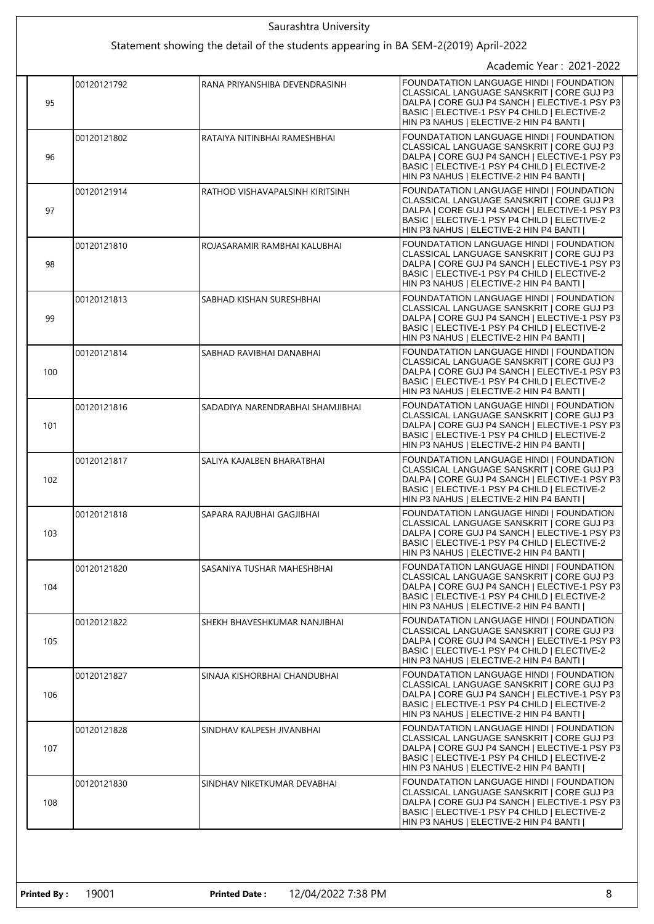|  | Saurashtra University |             |                                                                                     |                                                                                                                                                                                                                                         |
|--|-----------------------|-------------|-------------------------------------------------------------------------------------|-----------------------------------------------------------------------------------------------------------------------------------------------------------------------------------------------------------------------------------------|
|  |                       |             | Statement showing the detail of the students appearing in BA SEM-2(2019) April-2022 |                                                                                                                                                                                                                                         |
|  |                       |             |                                                                                     | Academic Year: 2021-2022                                                                                                                                                                                                                |
|  | 95                    | 00120121792 | RANA PRIYANSHIBA DEVENDRASINH                                                       | <b>FOUNDATATION LANGUAGE HINDI I FOUNDATION</b><br>CLASSICAL LANGUAGE SANSKRIT   CORE GUJ P3<br>DALPA   CORE GUJ P4 SANCH   ELECTIVE-1 PSY P3<br>BASIC   ELECTIVE-1 PSY P4 CHILD   ELECTIVE-2<br>HIN P3 NAHUS   ELECTIVE-2 HIN P4 BANTI |
|  | 96                    | 00120121802 | RATAIYA NITINBHAI RAMESHBHAI                                                        | FOUNDATATION LANGUAGE HINDI   FOUNDATION<br>CLASSICAL LANGUAGE SANSKRIT   CORE GUJ P3<br>DALPA   CORE GUJ P4 SANCH   ELECTIVE-1 PSY P3<br>BASIC   ELECTIVE-1 PSY P4 CHILD   ELECTIVE-2<br>HIN P3 NAHUS   ELECTIVE-2 HIN P4 BANTI        |
|  | 97                    | 00120121914 | RATHOD VISHAVAPALSINH KIRITSINH                                                     | FOUNDATATION LANGUAGE HINDI   FOUNDATION<br>CLASSICAL LANGUAGE SANSKRIT   CORE GUJ P3<br>DALPA   CORE GUJ P4 SANCH   ELECTIVE-1 PSY P3<br>BASIC   ELECTIVE-1 PSY P4 CHILD   ELECTIVE-2<br>HIN P3 NAHUS   ELECTIVE-2 HIN P4 BANTI        |
|  | 98                    | 00120121810 | ROJASARAMIR RAMBHAI KALUBHAI                                                        | FOUNDATATION LANGUAGE HINDI   FOUNDATION<br>CLASSICAL LANGUAGE SANSKRIT   CORE GUJ P3<br>DALPA   CORE GUJ P4 SANCH   ELECTIVE-1 PSY P3<br>BASIC   ELECTIVE-1 PSY P4 CHILD   ELECTIVE-2<br>HIN P3 NAHUS   ELECTIVE-2 HIN P4 BANTI        |
|  | 99                    | 00120121813 | SABHAD KISHAN SURESHBHAI                                                            | FOUNDATATION LANGUAGE HINDI   FOUNDATION<br>CLASSICAL LANGUAGE SANSKRIT   CORE GUJ P3<br>DALPA   CORE GUJ P4 SANCH   ELECTIVE-1 PSY P3<br>BASIC   ELECTIVE-1 PSY P4 CHILD   ELECTIVE-2<br>HIN P3 NAHUS   ELECTIVE-2 HIN P4 BANTI        |
|  | 100                   | 00120121814 | SABHAD RAVIBHAI DANABHAI                                                            | FOUNDATATION LANGUAGE HINDI   FOUNDATION<br>CLASSICAL LANGUAGE SANSKRIT   CORE GUJ P3<br>DALPA   CORE GUJ P4 SANCH   ELECTIVE-1 PSY P3<br>BASIC   ELECTIVE-1 PSY P4 CHILD   ELECTIVE-2<br>HIN P3 NAHUS   ELECTIVE-2 HIN P4 BANTI        |
|  | 101                   | 00120121816 | SADADIYA NARENDRABHAI SHAMJIBHAI                                                    | FOUNDATATION LANGUAGE HINDI   FOUNDATION<br>CLASSICAL LANGUAGE SANSKRIT   CORE GUJ P3<br>DALPA   CORE GUJ P4 SANCH   ELECTIVE-1 PSY P3<br>BASIC   ELECTIVE-1 PSY P4 CHILD   ELECTIVE-2<br>HIN P3 NAHUS   ELECTIVE-2 HIN P4 BANTI        |
|  | 102                   | 00120121817 | SALIYA KAJALBEN BHARATBHAI                                                          | FOUNDATATION LANGUAGE HINDI   FOUNDATION<br>CLASSICAL LANGUAGE SANSKRIT   CORE GUJ P3<br>DALPA   CORE GUJ P4 SANCH   ELECTIVE-1 PSY P3<br>BASIC   ELECTIVE-1 PSY P4 CHILD   ELECTIVE-2<br>HIN P3 NAHUS   ELECTIVE-2 HIN P4 BANTI        |
|  | 103                   | 00120121818 | SAPARA RAJUBHAI GAGJIBHAI                                                           | FOUNDATATION LANGUAGE HINDI   FOUNDATION<br>CLASSICAL LANGUAGE SANSKRIT   CORE GUJ P3<br>DALPA   CORE GUJ P4 SANCH   ELECTIVE-1 PSY P3<br>BASIC   ELECTIVE-1 PSY P4 CHILD   ELECTIVE-2<br>HIN P3 NAHUS   ELECTIVE-2 HIN P4 BANTI        |
|  | 104                   | 00120121820 | SASANIYA TUSHAR MAHESHBHAI                                                          | FOUNDATATION LANGUAGE HINDI   FOUNDATION<br>CLASSICAL LANGUAGE SANSKRIT   CORE GUJ P3<br>DALPA   CORE GUJ P4 SANCH   ELECTIVE-1 PSY P3<br>BASIC   ELECTIVE-1 PSY P4 CHILD   ELECTIVE-2<br>HIN P3 NAHUS   ELECTIVE-2 HIN P4 BANTI        |
|  | 105                   | 00120121822 | SHEKH BHAVESHKUMAR NANJIBHAI                                                        | FOUNDATATION LANGUAGE HINDI   FOUNDATION<br>CLASSICAL LANGUAGE SANSKRIT   CORE GUJ P3<br>DALPA   CORE GUJ P4 SANCH   ELECTIVE-1 PSY P3<br>BASIC   ELECTIVE-1 PSY P4 CHILD   ELECTIVE-2<br>HIN P3 NAHUS   ELECTIVE-2 HIN P4 BANTI        |
|  | 106                   | 00120121827 | SINAJA KISHORBHAI CHANDUBHAI                                                        | FOUNDATATION LANGUAGE HINDI   FOUNDATION<br>CLASSICAL LANGUAGE SANSKRIT   CORE GUJ P3<br>DALPA   CORE GUJ P4 SANCH   ELECTIVE-1 PSY P3<br>BASIC   ELECTIVE-1 PSY P4 CHILD   ELECTIVE-2<br>HIN P3 NAHUS   ELECTIVE-2 HIN P4 BANTI        |
|  | 107                   | 00120121828 | SINDHAV KALPESH JIVANBHAI                                                           | FOUNDATATION LANGUAGE HINDI   FOUNDATION<br>CLASSICAL LANGUAGE SANSKRIT   CORE GUJ P3<br>DALPA   CORE GUJ P4 SANCH   ELECTIVE-1 PSY P3<br>BASIC   ELECTIVE-1 PSY P4 CHILD   ELECTIVE-2<br>HIN P3 NAHUS   ELECTIVE-2 HIN P4 BANTI        |
|  | 108                   | 00120121830 | SINDHAV NIKETKUMAR DEVABHAI                                                         | FOUNDATATION LANGUAGE HINDI   FOUNDATION<br>CLASSICAL LANGUAGE SANSKRIT   CORE GUJ P3<br>DALPA   CORE GUJ P4 SANCH   ELECTIVE-1 PSY P3<br>BASIC   ELECTIVE-1 PSY P4 CHILD   ELECTIVE-2<br>HIN P3 NAHUS   ELECTIVE-2 HIN P4 BANTI        |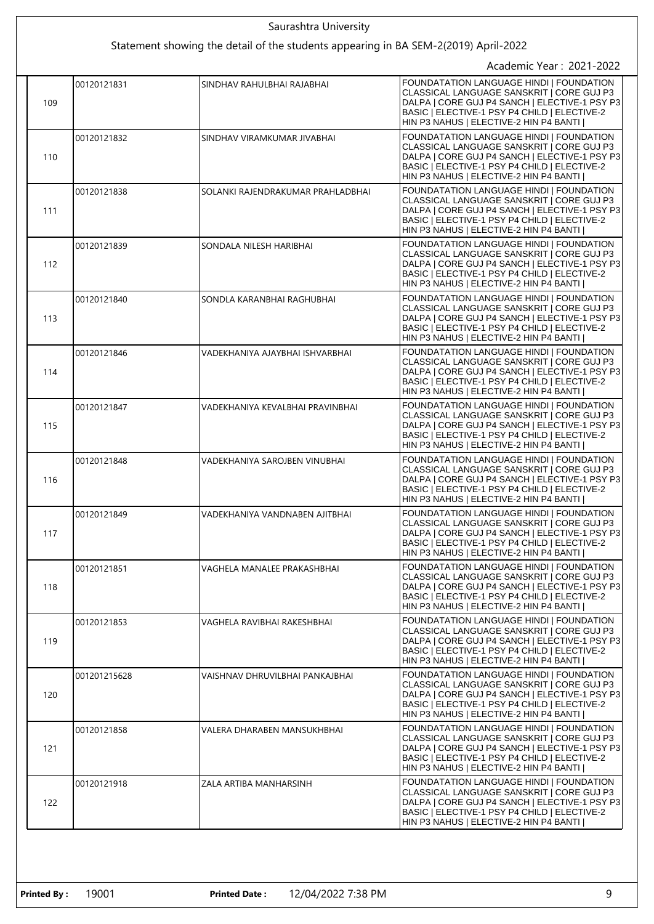|  |     |              | Saurashtra University                                                               |                                                                                                                                                                                                                                  |
|--|-----|--------------|-------------------------------------------------------------------------------------|----------------------------------------------------------------------------------------------------------------------------------------------------------------------------------------------------------------------------------|
|  |     |              | Statement showing the detail of the students appearing in BA SEM-2(2019) April-2022 |                                                                                                                                                                                                                                  |
|  |     |              |                                                                                     | Academic Year: 2021-2022                                                                                                                                                                                                         |
|  | 109 | 00120121831  | SINDHAV RAHULBHAI RAJABHAI                                                          | FOUNDATATION LANGUAGE HINDI   FOUNDATION<br>CLASSICAL LANGUAGE SANSKRIT   CORE GUJ P3<br>DALPA   CORE GUJ P4 SANCH   ELECTIVE-1 PSY P3<br>BASIC   ELECTIVE-1 PSY P4 CHILD   ELECTIVE-2<br>HIN P3 NAHUS   ELECTIVE-2 HIN P4 BANTI |
|  | 110 | 00120121832  | SINDHAV VIRAMKUMAR JIVABHAI                                                         | FOUNDATATION LANGUAGE HINDI I FOUNDATION<br>CLASSICAL LANGUAGE SANSKRIT   CORE GUJ P3<br>DALPA   CORE GUJ P4 SANCH   ELECTIVE-1 PSY P3<br>BASIC   ELECTIVE-1 PSY P4 CHILD   ELECTIVE-2<br>HIN P3 NAHUS   ELECTIVE-2 HIN P4 BANTI |
|  | 111 | 00120121838  | SOLANKI RAJENDRAKUMAR PRAHLADBHAI                                                   | FOUNDATATION LANGUAGE HINDI   FOUNDATION<br>CLASSICAL LANGUAGE SANSKRIT   CORE GUJ P3<br>DALPA   CORE GUJ P4 SANCH   ELECTIVE-1 PSY P3<br>BASIC   ELECTIVE-1 PSY P4 CHILD   ELECTIVE-2<br>HIN P3 NAHUS   ELECTIVE-2 HIN P4 BANTI |
|  | 112 | 00120121839  | SONDALA NILESH HARIBHAI                                                             | FOUNDATATION LANGUAGE HINDI   FOUNDATION<br>CLASSICAL LANGUAGE SANSKRIT   CORE GUJ P3<br>DALPA   CORE GUJ P4 SANCH   ELECTIVE-1 PSY P3<br>BASIC   ELECTIVE-1 PSY P4 CHILD   ELECTIVE-2<br>HIN P3 NAHUS   ELECTIVE-2 HIN P4 BANTI |
|  | 113 | 00120121840  | SONDLA KARANBHAI RAGHUBHAI                                                          | FOUNDATATION LANGUAGE HINDI   FOUNDATION<br>CLASSICAL LANGUAGE SANSKRIT   CORE GUJ P3<br>DALPA   CORE GUJ P4 SANCH   ELECTIVE-1 PSY P3<br>BASIC   ELECTIVE-1 PSY P4 CHILD   ELECTIVE-2<br>HIN P3 NAHUS   ELECTIVE-2 HIN P4 BANTI |
|  | 114 | 00120121846  | VADEKHANIYA AJAYBHAI ISHVARBHAI                                                     | FOUNDATATION LANGUAGE HINDI   FOUNDATION<br>CLASSICAL LANGUAGE SANSKRIT   CORE GUJ P3<br>DALPA   CORE GUJ P4 SANCH   ELECTIVE-1 PSY P3<br>BASIC   ELECTIVE-1 PSY P4 CHILD   ELECTIVE-2<br>HIN P3 NAHUS   ELECTIVE-2 HIN P4 BANTI |
|  | 115 | 00120121847  | VADEKHANIYA KEVALBHAI PRAVINBHAI                                                    | FOUNDATATION LANGUAGE HINDI   FOUNDATION<br>CLASSICAL LANGUAGE SANSKRIT   CORE GUJ P3<br>DALPA   CORE GUJ P4 SANCH   ELECTIVE-1 PSY P3<br>BASIC   ELECTIVE-1 PSY P4 CHILD   ELECTIVE-2<br>HIN P3 NAHUS   ELECTIVE-2 HIN P4 BANTI |
|  | 116 | 00120121848  | VADEKHANIYA SAROJBEN VINUBHAI                                                       | FOUNDATATION LANGUAGE HINDI   FOUNDATION<br>CLASSICAL LANGUAGE SANSKRIT   CORE GUJ P3<br>DALPA   CORE GUJ P4 SANCH   ELECTIVE-1 PSY P3<br>BASIC   ELECTIVE-1 PSY P4 CHILD   ELECTIVE-2<br>HIN P3 NAHUS   ELECTIVE-2 HIN P4 BANTI |
|  | 117 | 00120121849  | VADEKHANIYA VANDNABEN AJITBHAI                                                      | FOUNDATATION LANGUAGE HINDI   FOUNDATION<br>CLASSICAL LANGUAGE SANSKRIT   CORE GUJ P3<br>DALPA   CORE GUJ P4 SANCH   ELECTIVE-1 PSY P3<br>BASIC   ELECTIVE-1 PSY P4 CHILD   ELECTIVE-2<br>HIN P3 NAHUS   ELECTIVE-2 HIN P4 BANTI |
|  | 118 | 00120121851  | VAGHELA MANALEE PRAKASHBHAI                                                         | FOUNDATATION LANGUAGE HINDI   FOUNDATION<br>CLASSICAL LANGUAGE SANSKRIT   CORE GUJ P3<br>DALPA   CORE GUJ P4 SANCH   ELECTIVE-1 PSY P3<br>BASIC   ELECTIVE-1 PSY P4 CHILD   ELECTIVE-2<br>HIN P3 NAHUS   ELECTIVE-2 HIN P4 BANTI |
|  | 119 | 00120121853  | VAGHELA RAVIBHAI RAKESHBHAI                                                         | FOUNDATATION LANGUAGE HINDI I FOUNDATION<br>CLASSICAL LANGUAGE SANSKRIT I CORE GUJ P3<br>DALPA   CORE GUJ P4 SANCH   ELECTIVE-1 PSY P3<br>BASIC   ELECTIVE-1 PSY P4 CHILD   ELECTIVE-2<br>HIN P3 NAHUS   ELECTIVE-2 HIN P4 BANTI |
|  | 120 | 001201215628 | VAISHNAV DHRUVILBHAI PANKAJBHAI                                                     | FOUNDATATION LANGUAGE HINDI   FOUNDATION<br>CLASSICAL LANGUAGE SANSKRIT   CORE GUJ P3<br>DALPA   CORE GUJ P4 SANCH   ELECTIVE-1 PSY P3<br>BASIC   ELECTIVE-1 PSY P4 CHILD   ELECTIVE-2<br>HIN P3 NAHUS   ELECTIVE-2 HIN P4 BANTI |
|  | 121 | 00120121858  | VALERA DHARABEN MANSUKHBHAI                                                         | FOUNDATATION LANGUAGE HINDI   FOUNDATION<br>CLASSICAL LANGUAGE SANSKRIT   CORE GUJ P3<br>DALPA   CORE GUJ P4 SANCH   ELECTIVE-1 PSY P3<br>BASIC   ELECTIVE-1 PSY P4 CHILD   ELECTIVE-2<br>HIN P3 NAHUS   ELECTIVE-2 HIN P4 BANTI |
|  | 122 | 00120121918  | ZALA ARTIBA MANHARSINH                                                              | FOUNDATATION LANGUAGE HINDI   FOUNDATION<br>CLASSICAL LANGUAGE SANSKRIT   CORE GUJ P3<br>DALPA   CORE GUJ P4 SANCH   ELECTIVE-1 PSY P3<br>BASIC   ELECTIVE-1 PSY P4 CHILD   ELECTIVE-2<br>HIN P3 NAHUS   ELECTIVE-2 HIN P4 BANTI |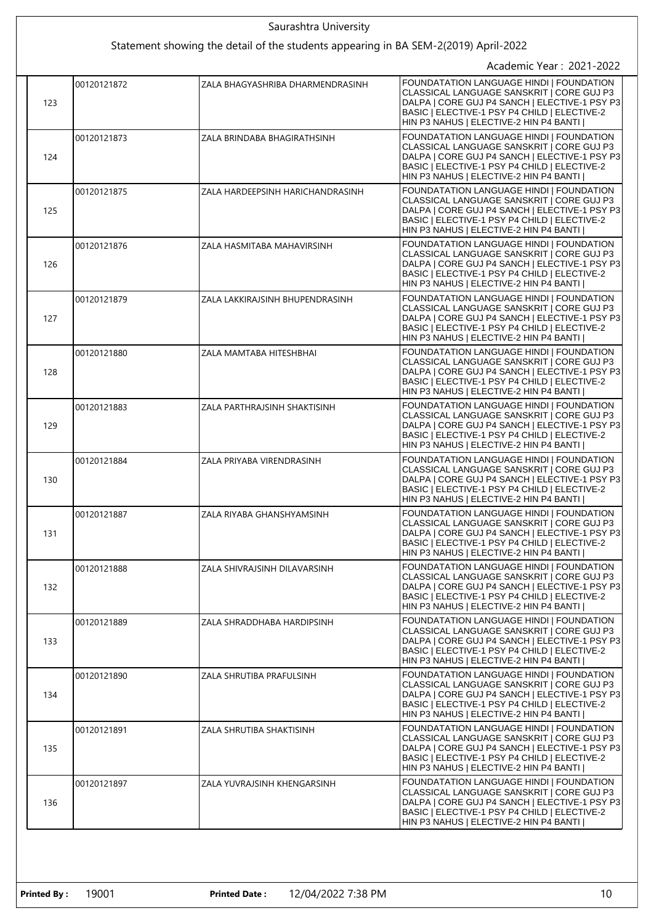| Saurashtra University |             |                                                                                     |                                                                                                                                                                                                                                  |
|-----------------------|-------------|-------------------------------------------------------------------------------------|----------------------------------------------------------------------------------------------------------------------------------------------------------------------------------------------------------------------------------|
|                       |             | Statement showing the detail of the students appearing in BA SEM-2(2019) April-2022 |                                                                                                                                                                                                                                  |
|                       |             |                                                                                     | Academic Year: 2021-2022                                                                                                                                                                                                         |
| 123                   | 00120121872 | ZALA BHAGYASHRIBA DHARMENDRASINH                                                    | FOUNDATATION LANGUAGE HINDI   FOUNDATION<br>CLASSICAL LANGUAGE SANSKRIT   CORE GUJ P3<br>DALPA   CORE GUJ P4 SANCH   ELECTIVE-1 PSY P3<br>BASIC   ELECTIVE-1 PSY P4 CHILD   ELECTIVE-2<br>HIN P3 NAHUS   ELECTIVE-2 HIN P4 BANTI |
| 124                   | 00120121873 | ZALA BRINDABA BHAGIRATHSINH                                                         | FOUNDATATION LANGUAGE HINDI   FOUNDATION<br>CLASSICAL LANGUAGE SANSKRIT   CORE GUJ P3<br>DALPA   CORE GUJ P4 SANCH   ELECTIVE-1 PSY P3<br>BASIC   ELECTIVE-1 PSY P4 CHILD   ELECTIVE-2<br>HIN P3 NAHUS   ELECTIVE-2 HIN P4 BANTI |
| 125                   | 00120121875 | ZALA HARDEEPSINH HARICHANDRASINH                                                    | FOUNDATATION LANGUAGE HINDI   FOUNDATION<br>CLASSICAL LANGUAGE SANSKRIT   CORE GUJ P3<br>DALPA   CORE GUJ P4 SANCH   ELECTIVE-1 PSY P3<br>BASIC   ELECTIVE-1 PSY P4 CHILD   ELECTIVE-2<br>HIN P3 NAHUS   ELECTIVE-2 HIN P4 BANTI |
| 126                   | 00120121876 | ZALA HASMITABA MAHAVIRSINH                                                          | FOUNDATATION LANGUAGE HINDI   FOUNDATION<br>CLASSICAL LANGUAGE SANSKRIT   CORE GUJ P3<br>DALPA   CORE GUJ P4 SANCH   ELECTIVE-1 PSY P3<br>BASIC   ELECTIVE-1 PSY P4 CHILD   ELECTIVE-2<br>HIN P3 NAHUS   ELECTIVE-2 HIN P4 BANTI |
| 127                   | 00120121879 | ZALA LAKKIRAJSINH BHUPENDRASINH                                                     | FOUNDATATION LANGUAGE HINDI   FOUNDATION<br>CLASSICAL LANGUAGE SANSKRIT   CORE GUJ P3<br>DALPA   CORE GUJ P4 SANCH   ELECTIVE-1 PSY P3<br>BASIC   ELECTIVE-1 PSY P4 CHILD   ELECTIVE-2<br>HIN P3 NAHUS   ELECTIVE-2 HIN P4 BANTI |
| 128                   | 00120121880 | ZALA MAMTABA HITESHBHAI                                                             | FOUNDATATION LANGUAGE HINDI   FOUNDATION<br>CLASSICAL LANGUAGE SANSKRIT   CORE GUJ P3<br>DALPA   CORE GUJ P4 SANCH   ELECTIVE-1 PSY P3<br>BASIC   ELECTIVE-1 PSY P4 CHILD   ELECTIVE-2<br>HIN P3 NAHUS   ELECTIVE-2 HIN P4 BANTI |
| 129                   | 00120121883 | ZALA PARTHRAJSINH SHAKTISINH                                                        | FOUNDATATION LANGUAGE HINDI   FOUNDATION<br>CLASSICAL LANGUAGE SANSKRIT   CORE GUJ P3<br>DALPA   CORE GUJ P4 SANCH   ELECTIVE-1 PSY P3<br>BASIC   ELECTIVE-1 PSY P4 CHILD   ELECTIVE-2<br>HIN P3 NAHUS   ELECTIVE-2 HIN P4 BANTI |
| 130                   | 00120121884 | ZALA PRIYABA VIRENDRASINH                                                           | FOUNDATATION LANGUAGE HINDI   FOUNDATION<br>CLASSICAL LANGUAGE SANSKRIT   CORE GUJ P3<br>DALPA   CORE GUJ P4 SANCH   ELECTIVE-1 PSY P3<br>BASIC   ELECTIVE-1 PSY P4 CHILD   ELECTIVE-2<br>HIN P3 NAHUS   ELECTIVE-2 HIN P4 BANTI |
| 131                   | 00120121887 | ZALA RIYABA GHANSHYAMSINH                                                           | FOUNDATATION LANGUAGE HINDI   FOUNDATION<br>CLASSICAL LANGUAGE SANSKRIT   CORE GUJ P3<br>DALPA   CORE GUJ P4 SANCH   ELECTIVE-1 PSY P3<br>BASIC   ELECTIVE-1 PSY P4 CHILD   ELECTIVE-2<br>HIN P3 NAHUS   ELECTIVE-2 HIN P4 BANTI |
| 132                   | 00120121888 | ZALA SHIVRAJSINH DILAVARSINH                                                        | FOUNDATATION LANGUAGE HINDI   FOUNDATION<br>CLASSICAL LANGUAGE SANSKRIT   CORE GUJ P3<br>DALPA   CORE GUJ P4 SANCH   ELECTIVE-1 PSY P3<br>BASIC   ELECTIVE-1 PSY P4 CHILD   ELECTIVE-2<br>HIN P3 NAHUS   ELECTIVE-2 HIN P4 BANTI |
| 133                   | 00120121889 | ZALA SHRADDHABA HARDIPSINH                                                          | FOUNDATATION LANGUAGE HINDI I FOUNDATION<br>CLASSICAL LANGUAGE SANSKRIT   CORE GUJ P3<br>DALPA   CORE GUJ P4 SANCH   ELECTIVE-1 PSY P3<br>BASIC   ELECTIVE-1 PSY P4 CHILD   ELECTIVE-2<br>HIN P3 NAHUS   ELECTIVE-2 HIN P4 BANTI |
| 134                   | 00120121890 | ZALA SHRUTIBA PRAFULSINH                                                            | FOUNDATATION LANGUAGE HINDI   FOUNDATION<br>CLASSICAL LANGUAGE SANSKRIT   CORE GUJ P3<br>DALPA   CORE GUJ P4 SANCH   ELECTIVE-1 PSY P3<br>BASIC   ELECTIVE-1 PSY P4 CHILD   ELECTIVE-2<br>HIN P3 NAHUS   ELECTIVE-2 HIN P4 BANTI |
| 135                   | 00120121891 | ZALA SHRUTIBA SHAKTISINH                                                            | FOUNDATATION LANGUAGE HINDI   FOUNDATION<br>CLASSICAL LANGUAGE SANSKRIT   CORE GUJ P3<br>DALPA   CORE GUJ P4 SANCH   ELECTIVE-1 PSY P3<br>BASIC   ELECTIVE-1 PSY P4 CHILD   ELECTIVE-2<br>HIN P3 NAHUS   ELECTIVE-2 HIN P4 BANTI |
| 136                   | 00120121897 | ZALA YUVRAJSINH KHENGARSINH                                                         | FOUNDATATION LANGUAGE HINDI   FOUNDATION<br>CLASSICAL LANGUAGE SANSKRIT   CORE GUJ P3<br>DALPA   CORE GUJ P4 SANCH   ELECTIVE-1 PSY P3<br>BASIC   ELECTIVE-1 PSY P4 CHILD   ELECTIVE-2<br>HIN P3 NAHUS   ELECTIVE-2 HIN P4 BANTI |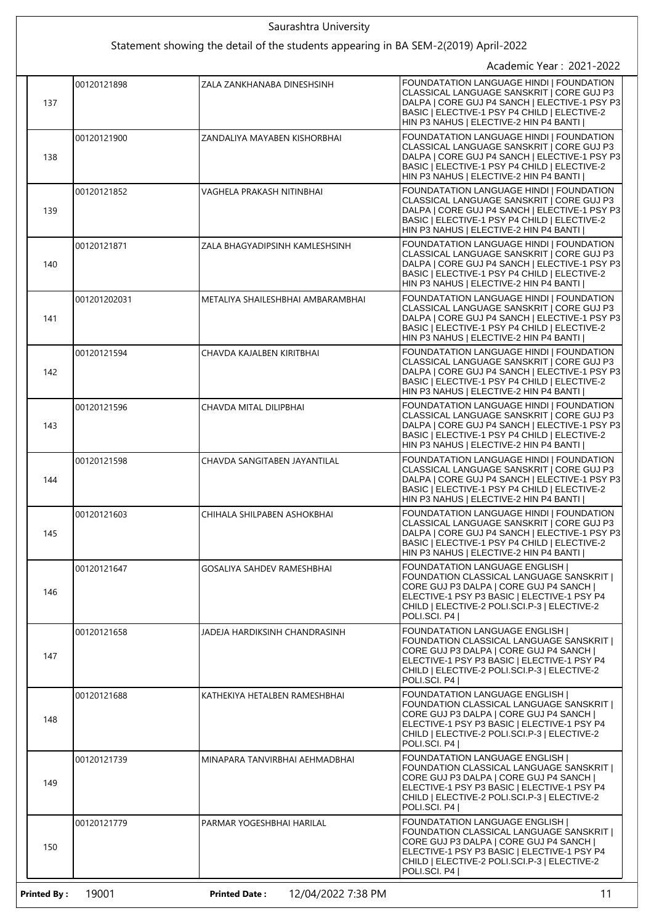|                    |                          | Saurashtra University                                                               |                                                                                                                                                                                                                                                     |  |  |
|--------------------|--------------------------|-------------------------------------------------------------------------------------|-----------------------------------------------------------------------------------------------------------------------------------------------------------------------------------------------------------------------------------------------------|--|--|
|                    |                          | Statement showing the detail of the students appearing in BA SEM-2(2019) April-2022 |                                                                                                                                                                                                                                                     |  |  |
|                    | Academic Year: 2021-2022 |                                                                                     |                                                                                                                                                                                                                                                     |  |  |
| 137                | 00120121898              | ZALA ZANKHANABA DINESHSINH                                                          | FOUNDATATION LANGUAGE HINDI   FOUNDATION<br>CLASSICAL LANGUAGE SANSKRIT   CORE GUJ P3<br>DALPA   CORE GUJ P4 SANCH   ELECTIVE-1 PSY P3<br>BASIC   ELECTIVE-1 PSY P4 CHILD   ELECTIVE-2<br>HIN P3 NAHUS   ELECTIVE-2 HIN P4 BANTI                    |  |  |
| 138                | 00120121900              | ZANDALIYA MAYABEN KISHORBHAI                                                        | FOUNDATATION LANGUAGE HINDI   FOUNDATION<br>CLASSICAL LANGUAGE SANSKRIT   CORE GUJ P3<br>DALPA   CORE GUJ P4 SANCH   ELECTIVE-1 PSY P3<br>BASIC   ELECTIVE-1 PSY P4 CHILD   ELECTIVE-2<br>HIN P3 NAHUS   ELECTIVE-2 HIN P4 BANTI                    |  |  |
| 139                | 00120121852              | VAGHELA PRAKASH NITINBHAI                                                           | FOUNDATATION LANGUAGE HINDI   FOUNDATION<br>CLASSICAL LANGUAGE SANSKRIT   CORE GUJ P3<br>DALPA   CORE GUJ P4 SANCH   ELECTIVE-1 PSY P3<br>BASIC   ELECTIVE-1 PSY P4 CHILD   ELECTIVE-2<br>HIN P3 NAHUS   ELECTIVE-2 HIN P4 BANTI                    |  |  |
| 140                | 00120121871              | ZALA BHAGYADIPSINH KAMLESHSINH                                                      | FOUNDATATION LANGUAGE HINDI   FOUNDATION<br>CLASSICAL LANGUAGE SANSKRIT   CORE GUJ P3<br>DALPA   CORE GUJ P4 SANCH   ELECTIVE-1 PSY P3<br>BASIC   ELECTIVE-1 PSY P4 CHILD   ELECTIVE-2<br>HIN P3 NAHUS   ELECTIVE-2 HIN P4 BANTI                    |  |  |
| 141                | 001201202031             | METALIYA SHAILESHBHAI AMBARAMBHAI                                                   | FOUNDATATION LANGUAGE HINDI   FOUNDATION<br>CLASSICAL LANGUAGE SANSKRIT   CORE GUJ P3<br>DALPA   CORE GUJ P4 SANCH   ELECTIVE-1 PSY P3<br>BASIC   ELECTIVE-1 PSY P4 CHILD   ELECTIVE-2<br>HIN P3 NAHUS   ELECTIVE-2 HIN P4 BANTI                    |  |  |
| 142                | 00120121594              | CHAVDA KAJALBEN KIRITBHAI                                                           | FOUNDATATION LANGUAGE HINDI   FOUNDATION<br>CLASSICAL LANGUAGE SANSKRIT   CORE GUJ P3<br>DALPA   CORE GUJ P4 SANCH   ELECTIVE-1 PSY P3<br>BASIC   ELECTIVE-1 PSY P4 CHILD   ELECTIVE-2<br>HIN P3 NAHUS   ELECTIVE-2 HIN P4 BANTI                    |  |  |
| 143                | 00120121596              | CHAVDA MITAL DILIPBHAI                                                              | FOUNDATATION LANGUAGE HINDI   FOUNDATION<br>CLASSICAL LANGUAGE SANSKRIT   CORE GUJ P3<br>DALPA   CORE GUJ P4 SANCH   ELECTIVE-1 PSY P3<br>BASIC   ELECTIVE-1 PSY P4 CHILD   ELECTIVE-2<br>HIN P3 NAHUS   ELECTIVE-2 HIN P4 BANTI                    |  |  |
| 144                | 00120121598              | CHAVDA SANGITABEN JAYANTILAL                                                        | FOUNDATATION LANGUAGE HINDI   FOUNDATION<br>CLASSICAL LANGUAGE SANSKRIT   CORE GUJ P3<br>DALPA   CORE GUJ P4 SANCH   ELECTIVE-1 PSY P3<br>BASIC   ELECTIVE-1 PSY P4 CHILD   ELECTIVE-2<br>HIN P3 NAHUS   ELECTIVE-2 HIN P4 BANTI                    |  |  |
| 145                | 00120121603              | CHIHALA SHILPABEN ASHOKBHAI                                                         | FOUNDATATION LANGUAGE HINDI   FOUNDATION<br>CLASSICAL LANGUAGE SANSKRIT   CORE GUJ P3<br>DALPA   CORE GUJ P4 SANCH   ELECTIVE-1 PSY P3<br>BASIC   ELECTIVE-1 PSY P4 CHILD   ELECTIVE-2<br>HIN P3 NAHUS   ELECTIVE-2 HIN P4 BANTI                    |  |  |
| 146                | 00120121647              | GOSALIYA SAHDEV RAMESHBHAI                                                          | <b>FOUNDATATION LANGUAGE ENGLISH  </b><br>FOUNDATION CLASSICAL LANGUAGE SANSKRIT  <br>CORE GUJ P3 DALPA   CORE GUJ P4 SANCH  <br>ELECTIVE-1 PSY P3 BASIC   ELECTIVE-1 PSY P4<br>CHILD   ELECTIVE-2 POLI.SCI.P-3   ELECTIVE-2<br>POLI.SCI, P4        |  |  |
| 147                | 00120121658              | JADEJA HARDIKSINH CHANDRASINH                                                       | <b>FOUNDATATION LANGUAGE ENGLISH  </b><br>FOUNDATION CLASSICAL LANGUAGE SANSKRIT  <br>CORE GUJ P3 DALPA   CORE GUJ P4 SANCH  <br>ELECTIVE-1 PSY P3 BASIC   ELECTIVE-1 PSY P4<br>CHILD   ELECTIVE-2 POLI.SCI.P-3   ELECTIVE-2<br>POLI.SCI. P4        |  |  |
| 148                | 00120121688              | KATHEKIYA HETALBEN RAMESHBHAI                                                       | <b>FOUNDATATION LANGUAGE ENGLISH  </b><br>FOUNDATION CLASSICAL LANGUAGE SANSKRIT  <br>CORE GUJ P3 DALPA   CORE GUJ P4 SANCH  <br>ELECTIVE-1 PSY P3 BASIC   ELECTIVE-1 PSY P4<br>CHILD   ELECTIVE-2 POLI.SCI.P-3   ELECTIVE-2<br>POLI.SCI. P4        |  |  |
| 149                | 00120121739              | MINAPARA TANVIRBHAI AEHMADBHAI                                                      | <b>FOUNDATATION LANGUAGE ENGLISH  </b><br>FOUNDATION CLASSICAL LANGUAGE SANSKRIT  <br>CORE GUJ P3 DALPA   CORE GUJ P4 SANCH  <br>ELECTIVE-1 PSY P3 BASIC   ELECTIVE-1 PSY P4<br>CHILD   ELECTIVE-2 POLI.SCI.P-3   ELECTIVE-2<br>POLI.SCI. P4        |  |  |
| 150                | 00120121779              | PARMAR YOGESHBHAI HARILAL                                                           | <b>FOUNDATATION LANGUAGE ENGLISH  </b><br><b>FOUNDATION CLASSICAL LANGUAGE SANSKRIT  </b><br>CORE GUJ P3 DALPA   CORE GUJ P4 SANCH  <br>ELECTIVE-1 PSY P3 BASIC   ELECTIVE-1 PSY P4<br>CHILD   ELECTIVE-2 POLI.SCI.P-3   ELECTIVE-2<br>POLI.SCI. P4 |  |  |
| <b>Printed By:</b> | 19001                    | <b>Printed Date:</b><br>12/04/2022 7:38 PM                                          | 11                                                                                                                                                                                                                                                  |  |  |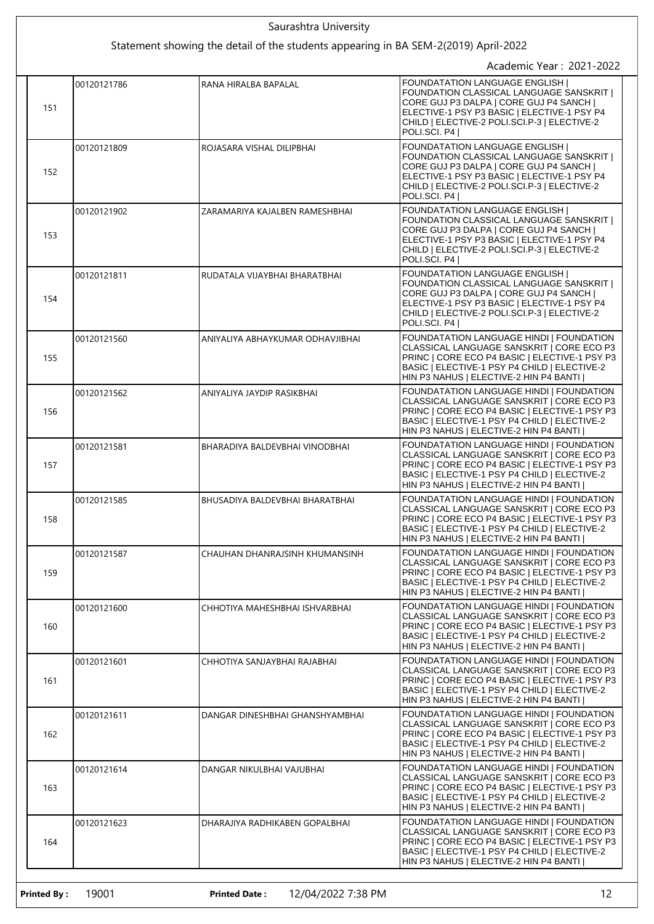|     |             | Saurashtra University<br>Statement showing the detail of the students appearing in BA SEM-2(2019) April-2022 |                                                                                                                                                                                                                                              |
|-----|-------------|--------------------------------------------------------------------------------------------------------------|----------------------------------------------------------------------------------------------------------------------------------------------------------------------------------------------------------------------------------------------|
|     |             |                                                                                                              | Academic Year: 2021-2022                                                                                                                                                                                                                     |
| 151 | 00120121786 | RANA HIRALBA BAPALAL                                                                                         | <b>FOUNDATATION LANGUAGE ENGLISH  </b><br>FOUNDATION CLASSICAL LANGUAGE SANSKRIT  <br>CORE GUJ P3 DALPA   CORE GUJ P4 SANCH  <br>ELECTIVE-1 PSY P3 BASIC   ELECTIVE-1 PSY P4<br>CHILD   ELECTIVE-2 POLI.SCI.P-3   ELECTIVE-2<br>POLI.SCI. P4 |
| 152 | 00120121809 | ROJASARA VISHAL DILIPBHAI                                                                                    | <b>FOUNDATATION LANGUAGE ENGLISH  </b><br>FOUNDATION CLASSICAL LANGUAGE SANSKRIT  <br>CORE GUJ P3 DALPA   CORE GUJ P4 SANCH  <br>ELECTIVE-1 PSY P3 BASIC   ELECTIVE-1 PSY P4<br>CHILD   ELECTIVE-2 POLI.SCI.P-3   ELECTIVE-2<br>POLI.SCI. P4 |
| 153 | 00120121902 | ZARAMARIYA KAJALBEN RAMESHBHAI                                                                               | <b>FOUNDATATION LANGUAGE ENGLISH  </b><br>FOUNDATION CLASSICAL LANGUAGE SANSKRIT  <br>CORE GUJ P3 DALPA   CORE GUJ P4 SANCH  <br>ELECTIVE-1 PSY P3 BASIC   ELECTIVE-1 PSY P4<br>CHILD   ELECTIVE-2 POLI.SCI.P-3   ELECTIVE-2<br>POLI.SCI. P4 |
| 154 | 00120121811 | RUDATALA VIJAYBHAI BHARATBHAI                                                                                | <b>FOUNDATATION LANGUAGE ENGLISH I</b><br>FOUNDATION CLASSICAL LANGUAGE SANSKRIT  <br>CORE GUJ P3 DALPA   CORE GUJ P4 SANCH  <br>ELECTIVE-1 PSY P3 BASIC   ELECTIVE-1 PSY P4<br>CHILD   ELECTIVE-2 POLI.SCI.P-3   ELECTIVE-2<br>POLI.SCI. P4 |
| 155 | 00120121560 | ANIYALIYA ABHAYKUMAR ODHAVJIBHAI                                                                             | FOUNDATATION LANGUAGE HINDI   FOUNDATION<br>CLASSICAL LANGUAGE SANSKRIT   CORE ECO P3<br>PRINC   CORE ECO P4 BASIC   ELECTIVE-1 PSY P3<br>BASIC   ELECTIVE-1 PSY P4 CHILD   ELECTIVE-2<br>HIN P3 NAHUS   ELECTIVE-2 HIN P4 BANTI             |
| 156 | 00120121562 | ANIYALIYA JAYDIP RASIKBHAI                                                                                   | FOUNDATATION LANGUAGE HINDI   FOUNDATION<br>CLASSICAL LANGUAGE SANSKRIT   CORE ECO P3<br>PRINC   CORE ECO P4 BASIC   ELECTIVE-1 PSY P3<br>BASIC   ELECTIVE-1 PSY P4 CHILD   ELECTIVE-2<br>HIN P3 NAHUS   ELECTIVE-2 HIN P4 BANTI             |
| 157 | 00120121581 | BHARADIYA BALDEVBHAI VINODBHAI                                                                               | FOUNDATATION LANGUAGE HINDI   FOUNDATION<br>CLASSICAL LANGUAGE SANSKRIT   CORE ECO P3<br>PRINC   CORE ECO P4 BASIC   ELECTIVE-1 PSY P3<br>BASIC   ELECTIVE-1 PSY P4 CHILD   ELECTIVE-2<br>HIN P3 NAHUS   ELECTIVE-2 HIN P4 BANTI             |
| 158 | 00120121585 | BHUSADIYA BALDEVBHAI BHARATBHAI                                                                              | FOUNDATATION LANGUAGE HINDI   FOUNDATION<br>CLASSICAL LANGUAGE SANSKRIT   CORE ECO P3<br>PRINC   CORE ECO P4 BASIC   ELECTIVE-1 PSY P3<br>BASIC   ELECTIVE-1 PSY P4 CHILD   ELECTIVE-2<br>HIN P3 NAHUS   ELECTIVE-2 HIN P4 BANTI             |
| 159 | 00120121587 | CHAUHAN DHANRAJSINH KHUMANSINH                                                                               | FOUNDATATION LANGUAGE HINDI   FOUNDATION<br>CLASSICAL LANGUAGE SANSKRIT   CORE ECO P3<br>PRINC   CORE ECO P4 BASIC   ELECTIVE-1 PSY P3<br>BASIC   ELECTIVE-1 PSY P4 CHILD   ELECTIVE-2<br>HIN P3 NAHUS   ELECTIVE-2 HIN P4 BANTI             |
| 160 | 00120121600 | CHHOTIYA MAHESHBHAI ISHVARBHAI                                                                               | FOUNDATATION LANGUAGE HINDI   FOUNDATION<br>CLASSICAL LANGUAGE SANSKRIT   CORE ECO P3<br>PRINC   CORE ECO P4 BASIC   ELECTIVE-1 PSY P3<br>BASIC   ELECTIVE-1 PSY P4 CHILD   ELECTIVE-2<br>HIN P3 NAHUS   ELECTIVE-2 HIN P4 BANTI             |
| 161 | 00120121601 | CHHOTIYA SANJAYBHAI RAJABHAI                                                                                 | FOUNDATATION LANGUAGE HINDI   FOUNDATION<br>CLASSICAL LANGUAGE SANSKRIT   CORE ECO P3<br>PRINC   CORE ECO P4 BASIC   ELECTIVE-1 PSY P3<br>BASIC   ELECTIVE-1 PSY P4 CHILD   ELECTIVE-2<br>HIN P3 NAHUS   ELECTIVE-2 HIN P4 BANTI             |
| 162 | 00120121611 | DANGAR DINESHBHAI GHANSHYAMBHAI                                                                              | FOUNDATATION LANGUAGE HINDI   FOUNDATION<br>CLASSICAL LANGUAGE SANSKRIT   CORE ECO P3<br>PRINC   CORE ECO P4 BASIC   ELECTIVE-1 PSY P3<br>BASIC   ELECTIVE-1 PSY P4 CHILD   ELECTIVE-2<br>HIN P3 NAHUS   ELECTIVE-2 HIN P4 BANTI             |
| 163 | 00120121614 | DANGAR NIKULBHAI VAJUBHAI                                                                                    | FOUNDATATION LANGUAGE HINDI   FOUNDATION<br>CLASSICAL LANGUAGE SANSKRIT   CORE ECO P3<br>PRINC   CORE ECO P4 BASIC   ELECTIVE-1 PSY P3<br>BASIC   ELECTIVE-1 PSY P4 CHILD   ELECTIVE-2<br>HIN P3 NAHUS   ELECTIVE-2 HIN P4 BANTI             |
| 164 | 00120121623 | DHARAJIYA RADHIKABEN GOPALBHAI                                                                               | FOUNDATATION LANGUAGE HINDI   FOUNDATION<br>CLASSICAL LANGUAGE SANSKRIT   CORE ECO P3<br>PRINC   CORE ECO P4 BASIC   ELECTIVE-1 PSY P3<br>BASIC   ELECTIVE-1 PSY P4 CHILD   ELECTIVE-2<br>HIN P3 NAHUS   ELECTIVE-2 HIN P4 BANTI             |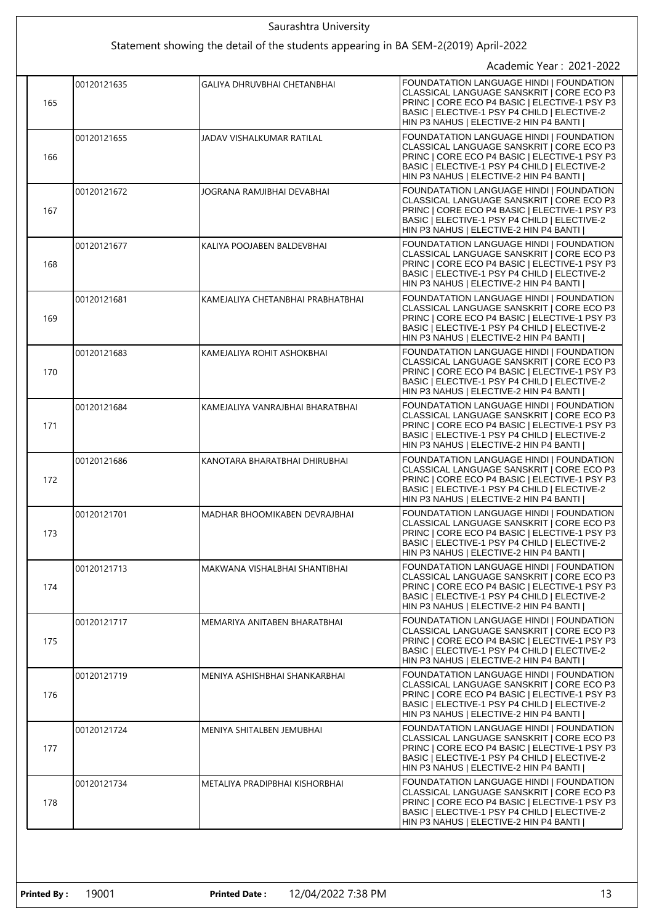|  |     |             | Saurashtra University                                                               |                                                                                                                                                                                                                                         |
|--|-----|-------------|-------------------------------------------------------------------------------------|-----------------------------------------------------------------------------------------------------------------------------------------------------------------------------------------------------------------------------------------|
|  |     |             | Statement showing the detail of the students appearing in BA SEM-2(2019) April-2022 |                                                                                                                                                                                                                                         |
|  |     |             |                                                                                     | Academic Year: 2021-2022                                                                                                                                                                                                                |
|  | 165 | 00120121635 | <b>GALIYA DHRUVBHAI CHETANBHAI</b>                                                  | FOUNDATATION LANGUAGE HINDI   FOUNDATION<br>CLASSICAL LANGUAGE SANSKRIT   CORE ECO P3<br>PRINC   CORE ECO P4 BASIC   ELECTIVE-1 PSY P3<br>BASIC   ELECTIVE-1 PSY P4 CHILD   ELECTIVE-2<br>HIN P3 NAHUS   ELECTIVE-2 HIN P4 BANTI        |
|  | 166 | 00120121655 | JADAV VISHALKUMAR RATILAL                                                           | FOUNDATATION LANGUAGE HINDI   FOUNDATION<br>CLASSICAL LANGUAGE SANSKRIT I CORE ECO P3<br>PRINC   CORE ECO P4 BASIC   ELECTIVE-1 PSY P3<br>BASIC   ELECTIVE-1 PSY P4 CHILD   ELECTIVE-2<br>HIN P3 NAHUS   ELECTIVE-2 HIN P4 BANTI        |
|  | 167 | 00120121672 | JOGRANA RAMJIBHAI DEVABHAI                                                          | FOUNDATATION LANGUAGE HINDI   FOUNDATION<br>CLASSICAL LANGUAGE SANSKRIT   CORE ECO P3<br>PRINC   CORE ECO P4 BASIC   ELECTIVE-1 PSY P3<br>BASIC   ELECTIVE-1 PSY P4 CHILD   ELECTIVE-2<br>HIN P3 NAHUS   ELECTIVE-2 HIN P4 BANTI        |
|  | 168 | 00120121677 | KALIYA POOJABEN BALDEVBHAI                                                          | FOUNDATATION LANGUAGE HINDI   FOUNDATION<br>CLASSICAL LANGUAGE SANSKRIT   CORE ECO P3<br>PRINC   CORE ECO P4 BASIC   ELECTIVE-1 PSY P3<br>BASIC   ELECTIVE-1 PSY P4 CHILD   ELECTIVE-2<br>HIN P3 NAHUS   ELECTIVE-2 HIN P4 BANTI        |
|  | 169 | 00120121681 | KAMEJALIYA CHETANBHAI PRABHATBHAI                                                   | FOUNDATATION LANGUAGE HINDI   FOUNDATION<br>CLASSICAL LANGUAGE SANSKRIT   CORE ECO P3<br>PRINC   CORE ECO P4 BASIC   ELECTIVE-1 PSY P3<br>BASIC   ELECTIVE-1 PSY P4 CHILD   ELECTIVE-2<br>HIN P3 NAHUS   ELECTIVE-2 HIN P4 BANTI        |
|  | 170 | 00120121683 | KAMEJALIYA ROHIT ASHOKBHAI                                                          | FOUNDATATION LANGUAGE HINDI   FOUNDATION<br>CLASSICAL LANGUAGE SANSKRIT   CORE ECO P3<br>PRINC   CORE ECO P4 BASIC   ELECTIVE-1 PSY P3<br>BASIC   ELECTIVE-1 PSY P4 CHILD   ELECTIVE-2<br>HIN P3 NAHUS   ELECTIVE-2 HIN P4 BANTI        |
|  | 171 | 00120121684 | KAMEJALIYA VANRAJBHAI BHARATBHAI                                                    | FOUNDATATION LANGUAGE HINDI   FOUNDATION<br>CLASSICAL LANGUAGE SANSKRIT   CORE ECO P3<br>PRINC   CORE ECO P4 BASIC   ELECTIVE-1 PSY P3<br>BASIC   ELECTIVE-1 PSY P4 CHILD   ELECTIVE-2<br>HIN P3 NAHUS   ELECTIVE-2 HIN P4 BANTI        |
|  | 172 | 00120121686 | KANOTARA BHARATBHAI DHIRUBHAI                                                       | FOUNDATATION LANGUAGE HINDI   FOUNDATION<br>CLASSICAL LANGUAGE SANSKRIT   CORE ECO P3<br>PRINC   CORE ECO P4 BASIC   ELECTIVE-1 PSY P3<br>BASIC   ELECTIVE-1 PSY P4 CHILD   ELECTIVE-2<br>HIN P3 NAHUS   ELECTIVE-2 HIN P4 BANTI        |
|  | 173 | 00120121701 | MADHAR BHOOMIKABEN DEVRAJBHAI                                                       | FOUNDATATION LANGUAGE HINDI   FOUNDATION<br>CLASSICAL LANGUAGE SANSKRIT   CORE ECO P3<br>PRINC   CORE ECO P4 BASIC   ELECTIVE-1 PSY P3<br>BASIC   ELECTIVE-1 PSY P4 CHILD   ELECTIVE-2<br>HIN P3 NAHUS   ELECTIVE-2 HIN P4 BANTI        |
|  | 174 | 00120121713 | MAKWANA VISHALBHAI SHANTIBHAI                                                       | <b>FOUNDATATION LANGUAGE HINDI I FOUNDATION</b><br>CLASSICAL LANGUAGE SANSKRIT   CORE ECO P3<br>PRINC   CORE ECO P4 BASIC   ELECTIVE-1 PSY P3<br>BASIC   ELECTIVE-1 PSY P4 CHILD   ELECTIVE-2<br>HIN P3 NAHUS   ELECTIVE-2 HIN P4 BANTI |
|  | 175 | 00120121717 | MEMARIYA ANITABEN BHARATBHAI                                                        | FOUNDATATION LANGUAGE HINDI   FOUNDATION<br>CLASSICAL LANGUAGE SANSKRIT   CORE ECO P3<br>PRINC   CORE ECO P4 BASIC   ELECTIVE-1 PSY P3<br>BASIC   ELECTIVE-1 PSY P4 CHILD   ELECTIVE-2<br>HIN P3 NAHUS   ELECTIVE-2 HIN P4 BANTI        |
|  | 176 | 00120121719 | MENIYA ASHISHBHAI SHANKARBHAI                                                       | FOUNDATATION LANGUAGE HINDI   FOUNDATION<br>CLASSICAL LANGUAGE SANSKRIT   CORE ECO P3<br>PRINC   CORE ECO P4 BASIC   ELECTIVE-1 PSY P3<br>BASIC   ELECTIVE-1 PSY P4 CHILD   ELECTIVE-2<br>HIN P3 NAHUS   ELECTIVE-2 HIN P4 BANTI        |
|  | 177 | 00120121724 | MENIYA SHITALBEN JEMUBHAI                                                           | FOUNDATATION LANGUAGE HINDI   FOUNDATION<br>CLASSICAL LANGUAGE SANSKRIT   CORE ECO P3<br>PRINC   CORE ECO P4 BASIC   ELECTIVE-1 PSY P3<br>BASIC   ELECTIVE-1 PSY P4 CHILD   ELECTIVE-2<br>HIN P3 NAHUS   ELECTIVE-2 HIN P4 BANTI        |
|  | 178 | 00120121734 | METALIYA PRADIPBHAI KISHORBHAI                                                      | FOUNDATATION LANGUAGE HINDI   FOUNDATION<br>CLASSICAL LANGUAGE SANSKRIT   CORE ECO P3<br>PRINC   CORE ECO P4 BASIC   ELECTIVE-1 PSY P3<br>BASIC   ELECTIVE-1 PSY P4 CHILD   ELECTIVE-2<br>HIN P3 NAHUS   ELECTIVE-2 HIN P4 BANTI        |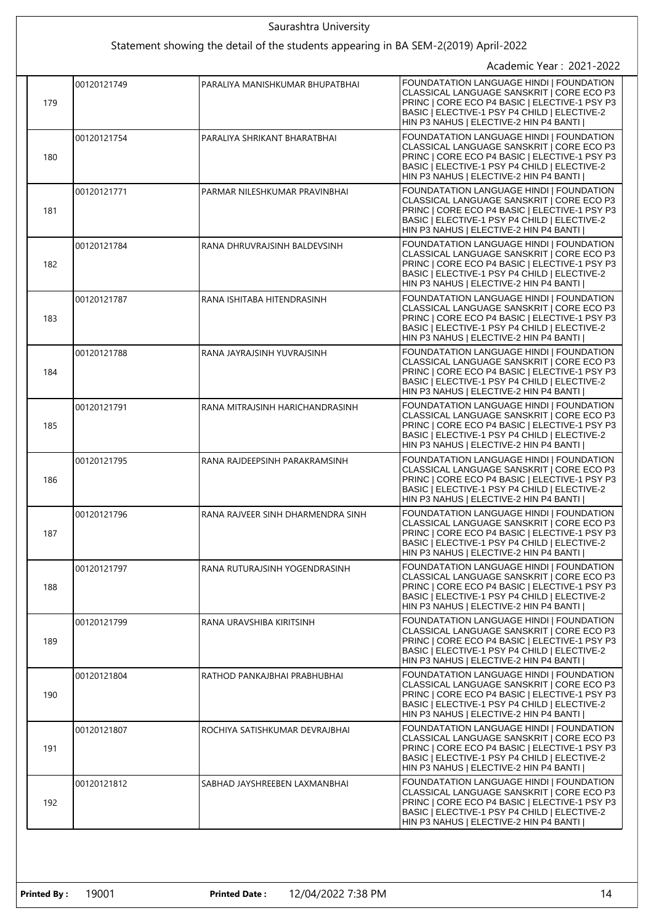|  | Saurashtra University                                                               |             |                                   |                                                                                                                                                                                                                                  |  |
|--|-------------------------------------------------------------------------------------|-------------|-----------------------------------|----------------------------------------------------------------------------------------------------------------------------------------------------------------------------------------------------------------------------------|--|
|  | Statement showing the detail of the students appearing in BA SEM-2(2019) April-2022 |             |                                   |                                                                                                                                                                                                                                  |  |
|  |                                                                                     |             |                                   | Academic Year: 2021-2022                                                                                                                                                                                                         |  |
|  | 179                                                                                 | 00120121749 | PARALIYA MANISHKUMAR BHUPATBHAI   | FOUNDATATION LANGUAGE HINDI   FOUNDATION<br>CLASSICAL LANGUAGE SANSKRIT   CORE ECO P3<br>PRINC   CORE ECO P4 BASIC   ELECTIVE-1 PSY P3<br>BASIC   ELECTIVE-1 PSY P4 CHILD   ELECTIVE-2<br>HIN P3 NAHUS   ELECTIVE-2 HIN P4 BANTI |  |
|  | 180                                                                                 | 00120121754 | PARALIYA SHRIKANT BHARATBHAI      | FOUNDATATION LANGUAGE HINDI   FOUNDATION<br>CLASSICAL LANGUAGE SANSKRIT   CORE ECO P3<br>PRINC   CORE ECO P4 BASIC   ELECTIVE-1 PSY P3<br>BASIC   ELECTIVE-1 PSY P4 CHILD   ELECTIVE-2<br>HIN P3 NAHUS   ELECTIVE-2 HIN P4 BANTI |  |
|  | 181                                                                                 | 00120121771 | PARMAR NILESHKUMAR PRAVINBHAI     | FOUNDATATION LANGUAGE HINDI   FOUNDATION<br>CLASSICAL LANGUAGE SANSKRIT   CORE ECO P3<br>PRINC   CORE ECO P4 BASIC   ELECTIVE-1 PSY P3<br>BASIC   ELECTIVE-1 PSY P4 CHILD   ELECTIVE-2<br>HIN P3 NAHUS   ELECTIVE-2 HIN P4 BANTI |  |
|  | 182                                                                                 | 00120121784 | RANA DHRUVRAJSINH BALDEVSINH      | FOUNDATATION LANGUAGE HINDI   FOUNDATION<br>CLASSICAL LANGUAGE SANSKRIT   CORE ECO P3<br>PRINC   CORE ECO P4 BASIC   ELECTIVE-1 PSY P3<br>BASIC   ELECTIVE-1 PSY P4 CHILD   ELECTIVE-2<br>HIN P3 NAHUS   ELECTIVE-2 HIN P4 BANTI |  |
|  | 183                                                                                 | 00120121787 | RANA ISHITABA HITENDRASINH        | FOUNDATATION LANGUAGE HINDI   FOUNDATION<br>CLASSICAL LANGUAGE SANSKRIT   CORE ECO P3<br>PRINC   CORE ECO P4 BASIC   ELECTIVE-1 PSY P3<br>BASIC   ELECTIVE-1 PSY P4 CHILD   ELECTIVE-2<br>HIN P3 NAHUS   ELECTIVE-2 HIN P4 BANTI |  |
|  | 184                                                                                 | 00120121788 | RANA JAYRAJSINH YUVRAJSINH        | FOUNDATATION LANGUAGE HINDI   FOUNDATION<br>CLASSICAL LANGUAGE SANSKRIT   CORE ECO P3<br>PRINC   CORE ECO P4 BASIC   ELECTIVE-1 PSY P3<br>BASIC   ELECTIVE-1 PSY P4 CHILD   ELECTIVE-2<br>HIN P3 NAHUS   ELECTIVE-2 HIN P4 BANTI |  |
|  | 185                                                                                 | 00120121791 | RANA MITRAJSINH HARICHANDRASINH   | FOUNDATATION LANGUAGE HINDI   FOUNDATION<br>CLASSICAL LANGUAGE SANSKRIT   CORE ECO P3<br>PRINC   CORE ECO P4 BASIC   ELECTIVE-1 PSY P3<br>BASIC   ELECTIVE-1 PSY P4 CHILD   ELECTIVE-2<br>HIN P3 NAHUS   ELECTIVE-2 HIN P4 BANTI |  |
|  | 186                                                                                 | 00120121795 | RANA RAJDEEPSINH PARAKRAMSINH     | FOUNDATATION LANGUAGE HINDI   FOUNDATION<br>CLASSICAL LANGUAGE SANSKRIT   CORE ECO P3<br>PRINC   CORE ECO P4 BASIC   ELECTIVE-1 PSY P3<br>BASIC   ELECTIVE-1 PSY P4 CHILD   ELECTIVE-2<br>HIN P3 NAHUS   ELECTIVE-2 HIN P4 BANTI |  |
|  | 187                                                                                 | 00120121796 | RANA RAJVEER SINH DHARMENDRA SINH | FOUNDATATION LANGUAGE HINDI   FOUNDATION<br>CLASSICAL LANGUAGE SANSKRIT   CORE ECO P3<br>PRINC   CORE ECO P4 BASIC   ELECTIVE-1 PSY P3<br>BASIC   ELECTIVE-1 PSY P4 CHILD   ELECTIVE-2<br>HIN P3 NAHUS   ELECTIVE-2 HIN P4 BANTI |  |
|  | 188                                                                                 | 00120121797 | RANA RUTURAJSINH YOGENDRASINH     | FOUNDATATION LANGUAGE HINDI   FOUNDATION<br>CLASSICAL LANGUAGE SANSKRIT   CORE ECO P3<br>PRINC   CORE ECO P4 BASIC   ELECTIVE-1 PSY P3<br>BASIC   ELECTIVE-1 PSY P4 CHILD   ELECTIVE-2<br>HIN P3 NAHUS   ELECTIVE-2 HIN P4 BANTI |  |
|  | 189                                                                                 | 00120121799 | RANA URAVSHIBA KIRITSINH          | FOUNDATATION LANGUAGE HINDI   FOUNDATION<br>CLASSICAL LANGUAGE SANSKRIT   CORE ECO P3<br>PRINC   CORE ECO P4 BASIC   ELECTIVE-1 PSY P3<br>BASIC   ELECTIVE-1 PSY P4 CHILD   ELECTIVE-2<br>HIN P3 NAHUS   ELECTIVE-2 HIN P4 BANTI |  |
|  | 190                                                                                 | 00120121804 | RATHOD PANKAJBHAI PRABHUBHAI      | FOUNDATATION LANGUAGE HINDI   FOUNDATION<br>CLASSICAL LANGUAGE SANSKRIT   CORE ECO P3<br>PRINC   CORE ECO P4 BASIC   ELECTIVE-1 PSY P3<br>BASIC   ELECTIVE-1 PSY P4 CHILD   ELECTIVE-2<br>HIN P3 NAHUS   ELECTIVE-2 HIN P4 BANTI |  |
|  | 191                                                                                 | 00120121807 | ROCHIYA SATISHKUMAR DEVRAJBHAI    | FOUNDATATION LANGUAGE HINDI   FOUNDATION<br>CLASSICAL LANGUAGE SANSKRIT   CORE ECO P3<br>PRINC   CORE ECO P4 BASIC   ELECTIVE-1 PSY P3<br>BASIC   ELECTIVE-1 PSY P4 CHILD   ELECTIVE-2<br>HIN P3 NAHUS   ELECTIVE-2 HIN P4 BANTI |  |
|  | 192                                                                                 | 00120121812 | SABHAD JAYSHREEBEN LAXMANBHAI     | FOUNDATATION LANGUAGE HINDI   FOUNDATION<br>CLASSICAL LANGUAGE SANSKRIT   CORE ECO P3<br>PRINC   CORE ECO P4 BASIC   ELECTIVE-1 PSY P3<br>BASIC   ELECTIVE-1 PSY P4 CHILD   ELECTIVE-2<br>HIN P3 NAHUS   ELECTIVE-2 HIN P4 BANTI |  |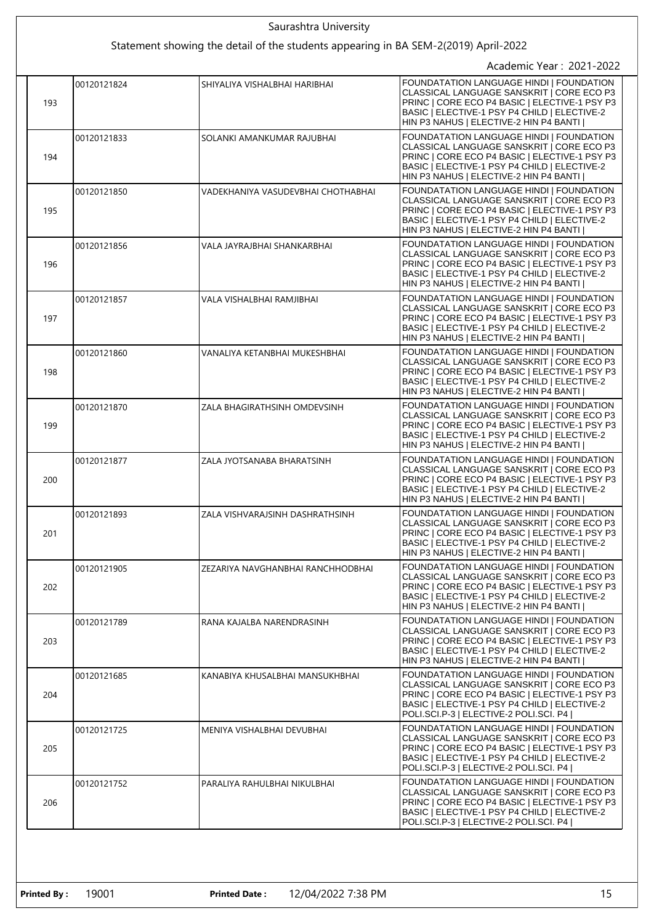|  | Saurashtra University |             |                                                                                     |                                                                                                                                                                                                                                  |
|--|-----------------------|-------------|-------------------------------------------------------------------------------------|----------------------------------------------------------------------------------------------------------------------------------------------------------------------------------------------------------------------------------|
|  |                       |             | Statement showing the detail of the students appearing in BA SEM-2(2019) April-2022 |                                                                                                                                                                                                                                  |
|  |                       |             |                                                                                     | Academic Year: 2021-2022                                                                                                                                                                                                         |
|  | 193                   | 00120121824 | SHIYALIYA VISHALBHAI HARIBHAI                                                       | FOUNDATATION LANGUAGE HINDI   FOUNDATION<br>CLASSICAL LANGUAGE SANSKRIT   CORE ECO P3<br>PRINC   CORE ECO P4 BASIC   ELECTIVE-1 PSY P3<br>BASIC   ELECTIVE-1 PSY P4 CHILD   ELECTIVE-2<br>HIN P3 NAHUS   ELECTIVE-2 HIN P4 BANTI |
|  | 194                   | 00120121833 | SOLANKI AMANKUMAR RAJUBHAI                                                          | FOUNDATATION LANGUAGE HINDI   FOUNDATION<br>CLASSICAL LANGUAGE SANSKRIT I CORE ECO P3<br>PRINC   CORE ECO P4 BASIC   ELECTIVE-1 PSY P3<br>BASIC   ELECTIVE-1 PSY P4 CHILD   ELECTIVE-2<br>HIN P3 NAHUS   ELECTIVE-2 HIN P4 BANTI |
|  | 195                   | 00120121850 | VADEKHANIYA VASUDEVBHAI CHOTHABHAI                                                  | FOUNDATATION LANGUAGE HINDI   FOUNDATION<br>CLASSICAL LANGUAGE SANSKRIT   CORE ECO P3<br>PRINC   CORE ECO P4 BASIC   ELECTIVE-1 PSY P3<br>BASIC   ELECTIVE-1 PSY P4 CHILD   ELECTIVE-2<br>HIN P3 NAHUS   ELECTIVE-2 HIN P4 BANTI |
|  | 196                   | 00120121856 | VALA JAYRAJBHAI SHANKARBHAI                                                         | FOUNDATATION LANGUAGE HINDI   FOUNDATION<br>CLASSICAL LANGUAGE SANSKRIT   CORE ECO P3<br>PRINC   CORE ECO P4 BASIC   ELECTIVE-1 PSY P3<br>BASIC   ELECTIVE-1 PSY P4 CHILD   ELECTIVE-2<br>HIN P3 NAHUS   ELECTIVE-2 HIN P4 BANTI |
|  | 197                   | 00120121857 | VALA VISHALBHAI RAMJIBHAI                                                           | FOUNDATATION LANGUAGE HINDI I FOUNDATION<br>CLASSICAL LANGUAGE SANSKRIT   CORE ECO P3<br>PRINC   CORE ECO P4 BASIC   ELECTIVE-1 PSY P3<br>BASIC   ELECTIVE-1 PSY P4 CHILD   ELECTIVE-2<br>HIN P3 NAHUS   ELECTIVE-2 HIN P4 BANTI |
|  | 198                   | 00120121860 | VANALIYA KETANBHAI MUKESHBHAI                                                       | FOUNDATATION LANGUAGE HINDI   FOUNDATION<br>CLASSICAL LANGUAGE SANSKRIT   CORE ECO P3<br>PRINC   CORE ECO P4 BASIC   ELECTIVE-1 PSY P3<br>BASIC   ELECTIVE-1 PSY P4 CHILD   ELECTIVE-2<br>HIN P3 NAHUS   ELECTIVE-2 HIN P4 BANTI |
|  | 199                   | 00120121870 | ZALA BHAGIRATHSINH OMDEVSINH                                                        | FOUNDATATION LANGUAGE HINDI   FOUNDATION<br>CLASSICAL LANGUAGE SANSKRIT   CORE ECO P3<br>PRINC   CORE ECO P4 BASIC   ELECTIVE-1 PSY P3<br>BASIC   ELECTIVE-1 PSY P4 CHILD   ELECTIVE-2<br>HIN P3 NAHUS   ELECTIVE-2 HIN P4 BANTI |
|  | 200                   | 00120121877 | ZALA JYOTSANABA BHARATSINH                                                          | FOUNDATATION LANGUAGE HINDI   FOUNDATION<br>CLASSICAL LANGUAGE SANSKRIT   CORE ECO P3<br>PRINC   CORE ECO P4 BASIC   ELECTIVE-1 PSY P3<br>BASIC   ELECTIVE-1 PSY P4 CHILD   ELECTIVE-2<br>HIN P3 NAHUS   ELECTIVE-2 HIN P4 BANTI |
|  | 201                   | 00120121893 | ZALA VISHVARAJSINH DASHRATHSINH                                                     | FOUNDATATION LANGUAGE HINDI   FOUNDATION<br>CLASSICAL LANGUAGE SANSKRIT   CORE ECO P3<br>PRINC   CORE ECO P4 BASIC   ELECTIVE-1 PSY P3<br>BASIC   ELECTIVE-1 PSY P4 CHILD   ELECTIVE-2<br>HIN P3 NAHUS   ELECTIVE-2 HIN P4 BANTI |
|  | 202                   | 00120121905 | ZEZARIYA NAVGHANBHAI RANCHHODBHAI                                                   | FOUNDATATION LANGUAGE HINDI   FOUNDATION<br>CLASSICAL LANGUAGE SANSKRIT   CORE ECO P3<br>PRINC   CORE ECO P4 BASIC   ELECTIVE-1 PSY P3<br>BASIC   ELECTIVE-1 PSY P4 CHILD   ELECTIVE-2<br>HIN P3 NAHUS   ELECTIVE-2 HIN P4 BANTI |
|  | 203                   | 00120121789 | RANA KAJALBA NARENDRASINH                                                           | FOUNDATATION LANGUAGE HINDI   FOUNDATION<br>CLASSICAL LANGUAGE SANSKRIT   CORE ECO P3<br>PRINC   CORE ECO P4 BASIC   ELECTIVE-1 PSY P3<br>BASIC   ELECTIVE-1 PSY P4 CHILD   ELECTIVE-2<br>HIN P3 NAHUS   ELECTIVE-2 HIN P4 BANTI |
|  | 204                   | 00120121685 | KANABIYA KHUSALBHAI MANSUKHBHAI                                                     | FOUNDATATION LANGUAGE HINDI   FOUNDATION<br>CLASSICAL LANGUAGE SANSKRIT   CORE ECO P3<br>PRINC   CORE ECO P4 BASIC   ELECTIVE-1 PSY P3<br>BASIC   ELECTIVE-1 PSY P4 CHILD   ELECTIVE-2<br>POLI.SCI.P-3   ELECTIVE-2 POLI.SCI. P4 |
|  | 205                   | 00120121725 | MENIYA VISHALBHAI DEVUBHAI                                                          | FOUNDATATION LANGUAGE HINDI   FOUNDATION<br>CLASSICAL LANGUAGE SANSKRIT   CORE ECO P3<br>PRINC   CORE ECO P4 BASIC   ELECTIVE-1 PSY P3<br>BASIC   ELECTIVE-1 PSY P4 CHILD   ELECTIVE-2<br>POLI.SCI.P-3   ELECTIVE-2 POLI.SCI. P4 |
|  | 206                   | 00120121752 | PARALIYA RAHULBHAI NIKULBHAI                                                        | FOUNDATATION LANGUAGE HINDI   FOUNDATION<br>CLASSICAL LANGUAGE SANSKRIT   CORE ECO P3<br>PRINC   CORE ECO P4 BASIC   ELECTIVE-1 PSY P3<br>BASIC   ELECTIVE-1 PSY P4 CHILD   ELECTIVE-2<br>POLI.SCI.P-3   ELECTIVE-2 POLI.SCI. P4 |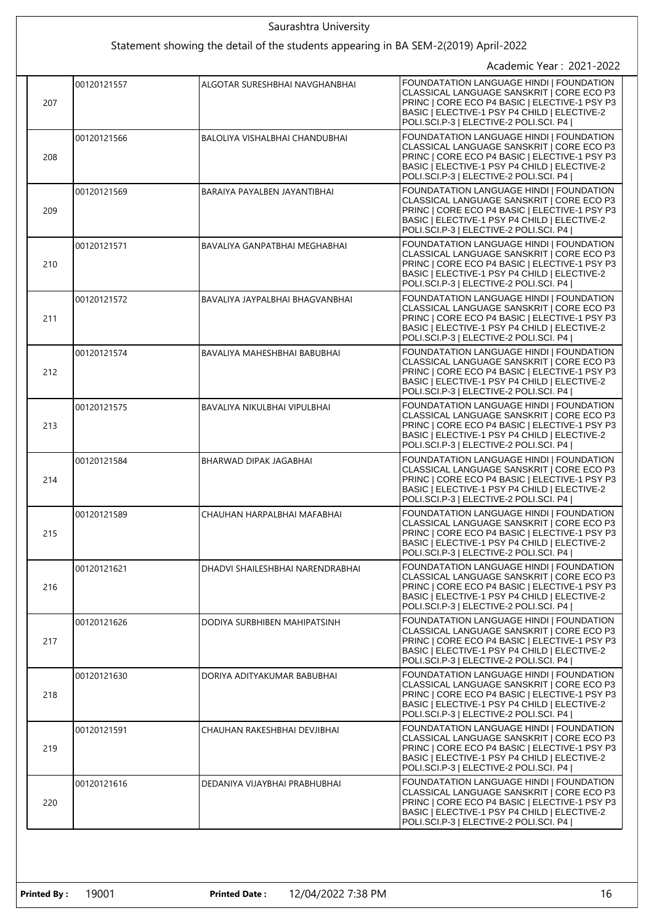|  | Saurashtra University                                                               |             |                                  |                                                                                                                                                                                                                                         |  |
|--|-------------------------------------------------------------------------------------|-------------|----------------------------------|-----------------------------------------------------------------------------------------------------------------------------------------------------------------------------------------------------------------------------------------|--|
|  | Statement showing the detail of the students appearing in BA SEM-2(2019) April-2022 |             |                                  |                                                                                                                                                                                                                                         |  |
|  |                                                                                     |             |                                  | Academic Year: 2021-2022                                                                                                                                                                                                                |  |
|  | 207                                                                                 | 00120121557 | ALGOTAR SURESHBHAI NAVGHANBHAI   | FOUNDATATION LANGUAGE HINDI   FOUNDATION<br>CLASSICAL LANGUAGE SANSKRIT   CORE ECO P3<br>PRINC   CORE ECO P4 BASIC   ELECTIVE-1 PSY P3<br>BASIC   ELECTIVE-1 PSY P4 CHILD   ELECTIVE-2<br>POLI.SCI.P-3   ELECTIVE-2 POLI.SCI. P4        |  |
|  | 208                                                                                 | 00120121566 | BALOLIYA VISHALBHAI CHANDUBHAI   | FOUNDATATION LANGUAGE HINDI   FOUNDATION<br>CLASSICAL LANGUAGE SANSKRIT I CORE ECO P3<br>PRINC   CORE ECO P4 BASIC   ELECTIVE-1 PSY P3<br>BASIC   ELECTIVE-1 PSY P4 CHILD   ELECTIVE-2<br>POLI.SCI.P-3   ELECTIVE-2 POLI.SCI. P4        |  |
|  | 209                                                                                 | 00120121569 | BARAIYA PAYALBEN JAYANTIBHAI     | FOUNDATATION LANGUAGE HINDI   FOUNDATION<br>CLASSICAL LANGUAGE SANSKRIT   CORE ECO P3<br>PRINC   CORE ECO P4 BASIC   ELECTIVE-1 PSY P3<br>BASIC   ELECTIVE-1 PSY P4 CHILD   ELECTIVE-2<br>POLI.SCI.P-3   ELECTIVE-2 POLI.SCI. P4        |  |
|  | 210                                                                                 | 00120121571 | BAVALIYA GANPATBHAI MEGHABHAI    | FOUNDATATION LANGUAGE HINDI   FOUNDATION<br>CLASSICAL LANGUAGE SANSKRIT   CORE ECO P3<br>PRINC   CORE ECO P4 BASIC   ELECTIVE-1 PSY P3<br>BASIC   ELECTIVE-1 PSY P4 CHILD   ELECTIVE-2<br>POLI.SCI.P-3   ELECTIVE-2 POLI.SCI. P4        |  |
|  | 211                                                                                 | 00120121572 | BAVALIYA JAYPALBHAI BHAGVANBHAI  | FOUNDATATION LANGUAGE HINDI I FOUNDATION<br>CLASSICAL LANGUAGE SANSKRIT   CORE ECO P3<br>PRINC   CORE ECO P4 BASIC   ELECTIVE-1 PSY P3<br>BASIC   ELECTIVE-1 PSY P4 CHILD   ELECTIVE-2<br>POLI.SCI.P-3   ELECTIVE-2 POLI.SCI. P4        |  |
|  | 212                                                                                 | 00120121574 | BAVALIYA MAHESHBHAI BABUBHAI     | FOUNDATATION LANGUAGE HINDI   FOUNDATION<br>CLASSICAL LANGUAGE SANSKRIT   CORE ECO P3<br>PRINC   CORE ECO P4 BASIC   ELECTIVE-1 PSY P3<br>BASIC   ELECTIVE-1 PSY P4 CHILD   ELECTIVE-2<br>POLI.SCI.P-3   ELECTIVE-2 POLI.SCI. P4        |  |
|  | 213                                                                                 | 00120121575 | BAVALIYA NIKULBHAI VIPULBHAI     | FOUNDATATION LANGUAGE HINDI   FOUNDATION<br>CLASSICAL LANGUAGE SANSKRIT   CORE ECO P3<br>PRINC   CORE ECO P4 BASIC   ELECTIVE-1 PSY P3<br>BASIC   ELECTIVE-1 PSY P4 CHILD   ELECTIVE-2<br>POLI.SCI.P-3   ELECTIVE-2 POLI.SCI. P4        |  |
|  | 214                                                                                 | 00120121584 | BHARWAD DIPAK JAGABHAI           | FOUNDATATION LANGUAGE HINDI   FOUNDATION<br>CLASSICAL LANGUAGE SANSKRIT   CORE ECO P3<br>PRINC   CORE ECO P4 BASIC   ELECTIVE-1 PSY P3<br>BASIC   ELECTIVE-1 PSY P4 CHILD   ELECTIVE-2<br>POLI.SCI.P-3   ELECTIVE-2 POLI.SCI. P4        |  |
|  | 215                                                                                 | 00120121589 | CHAUHAN HARPALBHAI MAFABHAI      | FOUNDATATION LANGUAGE HINDI   FOUNDATION<br>CLASSICAL LANGUAGE SANSKRIT   CORE ECO P3<br>PRINC   CORE ECO P4 BASIC   ELECTIVE-1 PSY P3<br>BASIC   ELECTIVE-1 PSY P4 CHILD   ELECTIVE-2<br>POLI.SCI.P-3   ELECTIVE-2 POLI.SCI. P4        |  |
|  | 216                                                                                 | 00120121621 | DHADVI SHAILESHBHAI NARENDRABHAI | <b>FOUNDATATION LANGUAGE HINDI I FOUNDATION</b><br>CLASSICAL LANGUAGE SANSKRIT   CORE ECO P3<br>PRINC   CORE ECO P4 BASIC   ELECTIVE-1 PSY P3<br>BASIC   ELECTIVE-1 PSY P4 CHILD   ELECTIVE-2<br>POLI.SCI.P-3   ELECTIVE-2 POLI.SCI. P4 |  |
|  | 217                                                                                 | 00120121626 | DODIYA SURBHIBEN MAHIPATSINH     | FOUNDATATION LANGUAGE HINDI   FOUNDATION<br>CLASSICAL LANGUAGE SANSKRIT   CORE ECO P3<br>PRINC   CORE ECO P4 BASIC   ELECTIVE-1 PSY P3<br>BASIC   ELECTIVE-1 PSY P4 CHILD   ELECTIVE-2<br>POLI.SCI.P-3   ELECTIVE-2 POLI.SCI. P4        |  |
|  | 218                                                                                 | 00120121630 | DORIYA ADITYAKUMAR BABUBHAI      | FOUNDATATION LANGUAGE HINDI   FOUNDATION<br>CLASSICAL LANGUAGE SANSKRIT   CORE ECO P3<br>PRINC   CORE ECO P4 BASIC   ELECTIVE-1 PSY P3<br>BASIC   ELECTIVE-1 PSY P4 CHILD   ELECTIVE-2<br>POLI.SCI.P-3   ELECTIVE-2 POLI.SCI. P4        |  |
|  | 219                                                                                 | 00120121591 | CHAUHAN RAKESHBHAI DEVJIBHAI     | FOUNDATATION LANGUAGE HINDI   FOUNDATION<br>CLASSICAL LANGUAGE SANSKRIT   CORE ECO P3<br>PRINC   CORE ECO P4 BASIC   ELECTIVE-1 PSY P3<br>BASIC   ELECTIVE-1 PSY P4 CHILD   ELECTIVE-2<br>POLI.SCI.P-3   ELECTIVE-2 POLI.SCI. P4        |  |
|  | 220                                                                                 | 00120121616 | DEDANIYA VIJAYBHAI PRABHUBHAI    | FOUNDATATION LANGUAGE HINDI   FOUNDATION<br>CLASSICAL LANGUAGE SANSKRIT   CORE ECO P3<br>PRINC   CORE ECO P4 BASIC   ELECTIVE-1 PSY P3<br>BASIC   ELECTIVE-1 PSY P4 CHILD   ELECTIVE-2<br>POLI.SCI.P-3   ELECTIVE-2 POLI.SCI. P4        |  |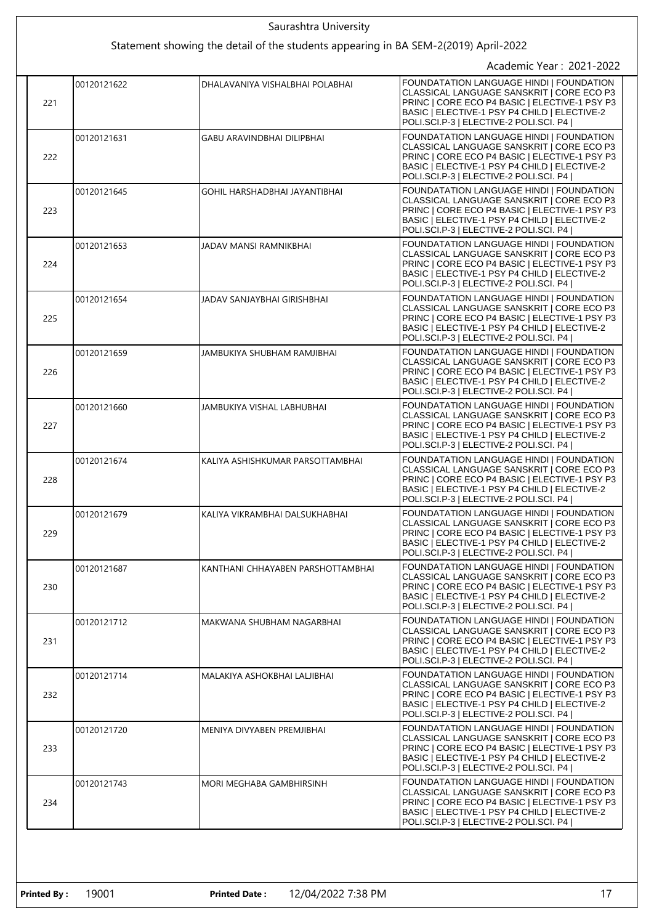| Saurashtra University                                                               |             |                                      |                                                                                                                                                                                                                                  |  |
|-------------------------------------------------------------------------------------|-------------|--------------------------------------|----------------------------------------------------------------------------------------------------------------------------------------------------------------------------------------------------------------------------------|--|
| Statement showing the detail of the students appearing in BA SEM-2(2019) April-2022 |             |                                      |                                                                                                                                                                                                                                  |  |
|                                                                                     |             |                                      | Academic Year: 2021-2022                                                                                                                                                                                                         |  |
| 221                                                                                 | 00120121622 | DHALAVANIYA VISHALBHAI POLABHAI      | FOUNDATATION LANGUAGE HINDI   FOUNDATION<br>CLASSICAL LANGUAGE SANSKRIT   CORE ECO P3<br>PRINC   CORE ECO P4 BASIC   ELECTIVE-1 PSY P3<br>BASIC   ELECTIVE-1 PSY P4 CHILD   ELECTIVE-2<br>POLI.SCI.P-3   ELECTIVE-2 POLI.SCI. P4 |  |
| 222                                                                                 | 00120121631 | <b>GABU ARAVINDBHAI DILIPBHAI</b>    | FOUNDATATION LANGUAGE HINDI   FOUNDATION<br>CLASSICAL LANGUAGE SANSKRIT   CORE ECO P3<br>PRINC   CORE ECO P4 BASIC   ELECTIVE-1 PSY P3<br>BASIC   ELECTIVE-1 PSY P4 CHILD   ELECTIVE-2<br>POLI.SCI.P-3   ELECTIVE-2 POLI.SCI. P4 |  |
| 223                                                                                 | 00120121645 | <b>GOHIL HARSHADBHAI JAYANTIBHAI</b> | FOUNDATATION LANGUAGE HINDI   FOUNDATION<br>CLASSICAL LANGUAGE SANSKRIT   CORE ECO P3<br>PRINC   CORE ECO P4 BASIC   ELECTIVE-1 PSY P3<br>BASIC   ELECTIVE-1 PSY P4 CHILD   ELECTIVE-2<br>POLI.SCI.P-3   ELECTIVE-2 POLI.SCI. P4 |  |
| 224                                                                                 | 00120121653 | JADAV MANSI RAMNIKBHAI               | FOUNDATATION LANGUAGE HINDI   FOUNDATION<br>CLASSICAL LANGUAGE SANSKRIT   CORE ECO P3<br>PRINC   CORE ECO P4 BASIC   ELECTIVE-1 PSY P3<br>BASIC   ELECTIVE-1 PSY P4 CHILD   ELECTIVE-2<br>POLI.SCI.P-3   ELECTIVE-2 POLI.SCI. P4 |  |
| 225                                                                                 | 00120121654 | JADAV SANJAYBHAI GIRISHBHAI          | FOUNDATATION LANGUAGE HINDI   FOUNDATION<br>CLASSICAL LANGUAGE SANSKRIT   CORE ECO P3<br>PRINC   CORE ECO P4 BASIC   ELECTIVE-1 PSY P3<br>BASIC   ELECTIVE-1 PSY P4 CHILD   ELECTIVE-2<br>POLI.SCI.P-3   ELECTIVE-2 POLI.SCI. P4 |  |
| 226                                                                                 | 00120121659 | JAMBUKIYA SHUBHAM RAMJIBHAI          | FOUNDATATION LANGUAGE HINDI   FOUNDATION<br>CLASSICAL LANGUAGE SANSKRIT   CORE ECO P3<br>PRINC   CORE ECO P4 BASIC   ELECTIVE-1 PSY P3<br>BASIC   ELECTIVE-1 PSY P4 CHILD   ELECTIVE-2<br>POLI.SCI.P-3   ELECTIVE-2 POLI.SCI. P4 |  |
| 227                                                                                 | 00120121660 | JAMBUKIYA VISHAL LABHUBHAI           | FOUNDATATION LANGUAGE HINDI   FOUNDATION<br>CLASSICAL LANGUAGE SANSKRIT   CORE ECO P3<br>PRINC   CORE ECO P4 BASIC   ELECTIVE-1 PSY P3<br>BASIC   ELECTIVE-1 PSY P4 CHILD   ELECTIVE-2<br>POLI.SCI.P-3   ELECTIVE-2 POLI.SCI. P4 |  |
| 228                                                                                 | 00120121674 | KALIYA ASHISHKUMAR PARSOTTAMBHAI     | FOUNDATATION LANGUAGE HINDI   FOUNDATION<br>CLASSICAL LANGUAGE SANSKRIT   CORE ECO P3<br>PRINC   CORE ECO P4 BASIC   ELECTIVE-1 PSY P3<br>BASIC   ELECTIVE-1 PSY P4 CHILD   ELECTIVE-2<br>POLI.SCI.P-3   ELECTIVE-2 POLI.SCI. P4 |  |
| 229                                                                                 | 00120121679 | KALIYA VIKRAMBHAI DALSUKHABHAI       | FOUNDATATION LANGUAGE HINDI   FOUNDATION<br>CLASSICAL LANGUAGE SANSKRIT   CORE ECO P3<br>PRINC   CORE ECO P4 BASIC   ELECTIVE-1 PSY P3<br>BASIC   ELECTIVE-1 PSY P4 CHILD   ELECTIVE-2<br>POLI.SCI.P-3   ELECTIVE-2 POLI.SCI. P4 |  |
| 230                                                                                 | 00120121687 | KANTHANI CHHAYABEN PARSHOTTAMBHAI    | FOUNDATATION LANGUAGE HINDI   FOUNDATION<br>CLASSICAL LANGUAGE SANSKRIT   CORE ECO P3<br>PRINC   CORE ECO P4 BASIC   ELECTIVE-1 PSY P3<br>BASIC   ELECTIVE-1 PSY P4 CHILD   ELECTIVE-2<br>POLI.SCI.P-3   ELECTIVE-2 POLI.SCI. P4 |  |
| 231                                                                                 | 00120121712 | MAKWANA SHUBHAM NAGARBHAI            | FOUNDATATION LANGUAGE HINDI I FOUNDATION<br>CLASSICAL LANGUAGE SANSKRIT   CORE ECO P3<br>PRINC   CORE ECO P4 BASIC   ELECTIVE-1 PSY P3<br>BASIC   ELECTIVE-1 PSY P4 CHILD   ELECTIVE-2<br>POLI.SCI.P-3   ELECTIVE-2 POLI.SCI. P4 |  |
| 232                                                                                 | 00120121714 | MALAKIYA ASHOKBHAI LALJIBHAI         | FOUNDATATION LANGUAGE HINDI   FOUNDATION<br>CLASSICAL LANGUAGE SANSKRIT   CORE ECO P3<br>PRINC   CORE ECO P4 BASIC   ELECTIVE-1 PSY P3<br>BASIC   ELECTIVE-1 PSY P4 CHILD   ELECTIVE-2<br>POLI.SCI.P-3   ELECTIVE-2 POLI.SCI. P4 |  |
| 233                                                                                 | 00120121720 | MENIYA DIVYABEN PREMJIBHAI           | FOUNDATATION LANGUAGE HINDI   FOUNDATION<br>CLASSICAL LANGUAGE SANSKRIT   CORE ECO P3<br>PRINC   CORE ECO P4 BASIC   ELECTIVE-1 PSY P3<br>BASIC   ELECTIVE-1 PSY P4 CHILD   ELECTIVE-2<br>POLI.SCI.P-3   ELECTIVE-2 POLI.SCI. P4 |  |
| 234                                                                                 | 00120121743 | MORI MEGHABA GAMBHIRSINH             | FOUNDATATION LANGUAGE HINDI   FOUNDATION<br>CLASSICAL LANGUAGE SANSKRIT   CORE ECO P3<br>PRINC   CORE ECO P4 BASIC   ELECTIVE-1 PSY P3<br>BASIC   ELECTIVE-1 PSY P4 CHILD   ELECTIVE-2<br>POLI.SCI.P-3   ELECTIVE-2 POLI.SCI. P4 |  |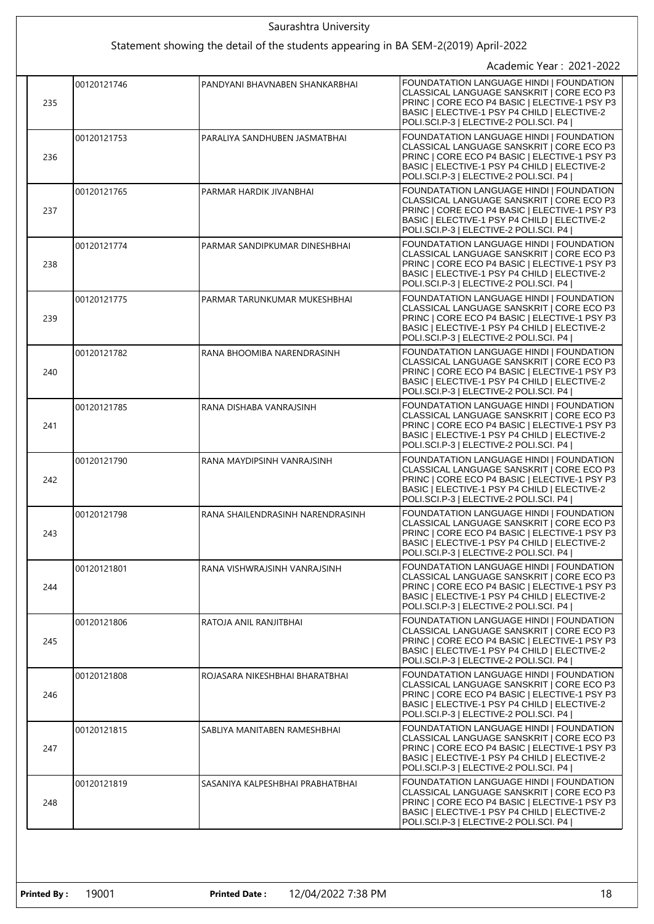|  | Saurashtra University                                                               |             |                                  |                                                                                                                                                                                                                                  |
|--|-------------------------------------------------------------------------------------|-------------|----------------------------------|----------------------------------------------------------------------------------------------------------------------------------------------------------------------------------------------------------------------------------|
|  | Statement showing the detail of the students appearing in BA SEM-2(2019) April-2022 |             |                                  |                                                                                                                                                                                                                                  |
|  |                                                                                     |             |                                  | Academic Year: 2021-2022                                                                                                                                                                                                         |
|  | 235                                                                                 | 00120121746 | PANDYANI BHAVNABEN SHANKARBHAI   | FOUNDATATION LANGUAGE HINDI   FOUNDATION<br>CLASSICAL LANGUAGE SANSKRIT   CORE ECO P3<br>PRINC   CORE ECO P4 BASIC   ELECTIVE-1 PSY P3<br>BASIC   ELECTIVE-1 PSY P4 CHILD   ELECTIVE-2<br>POLI.SCI.P-3   ELECTIVE-2 POLI.SCI. P4 |
|  | 236                                                                                 | 00120121753 | PARALIYA SANDHUBEN JASMATBHAI    | FOUNDATATION LANGUAGE HINDI   FOUNDATION<br>CLASSICAL LANGUAGE SANSKRIT   CORE ECO P3<br>PRINC   CORE ECO P4 BASIC   ELECTIVE-1 PSY P3<br>BASIC   ELECTIVE-1 PSY P4 CHILD   ELECTIVE-2<br>POLI.SCI.P-3   ELECTIVE-2 POLI.SCI. P4 |
|  | 237                                                                                 | 00120121765 | PARMAR HARDIK JIVANBHAI          | FOUNDATATION LANGUAGE HINDI   FOUNDATION<br>CLASSICAL LANGUAGE SANSKRIT   CORE ECO P3<br>PRINC   CORE ECO P4 BASIC   ELECTIVE-1 PSY P3<br>BASIC   ELECTIVE-1 PSY P4 CHILD   ELECTIVE-2<br>POLI.SCI.P-3   ELECTIVE-2 POLI.SCI. P4 |
|  | 238                                                                                 | 00120121774 | PARMAR SANDIPKUMAR DINESHBHAI    | FOUNDATATION LANGUAGE HINDI   FOUNDATION<br>CLASSICAL LANGUAGE SANSKRIT   CORE ECO P3<br>PRINC   CORE ECO P4 BASIC   ELECTIVE-1 PSY P3<br>BASIC   ELECTIVE-1 PSY P4 CHILD   ELECTIVE-2<br>POLI.SCI.P-3   ELECTIVE-2 POLI.SCI. P4 |
|  | 239                                                                                 | 00120121775 | PARMAR TARUNKUMAR MUKESHBHAI     | FOUNDATATION LANGUAGE HINDI   FOUNDATION<br>CLASSICAL LANGUAGE SANSKRIT   CORE ECO P3<br>PRINC   CORE ECO P4 BASIC   ELECTIVE-1 PSY P3<br>BASIC   ELECTIVE-1 PSY P4 CHILD   ELECTIVE-2<br>POLI.SCI.P-3   ELECTIVE-2 POLI.SCI. P4 |
|  | 240                                                                                 | 00120121782 | RANA BHOOMIBA NARENDRASINH       | FOUNDATATION LANGUAGE HINDI   FOUNDATION<br>CLASSICAL LANGUAGE SANSKRIT   CORE ECO P3<br>PRINC   CORE ECO P4 BASIC   ELECTIVE-1 PSY P3<br>BASIC   ELECTIVE-1 PSY P4 CHILD   ELECTIVE-2<br>POLI.SCI.P-3   ELECTIVE-2 POLI.SCI. P4 |
|  | 241                                                                                 | 00120121785 | RANA DISHABA VANRAJSINH          | FOUNDATATION LANGUAGE HINDI   FOUNDATION<br>CLASSICAL LANGUAGE SANSKRIT   CORE ECO P3<br>PRINC   CORE ECO P4 BASIC   ELECTIVE-1 PSY P3<br>BASIC   ELECTIVE-1 PSY P4 CHILD   ELECTIVE-2<br>POLI.SCI.P-3   ELECTIVE-2 POLI.SCI. P4 |
|  | 242                                                                                 | 00120121790 | RANA MAYDIPSINH VANRAJSINH       | FOUNDATATION LANGUAGE HINDI   FOUNDATION<br>CLASSICAL LANGUAGE SANSKRIT   CORE ECO P3<br>PRINC   CORE ECO P4 BASIC   ELECTIVE-1 PSY P3<br>BASIC   ELECTIVE-1 PSY P4 CHILD   ELECTIVE-2<br>POLI.SCI.P-3   ELECTIVE-2 POLI.SCI. P4 |
|  | 243                                                                                 | 00120121798 | RANA SHAILENDRASINH NARENDRASINH | FOUNDATATION LANGUAGE HINDI   FOUNDATION<br>CLASSICAL LANGUAGE SANSKRIT   CORE ECO P3<br>PRINC   CORE ECO P4 BASIC   ELECTIVE-1 PSY P3<br>BASIC   ELECTIVE-1 PSY P4 CHILD   ELECTIVE-2<br>POLI.SCI.P-3   ELECTIVE-2 POLI.SCI. P4 |
|  | 244                                                                                 | 00120121801 | RANA VISHWRAJSINH VANRAJSINH     | FOUNDATATION LANGUAGE HINDI   FOUNDATION<br>CLASSICAL LANGUAGE SANSKRIT   CORE ECO P3<br>PRINC   CORE ECO P4 BASIC   ELECTIVE-1 PSY P3<br>BASIC   ELECTIVE-1 PSY P4 CHILD   ELECTIVE-2<br>POLI.SCI.P-3   ELECTIVE-2 POLI.SCI. P4 |
|  | 245                                                                                 | 00120121806 | RATOJA ANIL RANJITBHAI           | FOUNDATATION LANGUAGE HINDI   FOUNDATION<br>CLASSICAL LANGUAGE SANSKRIT   CORE ECO P3<br>PRINC   CORE ECO P4 BASIC   ELECTIVE-1 PSY P3<br>BASIC   ELECTIVE-1 PSY P4 CHILD   ELECTIVE-2<br>POLI.SCI.P-3   ELECTIVE-2 POLI.SCI. P4 |
|  | 246                                                                                 | 00120121808 | ROJASARA NIKESHBHAI BHARATBHAI   | FOUNDATATION LANGUAGE HINDI   FOUNDATION<br>CLASSICAL LANGUAGE SANSKRIT   CORE ECO P3<br>PRINC   CORE ECO P4 BASIC   ELECTIVE-1 PSY P3<br>BASIC   ELECTIVE-1 PSY P4 CHILD   ELECTIVE-2<br>POLI.SCI.P-3   ELECTIVE-2 POLI.SCI. P4 |
|  | 247                                                                                 | 00120121815 | SABLIYA MANITABEN RAMESHBHAI     | FOUNDATATION LANGUAGE HINDI   FOUNDATION<br>CLASSICAL LANGUAGE SANSKRIT   CORE ECO P3<br>PRINC   CORE ECO P4 BASIC   ELECTIVE-1 PSY P3<br>BASIC   ELECTIVE-1 PSY P4 CHILD   ELECTIVE-2<br>POLI.SCI.P-3   ELECTIVE-2 POLI.SCI. P4 |
|  | 248                                                                                 | 00120121819 | SASANIYA KALPESHBHAI PRABHATBHAI | FOUNDATATION LANGUAGE HINDI   FOUNDATION<br>CLASSICAL LANGUAGE SANSKRIT   CORE ECO P3<br>PRINC   CORE ECO P4 BASIC   ELECTIVE-1 PSY P3<br>BASIC   ELECTIVE-1 PSY P4 CHILD   ELECTIVE-2<br>POLI.SCI.P-3   ELECTIVE-2 POLI.SCI. P4 |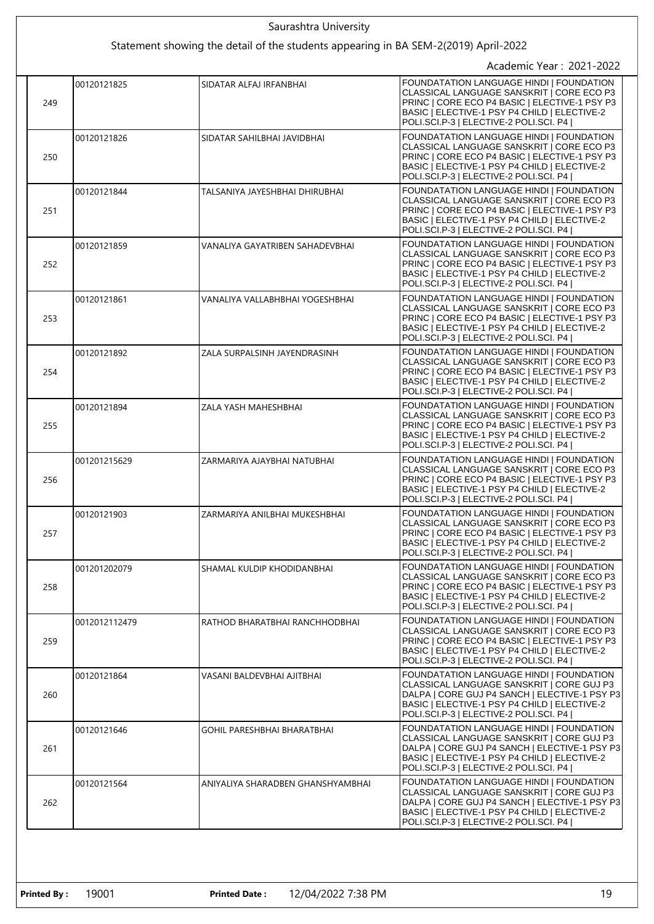| Saurashtra University                                                               |               |                                   |                                                                                                                                                                                                                                  |
|-------------------------------------------------------------------------------------|---------------|-----------------------------------|----------------------------------------------------------------------------------------------------------------------------------------------------------------------------------------------------------------------------------|
| Statement showing the detail of the students appearing in BA SEM-2(2019) April-2022 |               |                                   |                                                                                                                                                                                                                                  |
|                                                                                     |               |                                   | Academic Year: 2021-2022                                                                                                                                                                                                         |
| 249                                                                                 | 00120121825   | SIDATAR ALFAJ IRFANBHAI           | FOUNDATATION LANGUAGE HINDI   FOUNDATION<br>CLASSICAL LANGUAGE SANSKRIT   CORE ECO P3<br>PRINC   CORE ECO P4 BASIC   ELECTIVE-1 PSY P3<br>BASIC   ELECTIVE-1 PSY P4 CHILD   ELECTIVE-2<br>POLI.SCI.P-3   ELECTIVE-2 POLI.SCI. P4 |
| 250                                                                                 | 00120121826   | SIDATAR SAHILBHAI JAVIDBHAI       | FOUNDATATION LANGUAGE HINDI   FOUNDATION<br>CLASSICAL LANGUAGE SANSKRIT   CORE ECO P3<br>PRINC   CORE ECO P4 BASIC   ELECTIVE-1 PSY P3<br>BASIC   ELECTIVE-1 PSY P4 CHILD   ELECTIVE-2<br>POLI.SCI.P-3   ELECTIVE-2 POLI.SCI. P4 |
| 251                                                                                 | 00120121844   | TALSANIYA JAYESHBHAI DHIRUBHAI    | FOUNDATATION LANGUAGE HINDI   FOUNDATION<br>CLASSICAL LANGUAGE SANSKRIT   CORE ECO P3<br>PRINC   CORE ECO P4 BASIC   ELECTIVE-1 PSY P3<br>BASIC   ELECTIVE-1 PSY P4 CHILD   ELECTIVE-2<br>POLI.SCI.P-3   ELECTIVE-2 POLI.SCI. P4 |
| 252                                                                                 | 00120121859   | VANALIYA GAYATRIBEN SAHADEVBHAI   | FOUNDATATION LANGUAGE HINDI   FOUNDATION<br>CLASSICAL LANGUAGE SANSKRIT   CORE ECO P3<br>PRINC   CORE ECO P4 BASIC   ELECTIVE-1 PSY P3<br>BASIC   ELECTIVE-1 PSY P4 CHILD   ELECTIVE-2<br>POLI.SCI.P-3   ELECTIVE-2 POLI.SCI. P4 |
| 253                                                                                 | 00120121861   | VANALIYA VALLABHBHAI YOGESHBHAI   | FOUNDATATION LANGUAGE HINDI   FOUNDATION<br>CLASSICAL LANGUAGE SANSKRIT   CORE ECO P3<br>PRINC   CORE ECO P4 BASIC   ELECTIVE-1 PSY P3<br>BASIC   ELECTIVE-1 PSY P4 CHILD   ELECTIVE-2<br>POLI.SCI.P-3   ELECTIVE-2 POLI.SCI. P4 |
| 254                                                                                 | 00120121892   | ZALA SURPALSINH JAYENDRASINH      | FOUNDATATION LANGUAGE HINDI   FOUNDATION<br>CLASSICAL LANGUAGE SANSKRIT   CORE ECO P3<br>PRINC   CORE ECO P4 BASIC   ELECTIVE-1 PSY P3<br>BASIC   ELECTIVE-1 PSY P4 CHILD   ELECTIVE-2<br>POLI.SCI.P-3   ELECTIVE-2 POLI.SCI. P4 |
| 255                                                                                 | 00120121894   | ZALA YASH MAHESHBHAI              | FOUNDATATION LANGUAGE HINDI   FOUNDATION<br>CLASSICAL LANGUAGE SANSKRIT   CORE ECO P3<br>PRINC   CORE ECO P4 BASIC   ELECTIVE-1 PSY P3<br>BASIC   ELECTIVE-1 PSY P4 CHILD   ELECTIVE-2<br>POLI.SCI.P-3   ELECTIVE-2 POLI.SCI. P4 |
| 256                                                                                 | 001201215629  | ZARMARIYA AJAYBHAI NATUBHAI       | FOUNDATATION LANGUAGE HINDI   FOUNDATION<br>CLASSICAL LANGUAGE SANSKRIT   CORE ECO P3<br>PRINC   CORE ECO P4 BASIC   ELECTIVE-1 PSY P3<br>BASIC   ELECTIVE-1 PSY P4 CHILD   ELECTIVE-2<br>POLI.SCI.P-3   ELECTIVE-2 POLI.SCI. P4 |
| 257                                                                                 | 00120121903   | ZARMARIYA ANILBHAI MUKESHBHAI     | FOUNDATATION LANGUAGE HINDI   FOUNDATION<br>CLASSICAL LANGUAGE SANSKRIT   CORE ECO P3<br>PRINC   CORE ECO P4 BASIC   ELECTIVE-1 PSY P3<br>BASIC   ELECTIVE-1 PSY P4 CHILD   ELECTIVE-2<br>POLI.SCI.P-3   ELECTIVE-2 POLI.SCI. P4 |
| 258                                                                                 | 001201202079  | SHAMAL KULDIP KHODIDANBHAI        | FOUNDATATION LANGUAGE HINDI   FOUNDATION<br>CLASSICAL LANGUAGE SANSKRIT   CORE ECO P3<br>PRINC   CORE ECO P4 BASIC   ELECTIVE-1 PSY P3<br>BASIC   ELECTIVE-1 PSY P4 CHILD   ELECTIVE-2<br>POLI.SCI.P-3   ELECTIVE-2 POLI.SCI. P4 |
| 259                                                                                 | 0012012112479 | RATHOD BHARATBHAI RANCHHODBHAI    | FOUNDATATION LANGUAGE HINDI   FOUNDATION<br>CLASSICAL LANGUAGE SANSKRIT   CORE ECO P3<br>PRINC   CORE ECO P4 BASIC   ELECTIVE-1 PSY P3<br>BASIC   ELECTIVE-1 PSY P4 CHILD   ELECTIVE-2<br>POLI.SCI.P-3   ELECTIVE-2 POLI.SCI. P4 |
| 260                                                                                 | 00120121864   | VASANI BALDEVBHAI AJITBHAI        | FOUNDATATION LANGUAGE HINDI   FOUNDATION<br>CLASSICAL LANGUAGE SANSKRIT   CORE GUJ P3<br>DALPA   CORE GUJ P4 SANCH   ELECTIVE-1 PSY P3<br>BASIC   ELECTIVE-1 PSY P4 CHILD   ELECTIVE-2<br>POLI.SCI.P-3   ELECTIVE-2 POLI.SCI. P4 |
| 261                                                                                 | 00120121646   | GOHIL PARESHBHAI BHARATBHAI       | FOUNDATATION LANGUAGE HINDI   FOUNDATION<br>CLASSICAL LANGUAGE SANSKRIT   CORE GUJ P3<br>DALPA   CORE GUJ P4 SANCH   ELECTIVE-1 PSY P3<br>BASIC   ELECTIVE-1 PSY P4 CHILD   ELECTIVE-2<br>POLI.SCI.P-3   ELECTIVE-2 POLI.SCI. P4 |
| 262                                                                                 | 00120121564   | ANIYALIYA SHARADBEN GHANSHYAMBHAI | FOUNDATATION LANGUAGE HINDI   FOUNDATION<br>CLASSICAL LANGUAGE SANSKRIT   CORE GUJ P3<br>DALPA   CORE GUJ P4 SANCH   ELECTIVE-1 PSY P3<br>BASIC   ELECTIVE-1 PSY P4 CHILD   ELECTIVE-2<br>POLI.SCI.P-3   ELECTIVE-2 POLI.SCI. P4 |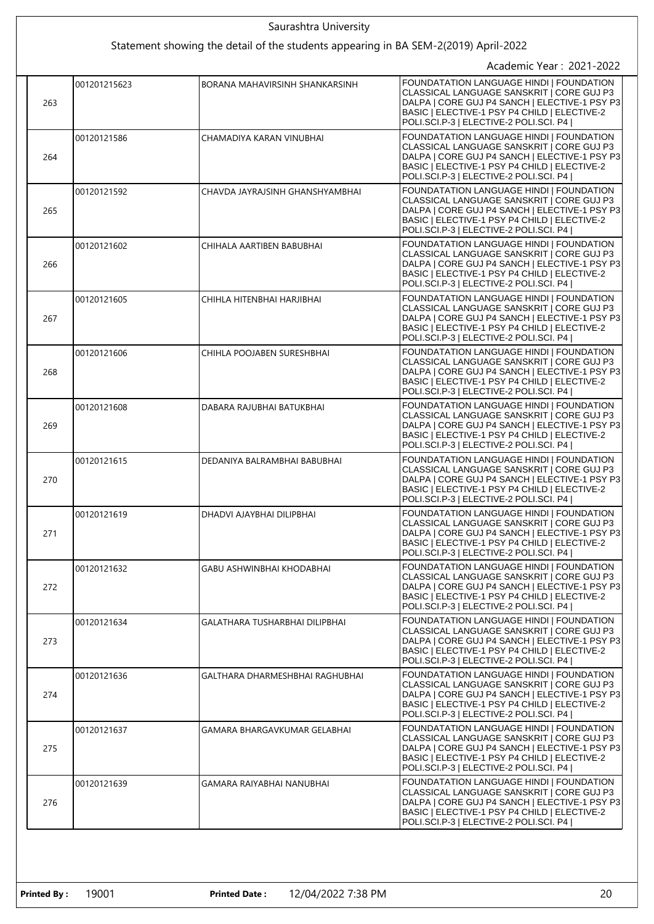| Saurashtra University |              |                                                                                     |                                                                                                                                                                                                                                  |
|-----------------------|--------------|-------------------------------------------------------------------------------------|----------------------------------------------------------------------------------------------------------------------------------------------------------------------------------------------------------------------------------|
|                       |              | Statement showing the detail of the students appearing in BA SEM-2(2019) April-2022 |                                                                                                                                                                                                                                  |
|                       |              |                                                                                     | Academic Year: 2021-2022                                                                                                                                                                                                         |
| 263                   | 001201215623 | BORANA MAHAVIRSINH SHANKARSINH                                                      | FOUNDATATION LANGUAGE HINDI   FOUNDATION<br>CLASSICAL LANGUAGE SANSKRIT   CORE GUJ P3<br>DALPA   CORE GUJ P4 SANCH   ELECTIVE-1 PSY P3<br>BASIC   ELECTIVE-1 PSY P4 CHILD   ELECTIVE-2<br>POLI.SCI.P-3   ELECTIVE-2 POLI.SCI. P4 |
| 264                   | 00120121586  | CHAMADIYA KARAN VINUBHAI                                                            | FOUNDATATION LANGUAGE HINDI   FOUNDATION<br>CLASSICAL LANGUAGE SANSKRIT   CORE GUJ P3<br>DALPA   CORE GUJ P4 SANCH   ELECTIVE-1 PSY P3<br>BASIC   ELECTIVE-1 PSY P4 CHILD   ELECTIVE-2<br>POLI.SCI.P-3   ELECTIVE-2 POLI.SCI. P4 |
| 265                   | 00120121592  | CHAVDA JAYRAJSINH GHANSHYAMBHAI                                                     | FOUNDATATION LANGUAGE HINDI   FOUNDATION<br>CLASSICAL LANGUAGE SANSKRIT   CORE GUJ P3<br>DALPA   CORE GUJ P4 SANCH   ELECTIVE-1 PSY P3<br>BASIC   ELECTIVE-1 PSY P4 CHILD   ELECTIVE-2<br>POLI.SCI.P-3   ELECTIVE-2 POLI.SCI. P4 |
| 266                   | 00120121602  | CHIHALA AARTIBEN BABUBHAI                                                           | FOUNDATATION LANGUAGE HINDI   FOUNDATION<br>CLASSICAL LANGUAGE SANSKRIT   CORE GUJ P3<br>DALPA   CORE GUJ P4 SANCH   ELECTIVE-1 PSY P3<br>BASIC   ELECTIVE-1 PSY P4 CHILD   ELECTIVE-2<br>POLI.SCI.P-3   ELECTIVE-2 POLI.SCI. P4 |
| 267                   | 00120121605  | CHIHLA HITENBHAI HARJIBHAI                                                          | FOUNDATATION LANGUAGE HINDI   FOUNDATION<br>CLASSICAL LANGUAGE SANSKRIT   CORE GUJ P3<br>DALPA   CORE GUJ P4 SANCH   ELECTIVE-1 PSY P3<br>BASIC   ELECTIVE-1 PSY P4 CHILD   ELECTIVE-2<br>POLI.SCI.P-3   ELECTIVE-2 POLI.SCI. P4 |
| 268                   | 00120121606  | CHIHLA POOJABEN SURESHBHAI                                                          | FOUNDATATION LANGUAGE HINDI   FOUNDATION<br>CLASSICAL LANGUAGE SANSKRIT   CORE GUJ P3<br>DALPA   CORE GUJ P4 SANCH   ELECTIVE-1 PSY P3<br>BASIC   ELECTIVE-1 PSY P4 CHILD   ELECTIVE-2<br>POLI.SCI.P-3   ELECTIVE-2 POLI.SCI. P4 |
| 269                   | 00120121608  | DABARA RAJUBHAI BATUKBHAI                                                           | FOUNDATATION LANGUAGE HINDI   FOUNDATION<br>CLASSICAL LANGUAGE SANSKRIT   CORE GUJ P3<br>DALPA   CORE GUJ P4 SANCH   ELECTIVE-1 PSY P3<br>BASIC   ELECTIVE-1 PSY P4 CHILD   ELECTIVE-2<br>POLI.SCI.P-3   ELECTIVE-2 POLI.SCI. P4 |
| 270                   | 00120121615  | DEDANIYA BALRAMBHAI BABUBHAI                                                        | FOUNDATATION LANGUAGE HINDI   FOUNDATION<br>CLASSICAL LANGUAGE SANSKRIT   CORE GUJ P3<br>DALPA   CORE GUJ P4 SANCH   ELECTIVE-1 PSY P3<br>BASIC   ELECTIVE-1 PSY P4 CHILD   ELECTIVE-2<br>POLI.SCI.P-3   ELECTIVE-2 POLI.SCI. P4 |
| 271                   | 00120121619  | DHADVI AJAYBHAI DILIPBHAI                                                           | FOUNDATATION LANGUAGE HINDI   FOUNDATION<br>CLASSICAL LANGUAGE SANSKRIT   CORE GUJ P3<br>DALPA   CORE GUJ P4 SANCH   ELECTIVE-1 PSY P3<br>BASIC   ELECTIVE-1 PSY P4 CHILD   ELECTIVE-2<br>POLI.SCI.P-3   ELECTIVE-2 POLI.SCI. P4 |
| 272                   | 00120121632  | GABU ASHWINBHAI KHODABHAI                                                           | FOUNDATATION LANGUAGE HINDI   FOUNDATION<br>CLASSICAL LANGUAGE SANSKRIT   CORE GUJ P3<br>DALPA   CORE GUJ P4 SANCH   ELECTIVE-1 PSY P3<br>BASIC   ELECTIVE-1 PSY P4 CHILD   ELECTIVE-2<br>POLI.SCI.P-3   ELECTIVE-2 POLI.SCI. P4 |
| 273                   | 00120121634  | GALATHARA TUSHARBHAI DILIPBHAI                                                      | FOUNDATATION LANGUAGE HINDI I FOUNDATION<br>CLASSICAL LANGUAGE SANSKRIT I CORE GUJ P3<br>DALPA   CORE GUJ P4 SANCH   ELECTIVE-1 PSY P3<br>BASIC   ELECTIVE-1 PSY P4 CHILD   ELECTIVE-2<br>POLI.SCI.P-3   ELECTIVE-2 POLI.SCI. P4 |
| 274                   | 00120121636  | GALTHARA DHARMESHBHAI RAGHUBHAI                                                     | FOUNDATATION LANGUAGE HINDI   FOUNDATION<br>CLASSICAL LANGUAGE SANSKRIT   CORE GUJ P3<br>DALPA   CORE GUJ P4 SANCH   ELECTIVE-1 PSY P3<br>BASIC   ELECTIVE-1 PSY P4 CHILD   ELECTIVE-2<br>POLI.SCI.P-3   ELECTIVE-2 POLI.SCI. P4 |
| 275                   | 00120121637  | GAMARA BHARGAVKUMAR GELABHAI                                                        | FOUNDATATION LANGUAGE HINDI   FOUNDATION<br>CLASSICAL LANGUAGE SANSKRIT   CORE GUJ P3<br>DALPA   CORE GUJ P4 SANCH   ELECTIVE-1 PSY P3<br>BASIC   ELECTIVE-1 PSY P4 CHILD   ELECTIVE-2<br>POLI.SCI.P-3   ELECTIVE-2 POLI.SCI. P4 |
| 276                   | 00120121639  | GAMARA RAIYABHAI NANUBHAI                                                           | FOUNDATATION LANGUAGE HINDI   FOUNDATION<br>CLASSICAL LANGUAGE SANSKRIT   CORE GUJ P3<br>DALPA   CORE GUJ P4 SANCH   ELECTIVE-1 PSY P3<br>BASIC   ELECTIVE-1 PSY P4 CHILD   ELECTIVE-2<br>POLI.SCI.P-3   ELECTIVE-2 POLI.SCI. P4 |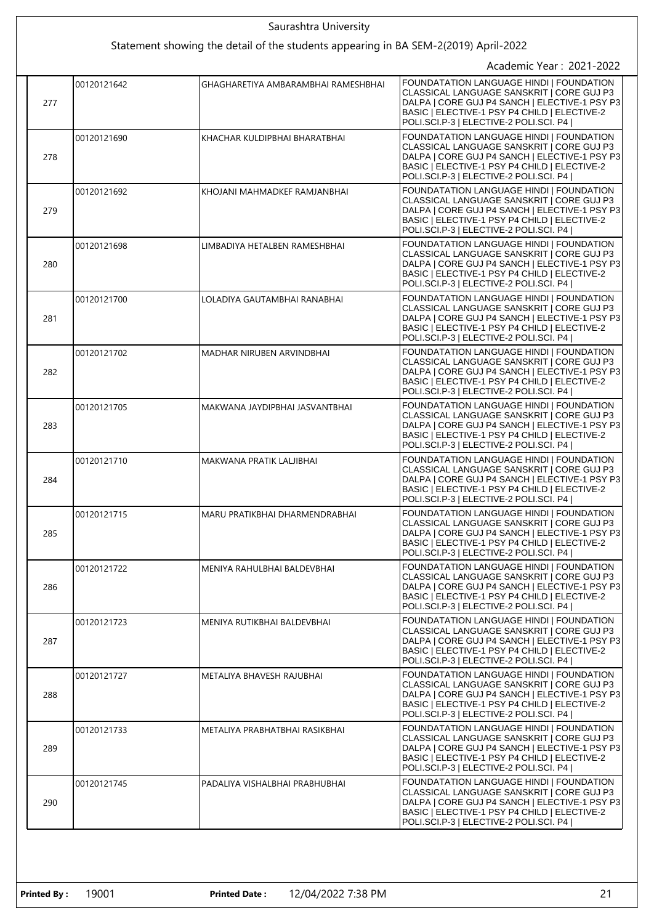|  | Saurashtra University                                                               |             |                                     |                                                                                                                                                                                                                                  |  |
|--|-------------------------------------------------------------------------------------|-------------|-------------------------------------|----------------------------------------------------------------------------------------------------------------------------------------------------------------------------------------------------------------------------------|--|
|  | Statement showing the detail of the students appearing in BA SEM-2(2019) April-2022 |             |                                     |                                                                                                                                                                                                                                  |  |
|  |                                                                                     |             |                                     | Academic Year: 2021-2022                                                                                                                                                                                                         |  |
|  | 277                                                                                 | 00120121642 | GHAGHARETIYA AMBARAMBHAI RAMESHBHAI | FOUNDATATION LANGUAGE HINDI   FOUNDATION<br>CLASSICAL LANGUAGE SANSKRIT   CORE GUJ P3<br>DALPA   CORE GUJ P4 SANCH   ELECTIVE-1 PSY P3<br>BASIC   ELECTIVE-1 PSY P4 CHILD   ELECTIVE-2<br>POLI.SCI.P-3   ELECTIVE-2 POLI.SCI. P4 |  |
|  | 278                                                                                 | 00120121690 | KHACHAR KULDIPBHAI BHARATBHAI       | FOUNDATATION LANGUAGE HINDI   FOUNDATION<br>CLASSICAL LANGUAGE SANSKRIT   CORE GUJ P3<br>DALPA   CORE GUJ P4 SANCH   ELECTIVE-1 PSY P3<br>BASIC   ELECTIVE-1 PSY P4 CHILD   ELECTIVE-2<br>POLI.SCI.P-3   ELECTIVE-2 POLI.SCI. P4 |  |
|  | 279                                                                                 | 00120121692 | KHOJANI MAHMADKEF RAMJANBHAI        | FOUNDATATION LANGUAGE HINDI   FOUNDATION<br>CLASSICAL LANGUAGE SANSKRIT   CORE GUJ P3<br>DALPA   CORE GUJ P4 SANCH   ELECTIVE-1 PSY P3<br>BASIC   ELECTIVE-1 PSY P4 CHILD   ELECTIVE-2<br>POLI.SCI.P-3   ELECTIVE-2 POLI.SCI. P4 |  |
|  | 280                                                                                 | 00120121698 | LIMBADIYA HETALBEN RAMESHBHAI       | FOUNDATATION LANGUAGE HINDI   FOUNDATION<br>CLASSICAL LANGUAGE SANSKRIT   CORE GUJ P3<br>DALPA   CORE GUJ P4 SANCH   ELECTIVE-1 PSY P3<br>BASIC   ELECTIVE-1 PSY P4 CHILD   ELECTIVE-2<br>POLI.SCI.P-3   ELECTIVE-2 POLI.SCI. P4 |  |
|  | 281                                                                                 | 00120121700 | LOLADIYA GAUTAMBHAI RANABHAI        | FOUNDATATION LANGUAGE HINDI   FOUNDATION<br>CLASSICAL LANGUAGE SANSKRIT   CORE GUJ P3<br>DALPA   CORE GUJ P4 SANCH   ELECTIVE-1 PSY P3<br>BASIC   ELECTIVE-1 PSY P4 CHILD   ELECTIVE-2<br>POLI.SCI.P-3   ELECTIVE-2 POLI.SCI. P4 |  |
|  | 282                                                                                 | 00120121702 | MADHAR NIRUBEN ARVINDBHAI           | FOUNDATATION LANGUAGE HINDI   FOUNDATION<br>CLASSICAL LANGUAGE SANSKRIT   CORE GUJ P3<br>DALPA   CORE GUJ P4 SANCH   ELECTIVE-1 PSY P3<br>BASIC   ELECTIVE-1 PSY P4 CHILD   ELECTIVE-2<br>POLI.SCI.P-3   ELECTIVE-2 POLI.SCI. P4 |  |
|  | 283                                                                                 | 00120121705 | MAKWANA JAYDIPBHAI JASVANTBHAI      | FOUNDATATION LANGUAGE HINDI   FOUNDATION<br>CLASSICAL LANGUAGE SANSKRIT   CORE GUJ P3<br>DALPA   CORE GUJ P4 SANCH   ELECTIVE-1 PSY P3<br>BASIC   ELECTIVE-1 PSY P4 CHILD   ELECTIVE-2<br>POLI.SCI.P-3   ELECTIVE-2 POLI.SCI. P4 |  |
|  | 284                                                                                 | 00120121710 | MAKWANA PRATIK LALJIBHAI            | FOUNDATATION LANGUAGE HINDI   FOUNDATION<br>CLASSICAL LANGUAGE SANSKRIT   CORE GUJ P3<br>DALPA   CORE GUJ P4 SANCH   ELECTIVE-1 PSY P3<br>BASIC   ELECTIVE-1 PSY P4 CHILD   ELECTIVE-2<br>POLI.SCI.P-3   ELECTIVE-2 POLI.SCI. P4 |  |
|  | 285                                                                                 | 00120121715 | MARU PRATIKBHAI DHARMENDRABHAI      | FOUNDATATION LANGUAGE HINDI   FOUNDATION<br>CLASSICAL LANGUAGE SANSKRIT I CORE GUJ P3<br>DALPA   CORE GUJ P4 SANCH   ELECTIVE-1 PSY P3<br>BASIC   ELECTIVE-1 PSY P4 CHILD   ELECTIVE-2<br>POLI.SCI.P-3   ELECTIVE-2 POLI.SCI. P4 |  |
|  | 286                                                                                 | 00120121722 | MENIYA RAHULBHAI BALDEVBHAI         | FOUNDATATION LANGUAGE HINDI   FOUNDATION<br>CLASSICAL LANGUAGE SANSKRIT   CORE GUJ P3<br>DALPA   CORE GUJ P4 SANCH   ELECTIVE-1 PSY P3<br>BASIC   ELECTIVE-1 PSY P4 CHILD   ELECTIVE-2<br>POLI.SCI.P-3   ELECTIVE-2 POLI.SCI. P4 |  |
|  | 287                                                                                 | 00120121723 | MENIYA RUTIKBHAI BALDEVBHAI         | FOUNDATATION LANGUAGE HINDI   FOUNDATION<br>CLASSICAL LANGUAGE SANSKRIT   CORE GUJ P3<br>DALPA   CORE GUJ P4 SANCH   ELECTIVE-1 PSY P3<br>BASIC   ELECTIVE-1 PSY P4 CHILD   ELECTIVE-2<br>POLI.SCI.P-3   ELECTIVE-2 POLI.SCI. P4 |  |
|  | 288                                                                                 | 00120121727 | METALIYA BHAVESH RAJUBHAI           | FOUNDATATION LANGUAGE HINDI   FOUNDATION<br>CLASSICAL LANGUAGE SANSKRIT   CORE GUJ P3<br>DALPA   CORE GUJ P4 SANCH   ELECTIVE-1 PSY P3<br>BASIC   ELECTIVE-1 PSY P4 CHILD   ELECTIVE-2<br>POLI.SCI.P-3   ELECTIVE-2 POLI.SCI. P4 |  |
|  | 289                                                                                 | 00120121733 | METALIYA PRABHATBHAI RASIKBHAI      | FOUNDATATION LANGUAGE HINDI   FOUNDATION<br>CLASSICAL LANGUAGE SANSKRIT   CORE GUJ P3<br>DALPA   CORE GUJ P4 SANCH   ELECTIVE-1 PSY P3<br>BASIC   ELECTIVE-1 PSY P4 CHILD   ELECTIVE-2<br>POLI.SCI.P-3   ELECTIVE-2 POLI.SCI. P4 |  |
|  | 290                                                                                 | 00120121745 | PADALIYA VISHALBHAI PRABHUBHAI      | FOUNDATATION LANGUAGE HINDI   FOUNDATION<br>CLASSICAL LANGUAGE SANSKRIT   CORE GUJ P3<br>DALPA   CORE GUJ P4 SANCH   ELECTIVE-1 PSY P3<br>BASIC   ELECTIVE-1 PSY P4 CHILD   ELECTIVE-2<br>POLI.SCI.P-3   ELECTIVE-2 POLI.SCI. P4 |  |
|  |                                                                                     |             |                                     |                                                                                                                                                                                                                                  |  |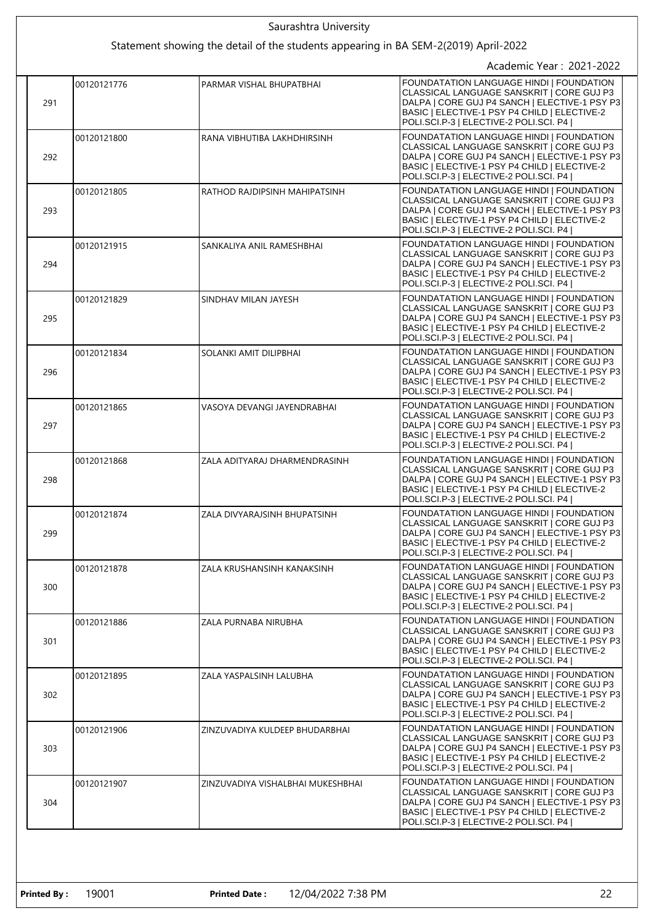|  | Saurashtra University                                                               |             |                                   |                                                                                                                                                                                                                                  |  |
|--|-------------------------------------------------------------------------------------|-------------|-----------------------------------|----------------------------------------------------------------------------------------------------------------------------------------------------------------------------------------------------------------------------------|--|
|  | Statement showing the detail of the students appearing in BA SEM-2(2019) April-2022 |             |                                   |                                                                                                                                                                                                                                  |  |
|  |                                                                                     |             |                                   | Academic Year: 2021-2022                                                                                                                                                                                                         |  |
|  | 291                                                                                 | 00120121776 | PARMAR VISHAL BHUPATBHAI          | FOUNDATATION LANGUAGE HINDI   FOUNDATION<br>CLASSICAL LANGUAGE SANSKRIT   CORE GUJ P3<br>DALPA   CORE GUJ P4 SANCH   ELECTIVE-1 PSY P3<br>BASIC   ELECTIVE-1 PSY P4 CHILD   ELECTIVE-2<br>POLI.SCI.P-3   ELECTIVE-2 POLI.SCI. P4 |  |
|  | 292                                                                                 | 00120121800 | RANA VIBHUTIBA LAKHDHIRSINH       | FOUNDATATION LANGUAGE HINDI   FOUNDATION<br>CLASSICAL LANGUAGE SANSKRIT I CORE GUJ P3<br>DALPA   CORE GUJ P4 SANCH   ELECTIVE-1 PSY P3<br>BASIC   ELECTIVE-1 PSY P4 CHILD   ELECTIVE-2<br>POLI.SCI.P-3   ELECTIVE-2 POLI.SCI. P4 |  |
|  | 293                                                                                 | 00120121805 | RATHOD RAJDIPSINH MAHIPATSINH     | FOUNDATATION LANGUAGE HINDI   FOUNDATION<br>CLASSICAL LANGUAGE SANSKRIT   CORE GUJ P3<br>DALPA   CORE GUJ P4 SANCH   ELECTIVE-1 PSY P3<br>BASIC   ELECTIVE-1 PSY P4 CHILD   ELECTIVE-2<br>POLI.SCI.P-3   ELECTIVE-2 POLI.SCI. P4 |  |
|  | 294                                                                                 | 00120121915 | SANKALIYA ANIL RAMESHBHAI         | FOUNDATATION LANGUAGE HINDI   FOUNDATION<br>CLASSICAL LANGUAGE SANSKRIT   CORE GUJ P3<br>DALPA   CORE GUJ P4 SANCH   ELECTIVE-1 PSY P3<br>BASIC   ELECTIVE-1 PSY P4 CHILD   ELECTIVE-2<br>POLI.SCI.P-3   ELECTIVE-2 POLI.SCI. P4 |  |
|  | 295                                                                                 | 00120121829 | SINDHAV MILAN JAYESH              | FOUNDATATION LANGUAGE HINDI   FOUNDATION<br>CLASSICAL LANGUAGE SANSKRIT   CORE GUJ P3<br>DALPA   CORE GUJ P4 SANCH   ELECTIVE-1 PSY P3<br>BASIC   ELECTIVE-1 PSY P4 CHILD   ELECTIVE-2<br>POLI.SCI.P-3   ELECTIVE-2 POLI.SCI. P4 |  |
|  | 296                                                                                 | 00120121834 | SOLANKI AMIT DILIPBHAI            | FOUNDATATION LANGUAGE HINDI   FOUNDATION<br>CLASSICAL LANGUAGE SANSKRIT   CORE GUJ P3<br>DALPA   CORE GUJ P4 SANCH   ELECTIVE-1 PSY P3<br>BASIC   ELECTIVE-1 PSY P4 CHILD   ELECTIVE-2<br>POLI.SCI.P-3   ELECTIVE-2 POLI.SCI. P4 |  |
|  | 297                                                                                 | 00120121865 | VASOYA DEVANGI JAYENDRABHAI       | FOUNDATATION LANGUAGE HINDI   FOUNDATION<br>CLASSICAL LANGUAGE SANSKRIT   CORE GUJ P3<br>DALPA   CORE GUJ P4 SANCH   ELECTIVE-1 PSY P3<br>BASIC   ELECTIVE-1 PSY P4 CHILD   ELECTIVE-2<br>POLI.SCI.P-3   ELECTIVE-2 POLI.SCI. P4 |  |
|  | 298                                                                                 | 00120121868 | ZALA ADITYARAJ DHARMENDRASINH     | FOUNDATATION LANGUAGE HINDI   FOUNDATION<br>CLASSICAL LANGUAGE SANSKRIT   CORE GUJ P3<br>DALPA   CORE GUJ P4 SANCH   ELECTIVE-1 PSY P3<br>BASIC   ELECTIVE-1 PSY P4 CHILD   ELECTIVE-2<br>POLI.SCI.P-3   ELECTIVE-2 POLI.SCI. P4 |  |
|  | 299                                                                                 | 00120121874 | ZALA DIVYARAJSINH BHUPATSINH      | FOUNDATATION LANGUAGE HINDI   FOUNDATION<br>CLASSICAL LANGUAGE SANSKRIT   CORE GUJ P3<br>DALPA   CORE GUJ P4 SANCH   ELECTIVE-1 PSY P3<br>BASIC   ELECTIVE-1 PSY P4 CHILD   ELECTIVE-2<br>POLI.SCI.P-3   ELECTIVE-2 POLI.SCI. P4 |  |
|  | 300                                                                                 | 00120121878 | ZALA KRUSHANSINH KANAKSINH        | FOUNDATATION LANGUAGE HINDI   FOUNDATION<br>CLASSICAL LANGUAGE SANSKRIT   CORE GUJ P3<br>DALPA   CORE GUJ P4 SANCH   ELECTIVE-1 PSY P3<br>BASIC   ELECTIVE-1 PSY P4 CHILD   ELECTIVE-2<br>POLI.SCI.P-3   ELECTIVE-2 POLI.SCI. P4 |  |
|  | 301                                                                                 | 00120121886 | ZALA PURNABA NIRUBHA              | FOUNDATATION LANGUAGE HINDI   FOUNDATION<br>CLASSICAL LANGUAGE SANSKRIT   CORE GUJ P3<br>DALPA   CORE GUJ P4 SANCH   ELECTIVE-1 PSY P3<br>BASIC   ELECTIVE-1 PSY P4 CHILD   ELECTIVE-2<br>POLI.SCI.P-3   ELECTIVE-2 POLI.SCI. P4 |  |
|  | 302                                                                                 | 00120121895 | ZALA YASPALSINH LALUBHA           | FOUNDATATION LANGUAGE HINDI   FOUNDATION<br>CLASSICAL LANGUAGE SANSKRIT   CORE GUJ P3<br>DALPA   CORE GUJ P4 SANCH   ELECTIVE-1 PSY P3<br>BASIC   ELECTIVE-1 PSY P4 CHILD   ELECTIVE-2<br>POLI.SCI.P-3   ELECTIVE-2 POLI.SCI. P4 |  |
|  | 303                                                                                 | 00120121906 | ZINZUVADIYA KULDEEP BHUDARBHAI    | FOUNDATATION LANGUAGE HINDI   FOUNDATION<br>CLASSICAL LANGUAGE SANSKRIT   CORE GUJ P3<br>DALPA   CORE GUJ P4 SANCH   ELECTIVE-1 PSY P3<br>BASIC   ELECTIVE-1 PSY P4 CHILD   ELECTIVE-2<br>POLI.SCI.P-3   ELECTIVE-2 POLI.SCI. P4 |  |
|  | 304                                                                                 | 00120121907 | ZINZUVADIYA VISHALBHAI MUKESHBHAI | FOUNDATATION LANGUAGE HINDI   FOUNDATION<br>CLASSICAL LANGUAGE SANSKRIT   CORE GUJ P3<br>DALPA   CORE GUJ P4 SANCH   ELECTIVE-1 PSY P3<br>BASIC   ELECTIVE-1 PSY P4 CHILD   ELECTIVE-2<br>POLI.SCI.P-3   ELECTIVE-2 POLI.SCI. P4 |  |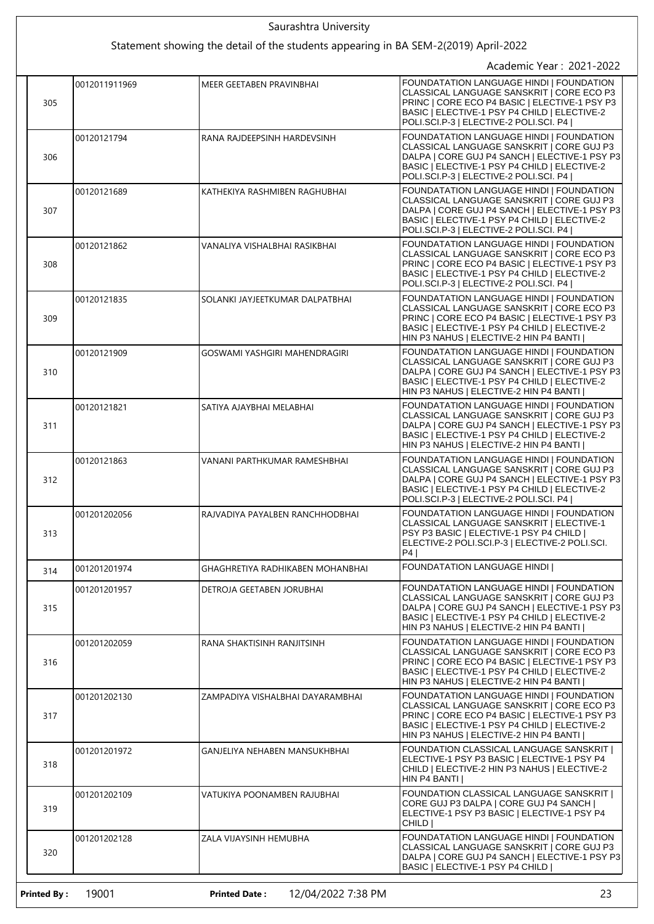|                    |                                                                                                                 | Saurashtra University                      |                                                                                                                                                                                                                                  |  |  |
|--------------------|-----------------------------------------------------------------------------------------------------------------|--------------------------------------------|----------------------------------------------------------------------------------------------------------------------------------------------------------------------------------------------------------------------------------|--|--|
|                    | Statement showing the detail of the students appearing in BA SEM-2(2019) April-2022<br>Academic Year: 2021-2022 |                                            |                                                                                                                                                                                                                                  |  |  |
| 305                | 0012011911969                                                                                                   | MEER GEETABEN PRAVINBHAI                   | FOUNDATATION LANGUAGE HINDI   FOUNDATION<br>CLASSICAL LANGUAGE SANSKRIT   CORE ECO P3<br>PRINC   CORE ECO P4 BASIC   ELECTIVE-1 PSY P3<br>BASIC   ELECTIVE-1 PSY P4 CHILD   ELECTIVE-2<br>POLI.SCI.P-3   ELECTIVE-2 POLI.SCI. P4 |  |  |
| 306                | 00120121794                                                                                                     | RANA RAJDEEPSINH HARDEVSINH                | FOUNDATATION LANGUAGE HINDI   FOUNDATION<br>CLASSICAL LANGUAGE SANSKRIT   CORE GUJ P3<br>DALPA   CORE GUJ P4 SANCH   ELECTIVE-1 PSY P3<br>BASIC   ELECTIVE-1 PSY P4 CHILD   ELECTIVE-2<br>POLI.SCI.P-3   ELECTIVE-2 POLI.SCI. P4 |  |  |
| 307                | 00120121689                                                                                                     | KATHEKIYA RASHMIBEN RAGHUBHAI              | FOUNDATATION LANGUAGE HINDI   FOUNDATION<br>CLASSICAL LANGUAGE SANSKRIT   CORE GUJ P3<br>DALPA   CORE GUJ P4 SANCH   ELECTIVE-1 PSY P3<br>BASIC   ELECTIVE-1 PSY P4 CHILD   ELECTIVE-2<br>POLI.SCI.P-3   ELECTIVE-2 POLI.SCI. P4 |  |  |
| 308                | 00120121862                                                                                                     | VANALIYA VISHALBHAI RASIKBHAI              | FOUNDATATION LANGUAGE HINDI   FOUNDATION<br>CLASSICAL LANGUAGE SANSKRIT   CORE ECO P3<br>PRINC   CORE ECO P4 BASIC   ELECTIVE-1 PSY P3<br>BASIC   ELECTIVE-1 PSY P4 CHILD   ELECTIVE-2<br>POLI.SCI.P-3   ELECTIVE-2 POLI.SCI. P4 |  |  |
| 309                | 00120121835                                                                                                     | SOLANKI JAYJEETKUMAR DALPATBHAI            | FOUNDATATION LANGUAGE HINDI   FOUNDATION<br>CLASSICAL LANGUAGE SANSKRIT   CORE ECO P3<br>PRINC   CORE ECO P4 BASIC   ELECTIVE-1 PSY P3<br>BASIC   ELECTIVE-1 PSY P4 CHILD   ELECTIVE-2<br>HIN P3 NAHUS   ELECTIVE-2 HIN P4 BANTI |  |  |
| 310                | 00120121909                                                                                                     | GOSWAMI YASHGIRI MAHENDRAGIRI              | FOUNDATATION LANGUAGE HINDI   FOUNDATION<br>CLASSICAL LANGUAGE SANSKRIT   CORE GUJ P3<br>DALPA   CORE GUJ P4 SANCH   ELECTIVE-1 PSY P3<br>BASIC   ELECTIVE-1 PSY P4 CHILD   ELECTIVE-2<br>HIN P3 NAHUS   ELECTIVE-2 HIN P4 BANTI |  |  |
| 311                | 00120121821                                                                                                     | SATIYA AJAYBHAI MELABHAI                   | FOUNDATATION LANGUAGE HINDI   FOUNDATION<br>CLASSICAL LANGUAGE SANSKRIT   CORE GUJ P3<br>DALPA   CORE GUJ P4 SANCH   ELECTIVE-1 PSY P3<br>BASIC   ELECTIVE-1 PSY P4 CHILD   ELECTIVE-2<br>HIN P3 NAHUS   ELECTIVE-2 HIN P4 BANTI |  |  |
| 312                | 00120121863                                                                                                     | VANANI PARTHKUMAR RAMESHBHAI               | FOUNDATATION LANGUAGE HINDI   FOUNDATION<br>CLASSICAL LANGUAGE SANSKRIT   CORE GUJ P3<br>DALPA   CORE GUJ P4 SANCH   ELECTIVE-1 PSY P3<br>BASIC   ELECTIVE-1 PSY P4 CHILD   ELECTIVE-2<br>POLI.SCI.P-3   ELECTIVE-2 POLI.SCI. P4 |  |  |
| 313                | 001201202056                                                                                                    | RAJVADIYA PAYALBEN RANCHHODBHAI            | FOUNDATATION LANGUAGE HINDI   FOUNDATION<br>CLASSICAL LANGUAGE SANSKRIT   ELECTIVE-1<br>PSY P3 BASIC   ELECTIVE-1 PSY P4 CHILD  <br>ELECTIVE-2 POLI.SCI.P-3   ELECTIVE-2 POLI.SCI.<br>P4                                         |  |  |
| 314                | 001201201974                                                                                                    | GHAGHRETIYA RADHIKABEN MOHANBHAI           | <b>FOUNDATATION LANGUAGE HINDI I</b>                                                                                                                                                                                             |  |  |
| 315                | 001201201957                                                                                                    | DETROJA GEETABEN JORUBHAI                  | FOUNDATATION LANGUAGE HINDI   FOUNDATION<br>CLASSICAL LANGUAGE SANSKRIT   CORE GUJ P3<br>DALPA   CORE GUJ P4 SANCH   ELECTIVE-1 PSY P3<br>BASIC   ELECTIVE-1 PSY P4 CHILD   ELECTIVE-2<br>HIN P3 NAHUS   ELECTIVE-2 HIN P4 BANTI |  |  |
| 316                | 001201202059                                                                                                    | RANA SHAKTISINH RANJITSINH                 | FOUNDATATION LANGUAGE HINDI   FOUNDATION<br>CLASSICAL LANGUAGE SANSKRIT   CORE ECO P3<br>PRINC   CORE ECO P4 BASIC   ELECTIVE-1 PSY P3<br>BASIC   ELECTIVE-1 PSY P4 CHILD   ELECTIVE-2<br>HIN P3 NAHUS   ELECTIVE-2 HIN P4 BANTI |  |  |
| 317                | 001201202130                                                                                                    | ZAMPADIYA VISHALBHAI DAYARAMBHAI           | FOUNDATATION LANGUAGE HINDI   FOUNDATION<br>CLASSICAL LANGUAGE SANSKRIT   CORE ECO P3<br>PRINC   CORE ECO P4 BASIC   ELECTIVE-1 PSY P3<br>BASIC   ELECTIVE-1 PSY P4 CHILD   ELECTIVE-2<br>HIN P3 NAHUS   ELECTIVE-2 HIN P4 BANTI |  |  |
| 318                | 001201201972                                                                                                    | GANJELIYA NEHABEN MANSUKHBHAI              | FOUNDATION CLASSICAL LANGUAGE SANSKRIT  <br>ELECTIVE-1 PSY P3 BASIC   ELECTIVE-1 PSY P4<br>CHILD   ELECTIVE-2 HIN P3 NAHUS   ELECTIVE-2<br>HIN P4 BANTI                                                                          |  |  |
| 319                | 001201202109                                                                                                    | VATUKIYA POONAMBEN RAJUBHAI                | FOUNDATION CLASSICAL LANGUAGE SANSKRIT  <br>CORE GUJ P3 DALPA   CORE GUJ P4 SANCH  <br>ELECTIVE-1 PSY P3 BASIC   ELECTIVE-1 PSY P4<br>CHILD                                                                                      |  |  |
| 320                | 001201202128                                                                                                    | ZALA VIJAYSINH HEMUBHA                     | FOUNDATATION LANGUAGE HINDI   FOUNDATION<br>CLASSICAL LANGUAGE SANSKRIT   CORE GUJ P3<br>DALPA   CORE GUJ P4 SANCH   ELECTIVE-1 PSY P3<br>BASIC   ELECTIVE-1 PSY P4 CHILD                                                        |  |  |
| <b>Printed By:</b> | 19001                                                                                                           | <b>Printed Date:</b><br>12/04/2022 7:38 PM | 23                                                                                                                                                                                                                               |  |  |